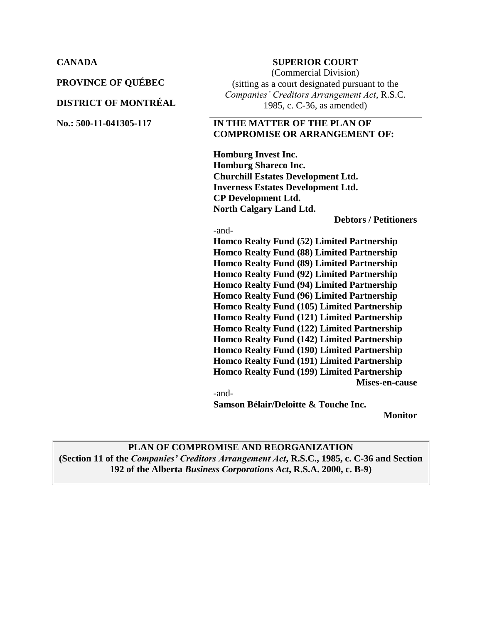**PROVINCE OF QUÉBEC**

#### **DISTRICT OF MONTRÉAL**

#### **CANADA SUPERIOR COURT**

(Commercial Division) (sitting as a court designated pursuant to the *Companies' Creditors Arrangement Act*, R.S.C. 1985, c. C-36, as amended)

#### **No.: 500-11-041305-117 IN THE MATTER OF THE PLAN OF COMPROMISE OR ARRANGEMENT OF:**

**Homburg Invest Inc. Homburg Shareco Inc. Churchill Estates Development Ltd. Inverness Estates Development Ltd. CP Development Ltd. North Calgary Land Ltd.**

**Debtors / Petitioners**

-and-

**Homco Realty Fund (52) Limited Partnership Homco Realty Fund (88) Limited Partnership Homco Realty Fund (89) Limited Partnership Homco Realty Fund (92) Limited Partnership Homco Realty Fund (94) Limited Partnership Homco Realty Fund (96) Limited Partnership Homco Realty Fund (105) Limited Partnership Homco Realty Fund (121) Limited Partnership Homco Realty Fund (122) Limited Partnership Homco Realty Fund (142) Limited Partnership Homco Realty Fund (190) Limited Partnership Homco Realty Fund (191) Limited Partnership Homco Realty Fund (199) Limited Partnership Mises-en-cause** -and-

**Samson Bélair/Deloitte & Touche Inc.** 

**Monitor**

#### **PLAN OF COMPROMISE AND REORGANIZATION (Section 11 of the** *Companies' Creditors Arrangement Act***, R.S.C., 1985, c. C-36 and Section 192 of the Alberta** *Business Corporations Act***, R.S.A. 2000, c. B-9)**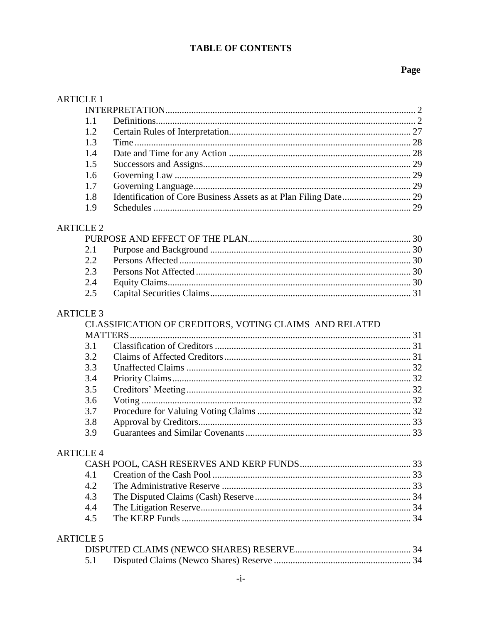## **TABLE OF CONTENTS**

## Page

| <b>ARTICLE 1</b> |                                                        |  |
|------------------|--------------------------------------------------------|--|
|                  |                                                        |  |
| 1.1              |                                                        |  |
| 1.2              |                                                        |  |
| 1.3              |                                                        |  |
| 1.4              |                                                        |  |
| 1.5              |                                                        |  |
| 1.6              |                                                        |  |
| 1.7              |                                                        |  |
| 1.8              |                                                        |  |
| 1.9              |                                                        |  |
| <b>ARTICLE 2</b> |                                                        |  |
|                  |                                                        |  |
| 2.1              |                                                        |  |
| 2.2              |                                                        |  |
| 2.3              |                                                        |  |
| 2.4              |                                                        |  |
| 2.5              |                                                        |  |
| <b>ARTICLE 3</b> |                                                        |  |
|                  | CLASSIFICATION OF CREDITORS, VOTING CLAIMS AND RELATED |  |
|                  | <b>MATTERS.</b>                                        |  |
| 3.1              |                                                        |  |
| 3.2              |                                                        |  |
| 3.3              |                                                        |  |
| 3.4              |                                                        |  |
| 3.5              |                                                        |  |
| 3.6              |                                                        |  |
| 3.7              |                                                        |  |
| 3.8              |                                                        |  |
| 3.9              |                                                        |  |
| <b>ARTICLE 4</b> |                                                        |  |
|                  |                                                        |  |
| 4.1              |                                                        |  |
| 4.2              |                                                        |  |
| 4.3              |                                                        |  |
| 4.4              |                                                        |  |
| 4.5              |                                                        |  |
| <b>ARTICLE 5</b> |                                                        |  |
|                  |                                                        |  |
| 5.1              |                                                        |  |
|                  |                                                        |  |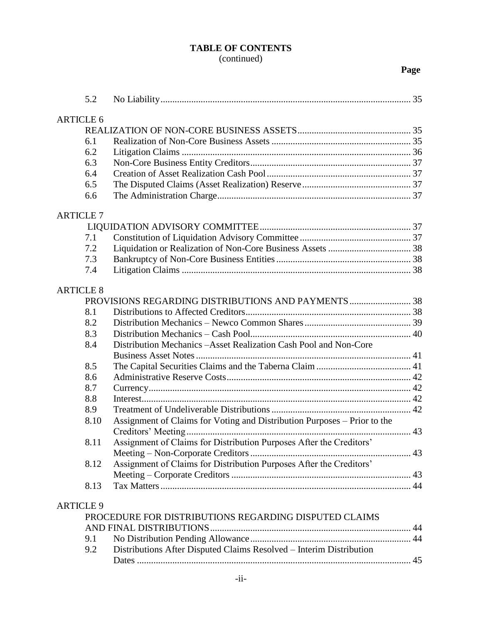# **TABLE OF CONTENTS**

## (continued)

## **Page**

| 5.2              |                                                                          |  |
|------------------|--------------------------------------------------------------------------|--|
| <b>ARTICLE 6</b> |                                                                          |  |
|                  |                                                                          |  |
| 6.1              |                                                                          |  |
| 6.2              |                                                                          |  |
| 6.3              |                                                                          |  |
| 6.4              |                                                                          |  |
|                  |                                                                          |  |
| 6.5              |                                                                          |  |
| 6.6              |                                                                          |  |
| <b>ARTICLE 7</b> |                                                                          |  |
|                  |                                                                          |  |
| 7.1              |                                                                          |  |
| 7.2              |                                                                          |  |
| 7.3              |                                                                          |  |
| 7.4              |                                                                          |  |
| <b>ARTICLE 8</b> |                                                                          |  |
|                  |                                                                          |  |
| 8.1              |                                                                          |  |
| 8.2              |                                                                          |  |
| 8.3              |                                                                          |  |
| 8.4              | Distribution Mechanics - Asset Realization Cash Pool and Non-Core        |  |
|                  |                                                                          |  |
|                  |                                                                          |  |
| 8.5              |                                                                          |  |
| 8.6              |                                                                          |  |
| 8.7              |                                                                          |  |
| 8.8              |                                                                          |  |
| 8.9              |                                                                          |  |
| 8.10             | Assignment of Claims for Voting and Distribution Purposes – Prior to the |  |
|                  |                                                                          |  |
| 8.11             | Assignment of Claims for Distribution Purposes After the Creditors'      |  |
|                  |                                                                          |  |
| 8.12             | Assignment of Claims for Distribution Purposes After the Creditors'      |  |
|                  |                                                                          |  |
| 8.13             |                                                                          |  |
| <b>ARTICLE 9</b> |                                                                          |  |
|                  | PROCEDURE FOR DISTRIBUTIONS REGARDING DISPUTED CLAIMS                    |  |
|                  |                                                                          |  |
| 9.1              |                                                                          |  |
| 9.2              | Distributions After Disputed Claims Resolved - Interim Distribution      |  |
|                  |                                                                          |  |
|                  |                                                                          |  |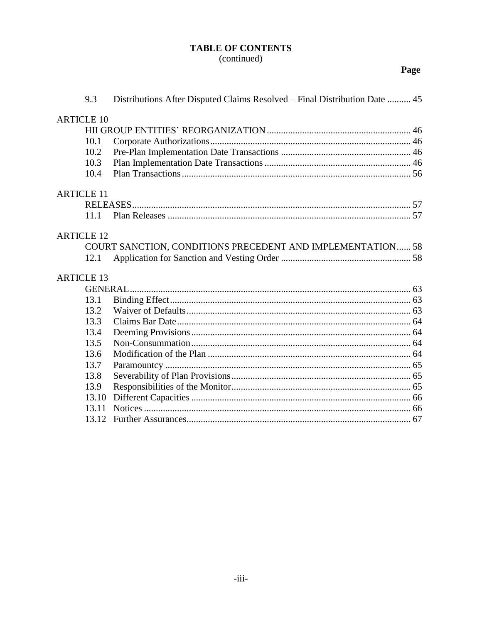## **TABLE OF CONTENTS**

## (continued)

|                   | 9.3   | Distributions After Disputed Claims Resolved – Final Distribution Date  45 |  |
|-------------------|-------|----------------------------------------------------------------------------|--|
| <b>ARTICLE 10</b> |       |                                                                            |  |
|                   |       |                                                                            |  |
|                   | 10.1  |                                                                            |  |
|                   | 10.2  |                                                                            |  |
|                   | 10.3  |                                                                            |  |
|                   | 10.4  |                                                                            |  |
| <b>ARTICLE 11</b> |       |                                                                            |  |
|                   |       |                                                                            |  |
|                   | 11.1  |                                                                            |  |
| <b>ARTICLE 12</b> |       |                                                                            |  |
|                   |       | COURT SANCTION, CONDITIONS PRECEDENT AND IMPLEMENTATION 58                 |  |
|                   | 12.1  |                                                                            |  |
| <b>ARTICLE 13</b> |       |                                                                            |  |
|                   |       |                                                                            |  |
|                   | 13.1  |                                                                            |  |
|                   | 13.2  |                                                                            |  |
|                   | 13.3  |                                                                            |  |
|                   | 13.4  |                                                                            |  |
|                   | 13.5  |                                                                            |  |
|                   | 13.6  |                                                                            |  |
|                   | 13.7  |                                                                            |  |
|                   | 13.8  |                                                                            |  |
|                   | 13.9  |                                                                            |  |
|                   | 13.10 |                                                                            |  |
|                   | 13.11 |                                                                            |  |
|                   | 13.12 |                                                                            |  |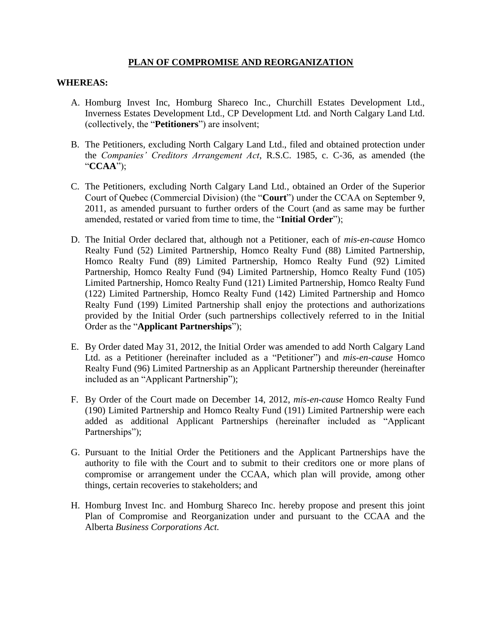#### **PLAN OF COMPROMISE AND REORGANIZATION**

#### **WHEREAS:**

- A. Homburg Invest Inc, Homburg Shareco Inc., Churchill Estates Development Ltd., Inverness Estates Development Ltd., CP Development Ltd. and North Calgary Land Ltd. (collectively, the "**Petitioners**") are insolvent;
- B. The Petitioners, excluding North Calgary Land Ltd., filed and obtained protection under the *Companies' Creditors Arrangement Act*, R.S.C. 1985, c. C-36, as amended (the "**CCAA**");
- C. The Petitioners, excluding North Calgary Land Ltd., obtained an Order of the Superior Court of Quebec (Commercial Division) (the "**Court**") under the CCAA on September 9, 2011, as amended pursuant to further orders of the Court (and as same may be further amended, restated or varied from time to time, the "**Initial Order**");
- D. The Initial Order declared that, although not a Petitioner, each of *mis-en-cause* Homco Realty Fund (52) Limited Partnership, Homco Realty Fund (88) Limited Partnership, Homco Realty Fund (89) Limited Partnership, Homco Realty Fund (92) Limited Partnership, Homco Realty Fund (94) Limited Partnership, Homco Realty Fund (105) Limited Partnership, Homco Realty Fund (121) Limited Partnership, Homco Realty Fund (122) Limited Partnership, Homco Realty Fund (142) Limited Partnership and Homco Realty Fund (199) Limited Partnership shall enjoy the protections and authorizations provided by the Initial Order (such partnerships collectively referred to in the Initial Order as the "**Applicant Partnerships**");
- E. By Order dated May 31, 2012, the Initial Order was amended to add North Calgary Land Ltd. as a Petitioner (hereinafter included as a "Petitioner") and *mis-en-cause* Homco Realty Fund (96) Limited Partnership as an Applicant Partnership thereunder (hereinafter included as an "Applicant Partnership");
- F. By Order of the Court made on December 14, 2012, *mis-en-cause* Homco Realty Fund (190) Limited Partnership and Homco Realty Fund (191) Limited Partnership were each added as additional Applicant Partnerships (hereinafter included as "Applicant Partnerships");
- G. Pursuant to the Initial Order the Petitioners and the Applicant Partnerships have the authority to file with the Court and to submit to their creditors one or more plans of compromise or arrangement under the CCAA, which plan will provide, among other things, certain recoveries to stakeholders; and
- H. Homburg Invest Inc. and Homburg Shareco Inc. hereby propose and present this joint Plan of Compromise and Reorganization under and pursuant to the CCAA and the Alberta *Business Corporations Act.*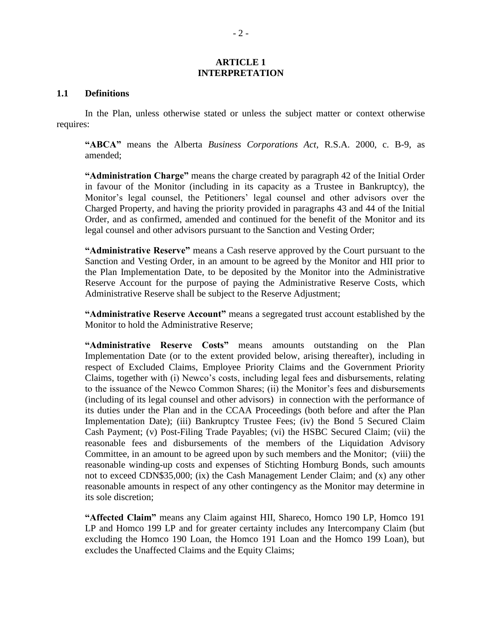#### **ARTICLE 1 INTERPRETATION**

#### **1.1 Definitions**

In the Plan, unless otherwise stated or unless the subject matter or context otherwise requires:

**"ABCA"** means the Alberta *Business Corporations Act*, R.S.A. 2000, c. B-9, as amended;

**"Administration Charge"** means the charge created by paragraph 42 of the Initial Order in favour of the Monitor (including in its capacity as a Trustee in Bankruptcy), the Monitor's legal counsel, the Petitioners' legal counsel and other advisors over the Charged Property, and having the priority provided in paragraphs 43 and 44 of the Initial Order, and as confirmed, amended and continued for the benefit of the Monitor and its legal counsel and other advisors pursuant to the Sanction and Vesting Order;

**"Administrative Reserve"** means a Cash reserve approved by the Court pursuant to the Sanction and Vesting Order, in an amount to be agreed by the Monitor and HII prior to the Plan Implementation Date, to be deposited by the Monitor into the Administrative Reserve Account for the purpose of paying the Administrative Reserve Costs, which Administrative Reserve shall be subject to the Reserve Adjustment;

**"Administrative Reserve Account"** means a segregated trust account established by the Monitor to hold the Administrative Reserve;

**"Administrative Reserve Costs"** means amounts outstanding on the Plan Implementation Date (or to the extent provided below, arising thereafter), including in respect of Excluded Claims, Employee Priority Claims and the Government Priority Claims, together with (i) Newco's costs, including legal fees and disbursements, relating to the issuance of the Newco Common Shares; (ii) the Monitor's fees and disbursements (including of its legal counsel and other advisors) in connection with the performance of its duties under the Plan and in the CCAA Proceedings (both before and after the Plan Implementation Date); (iii) Bankruptcy Trustee Fees; (iv) the Bond 5 Secured Claim Cash Payment; (v) Post-Filing Trade Payables; (vi) the HSBC Secured Claim; (vii) the reasonable fees and disbursements of the members of the Liquidation Advisory Committee, in an amount to be agreed upon by such members and the Monitor; (viii) the reasonable winding-up costs and expenses of Stichting Homburg Bonds, such amounts not to exceed CDN\$35,000; (ix) the Cash Management Lender Claim; and (x) any other reasonable amounts in respect of any other contingency as the Monitor may determine in its sole discretion;

**"Affected Claim"** means any Claim against HII, Shareco, Homco 190 LP, Homco 191 LP and Homco 199 LP and for greater certainty includes any Intercompany Claim (but excluding the Homco 190 Loan, the Homco 191 Loan and the Homco 199 Loan), but excludes the Unaffected Claims and the Equity Claims;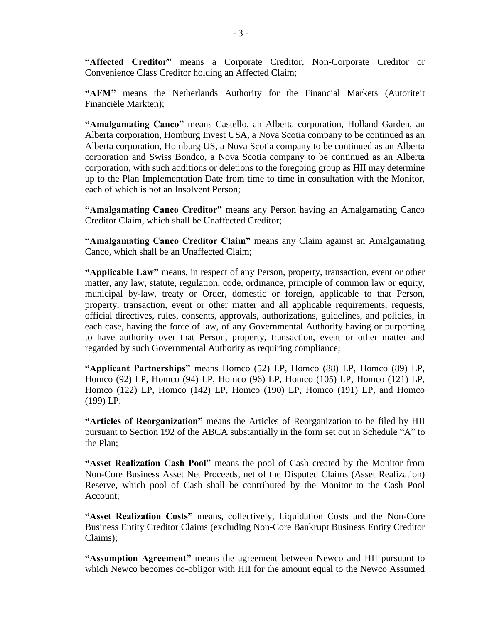**"Affected Creditor"** means a Corporate Creditor, Non-Corporate Creditor or Convenience Class Creditor holding an Affected Claim;

**"AFM"** means the Netherlands Authority for the Financial Markets (Autoriteit Financiële Markten);

**"Amalgamating Canco"** means Castello, an Alberta corporation, Holland Garden, an Alberta corporation, Homburg Invest USA, a Nova Scotia company to be continued as an Alberta corporation, Homburg US, a Nova Scotia company to be continued as an Alberta corporation and Swiss Bondco, a Nova Scotia company to be continued as an Alberta corporation, with such additions or deletions to the foregoing group as HII may determine up to the Plan Implementation Date from time to time in consultation with the Monitor, each of which is not an Insolvent Person;

**"Amalgamating Canco Creditor"** means any Person having an Amalgamating Canco Creditor Claim, which shall be Unaffected Creditor;

**"Amalgamating Canco Creditor Claim"** means any Claim against an Amalgamating Canco, which shall be an Unaffected Claim;

**"Applicable Law"** means, in respect of any Person, property, transaction, event or other matter, any law, statute, regulation, code, ordinance, principle of common law or equity, municipal by-law, treaty or Order, domestic or foreign, applicable to that Person, property, transaction, event or other matter and all applicable requirements, requests, official directives, rules, consents, approvals, authorizations, guidelines, and policies, in each case, having the force of law, of any Governmental Authority having or purporting to have authority over that Person, property, transaction, event or other matter and regarded by such Governmental Authority as requiring compliance;

**"Applicant Partnerships"** means Homco (52) LP, Homco (88) LP, Homco (89) LP, Homco (92) LP, Homco (94) LP, Homco (96) LP, Homco (105) LP, Homco (121) LP, Homco (122) LP, Homco (142) LP, Homco (190) LP, Homco (191) LP, and Homco (199) LP;

**"Articles of Reorganization"** means the Articles of Reorganization to be filed by HII pursuant to Section 192 of the ABCA substantially in the form set out in Schedule "A" to the Plan;

**"Asset Realization Cash Pool"** means the pool of Cash created by the Monitor from Non-Core Business Asset Net Proceeds, net of the Disputed Claims (Asset Realization) Reserve, which pool of Cash shall be contributed by the Monitor to the Cash Pool Account;

**"Asset Realization Costs"** means, collectively, Liquidation Costs and the Non-Core Business Entity Creditor Claims (excluding Non-Core Bankrupt Business Entity Creditor Claims);

**"Assumption Agreement"** means the agreement between Newco and HII pursuant to which Newco becomes co-obligor with HII for the amount equal to the Newco Assumed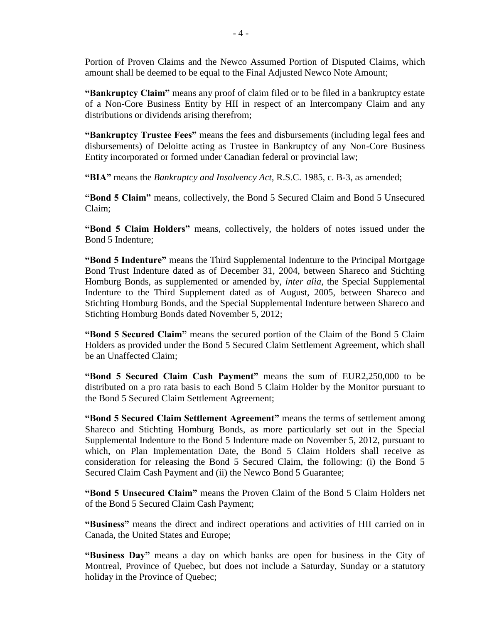Portion of Proven Claims and the Newco Assumed Portion of Disputed Claims, which amount shall be deemed to be equal to the Final Adjusted Newco Note Amount;

**"Bankruptcy Claim"** means any proof of claim filed or to be filed in a bankruptcy estate of a Non-Core Business Entity by HII in respect of an Intercompany Claim and any distributions or dividends arising therefrom;

**"Bankruptcy Trustee Fees"** means the fees and disbursements (including legal fees and disbursements) of Deloitte acting as Trustee in Bankruptcy of any Non-Core Business Entity incorporated or formed under Canadian federal or provincial law;

**"BIA"** means the *Bankruptcy and Insolvency Act*, R.S.C. 1985, c. B-3, as amended;

**"Bond 5 Claim"** means, collectively, the Bond 5 Secured Claim and Bond 5 Unsecured Claim;

**"Bond 5 Claim Holders"** means, collectively, the holders of notes issued under the Bond 5 Indenture;

**"Bond 5 Indenture"** means the Third Supplemental Indenture to the Principal Mortgage Bond Trust Indenture dated as of December 31, 2004, between Shareco and Stichting Homburg Bonds, as supplemented or amended by, *inter alia*, the Special Supplemental Indenture to the Third Supplement dated as of August, 2005, between Shareco and Stichting Homburg Bonds, and the Special Supplemental Indenture between Shareco and Stichting Homburg Bonds dated November 5, 2012;

**"Bond 5 Secured Claim"** means the secured portion of the Claim of the Bond 5 Claim Holders as provided under the Bond 5 Secured Claim Settlement Agreement, which shall be an Unaffected Claim;

**"Bond 5 Secured Claim Cash Payment"** means the sum of EUR2,250,000 to be distributed on a pro rata basis to each Bond 5 Claim Holder by the Monitor pursuant to the Bond 5 Secured Claim Settlement Agreement;

**"Bond 5 Secured Claim Settlement Agreement"** means the terms of settlement among Shareco and Stichting Homburg Bonds, as more particularly set out in the Special Supplemental Indenture to the Bond 5 Indenture made on November 5, 2012, pursuant to which, on Plan Implementation Date, the Bond 5 Claim Holders shall receive as consideration for releasing the Bond 5 Secured Claim, the following: (i) the Bond 5 Secured Claim Cash Payment and (ii) the Newco Bond 5 Guarantee;

**"Bond 5 Unsecured Claim"** means the Proven Claim of the Bond 5 Claim Holders net of the Bond 5 Secured Claim Cash Payment;

**"Business"** means the direct and indirect operations and activities of HII carried on in Canada, the United States and Europe;

**"Business Day"** means a day on which banks are open for business in the City of Montreal, Province of Quebec, but does not include a Saturday, Sunday or a statutory holiday in the Province of Quebec;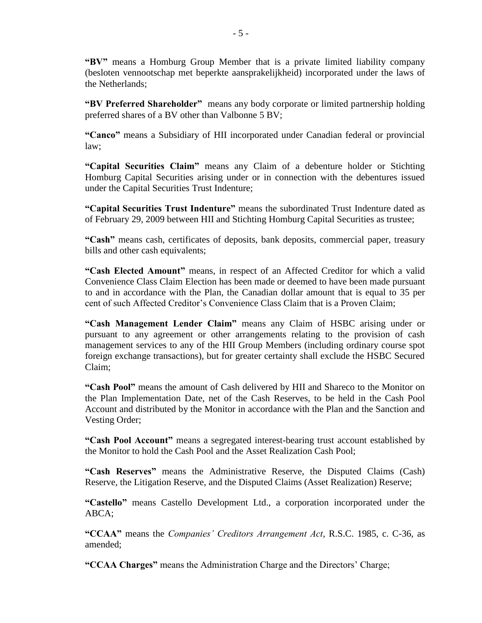**"BV"** means a Homburg Group Member that is a private limited liability company (besloten vennootschap met beperkte aansprakelijkheid) incorporated under the laws of the Netherlands;

**"BV Preferred Shareholder"** means any body corporate or limited partnership holding preferred shares of a BV other than Valbonne 5 BV;

**"Canco"** means a Subsidiary of HII incorporated under Canadian federal or provincial law;

**"Capital Securities Claim"** means any Claim of a debenture holder or Stichting Homburg Capital Securities arising under or in connection with the debentures issued under the Capital Securities Trust Indenture;

**"Capital Securities Trust Indenture"** means the subordinated Trust Indenture dated as of February 29, 2009 between HII and Stichting Homburg Capital Securities as trustee;

**"Cash"** means cash, certificates of deposits, bank deposits, commercial paper, treasury bills and other cash equivalents;

**"Cash Elected Amount"** means, in respect of an Affected Creditor for which a valid Convenience Class Claim Election has been made or deemed to have been made pursuant to and in accordance with the Plan, the Canadian dollar amount that is equal to 35 per cent of such Affected Creditor's Convenience Class Claim that is a Proven Claim;

**"Cash Management Lender Claim"** means any Claim of HSBC arising under or pursuant to any agreement or other arrangements relating to the provision of cash management services to any of the HII Group Members (including ordinary course spot foreign exchange transactions), but for greater certainty shall exclude the HSBC Secured Claim;

**"Cash Pool"** means the amount of Cash delivered by HII and Shareco to the Monitor on the Plan Implementation Date, net of the Cash Reserves, to be held in the Cash Pool Account and distributed by the Monitor in accordance with the Plan and the Sanction and Vesting Order;

**"Cash Pool Account"** means a segregated interest-bearing trust account established by the Monitor to hold the Cash Pool and the Asset Realization Cash Pool;

**"Cash Reserves"** means the Administrative Reserve, the Disputed Claims (Cash) Reserve, the Litigation Reserve, and the Disputed Claims (Asset Realization) Reserve;

**"Castello"** means Castello Development Ltd., a corporation incorporated under the ABCA;

**"CCAA"** means the *Companies' Creditors Arrangement Act*, R.S.C. 1985, c. C-36, as amended;

**"CCAA Charges"** means the Administration Charge and the Directors' Charge;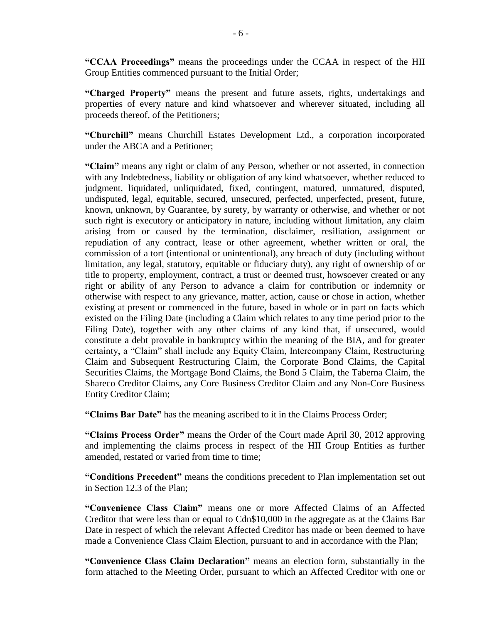**"CCAA Proceedings"** means the proceedings under the CCAA in respect of the HII Group Entities commenced pursuant to the Initial Order;

**"Charged Property"** means the present and future assets, rights, undertakings and properties of every nature and kind whatsoever and wherever situated, including all proceeds thereof, of the Petitioners;

**"Churchill"** means Churchill Estates Development Ltd., a corporation incorporated under the ABCA and a Petitioner;

**"Claim"** means any right or claim of any Person, whether or not asserted, in connection with any Indebtedness, liability or obligation of any kind whatsoever, whether reduced to judgment, liquidated, unliquidated, fixed, contingent, matured, unmatured, disputed, undisputed, legal, equitable, secured, unsecured, perfected, unperfected, present, future, known, unknown, by Guarantee, by surety, by warranty or otherwise, and whether or not such right is executory or anticipatory in nature, including without limitation, any claim arising from or caused by the termination, disclaimer, resiliation, assignment or repudiation of any contract, lease or other agreement, whether written or oral, the commission of a tort (intentional or unintentional), any breach of duty (including without limitation, any legal, statutory, equitable or fiduciary duty), any right of ownership of or title to property, employment, contract, a trust or deemed trust, howsoever created or any right or ability of any Person to advance a claim for contribution or indemnity or otherwise with respect to any grievance, matter, action, cause or chose in action, whether existing at present or commenced in the future, based in whole or in part on facts which existed on the Filing Date (including a Claim which relates to any time period prior to the Filing Date), together with any other claims of any kind that, if unsecured, would constitute a debt provable in bankruptcy within the meaning of the BIA, and for greater certainty, a "Claim" shall include any Equity Claim, Intercompany Claim, Restructuring Claim and Subsequent Restructuring Claim, the Corporate Bond Claims, the Capital Securities Claims, the Mortgage Bond Claims, the Bond 5 Claim, the Taberna Claim, the Shareco Creditor Claims, any Core Business Creditor Claim and any Non-Core Business Entity Creditor Claim;

**"Claims Bar Date"** has the meaning ascribed to it in the Claims Process Order;

**"Claims Process Order"** means the Order of the Court made April 30, 2012 approving and implementing the claims process in respect of the HII Group Entities as further amended, restated or varied from time to time;

**"Conditions Precedent"** means the conditions precedent to Plan implementation set out in Section 12.3 of the Plan;

**"Convenience Class Claim"** means one or more Affected Claims of an Affected Creditor that were less than or equal to Cdn\$10,000 in the aggregate as at the Claims Bar Date in respect of which the relevant Affected Creditor has made or been deemed to have made a Convenience Class Claim Election, pursuant to and in accordance with the Plan;

**"Convenience Class Claim Declaration"** means an election form, substantially in the form attached to the Meeting Order, pursuant to which an Affected Creditor with one or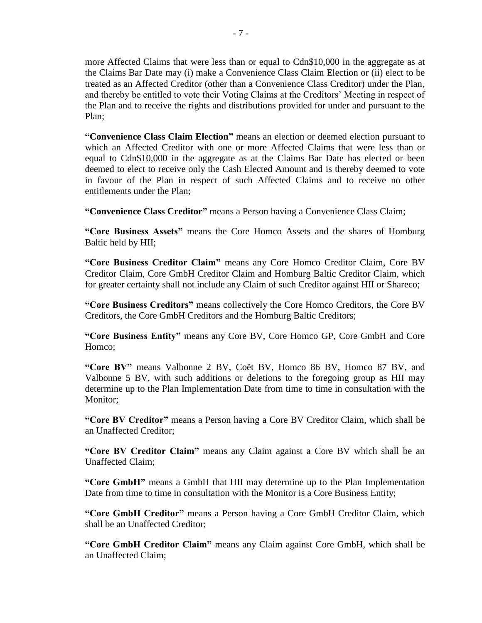more Affected Claims that were less than or equal to Cdn\$10,000 in the aggregate as at the Claims Bar Date may (i) make a Convenience Class Claim Election or (ii) elect to be treated as an Affected Creditor (other than a Convenience Class Creditor) under the Plan, and thereby be entitled to vote their Voting Claims at the Creditors' Meeting in respect of the Plan and to receive the rights and distributions provided for under and pursuant to the Plan;

**"Convenience Class Claim Election"** means an election or deemed election pursuant to which an Affected Creditor with one or more Affected Claims that were less than or equal to Cdn\$10,000 in the aggregate as at the Claims Bar Date has elected or been deemed to elect to receive only the Cash Elected Amount and is thereby deemed to vote in favour of the Plan in respect of such Affected Claims and to receive no other entitlements under the Plan;

**"Convenience Class Creditor"** means a Person having a Convenience Class Claim;

**"Core Business Assets"** means the Core Homco Assets and the shares of Homburg Baltic held by HII;

**"Core Business Creditor Claim"** means any Core Homco Creditor Claim, Core BV Creditor Claim, Core GmbH Creditor Claim and Homburg Baltic Creditor Claim, which for greater certainty shall not include any Claim of such Creditor against HII or Shareco;

**"Core Business Creditors"** means collectively the Core Homco Creditors, the Core BV Creditors, the Core GmbH Creditors and the Homburg Baltic Creditors;

**"Core Business Entity"** means any Core BV, Core Homco GP, Core GmbH and Core Homco;

**"Core BV"** means Valbonne 2 BV, Coët BV, Homco 86 BV, Homco 87 BV, and Valbonne 5 BV, with such additions or deletions to the foregoing group as HII may determine up to the Plan Implementation Date from time to time in consultation with the Monitor:

**"Core BV Creditor"** means a Person having a Core BV Creditor Claim, which shall be an Unaffected Creditor;

**"Core BV Creditor Claim"** means any Claim against a Core BV which shall be an Unaffected Claim;

**"Core GmbH"** means a GmbH that HII may determine up to the Plan Implementation Date from time to time in consultation with the Monitor is a Core Business Entity;

**"Core GmbH Creditor"** means a Person having a Core GmbH Creditor Claim, which shall be an Unaffected Creditor;

**"Core GmbH Creditor Claim"** means any Claim against Core GmbH, which shall be an Unaffected Claim;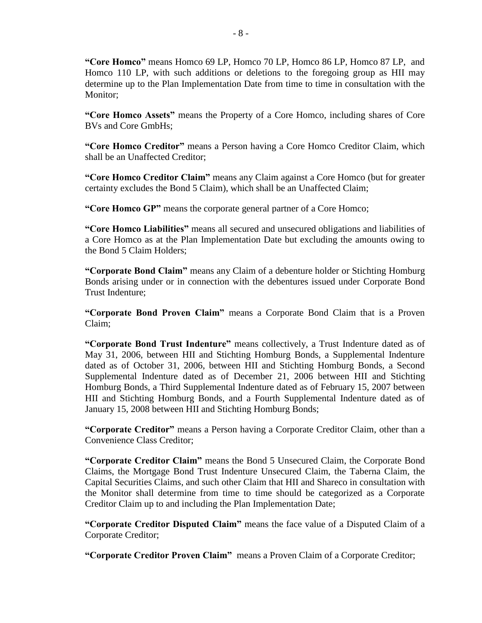**"Core Homco"** means Homco 69 LP, Homco 70 LP, Homco 86 LP, Homco 87 LP, and Homco 110 LP, with such additions or deletions to the foregoing group as HII may determine up to the Plan Implementation Date from time to time in consultation with the Monitor;

**"Core Homco Assets"** means the Property of a Core Homco, including shares of Core BVs and Core GmbHs;

**"Core Homco Creditor"** means a Person having a Core Homco Creditor Claim, which shall be an Unaffected Creditor;

**"Core Homco Creditor Claim"** means any Claim against a Core Homco (but for greater certainty excludes the Bond 5 Claim), which shall be an Unaffected Claim;

**"Core Homco GP"** means the corporate general partner of a Core Homco;

**"Core Homco Liabilities"** means all secured and unsecured obligations and liabilities of a Core Homco as at the Plan Implementation Date but excluding the amounts owing to the Bond 5 Claim Holders;

**"Corporate Bond Claim"** means any Claim of a debenture holder or Stichting Homburg Bonds arising under or in connection with the debentures issued under Corporate Bond Trust Indenture;

**"Corporate Bond Proven Claim"** means a Corporate Bond Claim that is a Proven Claim;

**"Corporate Bond Trust Indenture"** means collectively, a Trust Indenture dated as of May 31, 2006, between HII and Stichting Homburg Bonds, a Supplemental Indenture dated as of October 31, 2006, between HII and Stichting Homburg Bonds, a Second Supplemental Indenture dated as of December 21, 2006 between HII and Stichting Homburg Bonds, a Third Supplemental Indenture dated as of February 15, 2007 between HII and Stichting Homburg Bonds, and a Fourth Supplemental Indenture dated as of January 15, 2008 between HII and Stichting Homburg Bonds;

**"Corporate Creditor"** means a Person having a Corporate Creditor Claim, other than a Convenience Class Creditor;

**"Corporate Creditor Claim"** means the Bond 5 Unsecured Claim, the Corporate Bond Claims, the Mortgage Bond Trust Indenture Unsecured Claim, the Taberna Claim, the Capital Securities Claims, and such other Claim that HII and Shareco in consultation with the Monitor shall determine from time to time should be categorized as a Corporate Creditor Claim up to and including the Plan Implementation Date;

**"Corporate Creditor Disputed Claim"** means the face value of a Disputed Claim of a Corporate Creditor;

**"Corporate Creditor Proven Claim"** means a Proven Claim of a Corporate Creditor;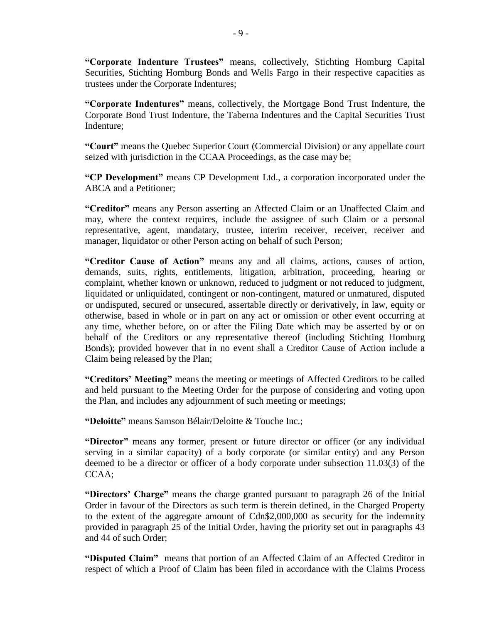**"Corporate Indenture Trustees"** means, collectively, Stichting Homburg Capital Securities, Stichting Homburg Bonds and Wells Fargo in their respective capacities as trustees under the Corporate Indentures;

**"Corporate Indentures"** means, collectively, the Mortgage Bond Trust Indenture, the Corporate Bond Trust Indenture, the Taberna Indentures and the Capital Securities Trust Indenture;

**"Court"** means the Quebec Superior Court (Commercial Division) or any appellate court seized with jurisdiction in the CCAA Proceedings, as the case may be;

**"CP Development"** means CP Development Ltd., a corporation incorporated under the ABCA and a Petitioner;

**"Creditor"** means any Person asserting an Affected Claim or an Unaffected Claim and may, where the context requires, include the assignee of such Claim or a personal representative, agent, mandatary, trustee, interim receiver, receiver, receiver and manager, liquidator or other Person acting on behalf of such Person;

**"Creditor Cause of Action"** means any and all claims, actions, causes of action, demands, suits, rights, entitlements, litigation, arbitration, proceeding, hearing or complaint, whether known or unknown, reduced to judgment or not reduced to judgment, liquidated or unliquidated, contingent or non-contingent, matured or unmatured, disputed or undisputed, secured or unsecured, assertable directly or derivatively, in law, equity or otherwise, based in whole or in part on any act or omission or other event occurring at any time, whether before, on or after the Filing Date which may be asserted by or on behalf of the Creditors or any representative thereof (including Stichting Homburg Bonds); provided however that in no event shall a Creditor Cause of Action include a Claim being released by the Plan;

**"Creditors' Meeting"** means the meeting or meetings of Affected Creditors to be called and held pursuant to the Meeting Order for the purpose of considering and voting upon the Plan, and includes any adjournment of such meeting or meetings;

**"Deloitte"** means Samson Bélair/Deloitte & Touche Inc.;

**"Director"** means any former, present or future director or officer (or any individual serving in a similar capacity) of a body corporate (or similar entity) and any Person deemed to be a director or officer of a body corporate under subsection 11.03(3) of the CCAA;

**"Directors' Charge"** means the charge granted pursuant to paragraph 26 of the Initial Order in favour of the Directors as such term is therein defined, in the Charged Property to the extent of the aggregate amount of Cdn\$2,000,000 as security for the indemnity provided in paragraph 25 of the Initial Order, having the priority set out in paragraphs 43 and 44 of such Order;

**"Disputed Claim"** means that portion of an Affected Claim of an Affected Creditor in respect of which a Proof of Claim has been filed in accordance with the Claims Process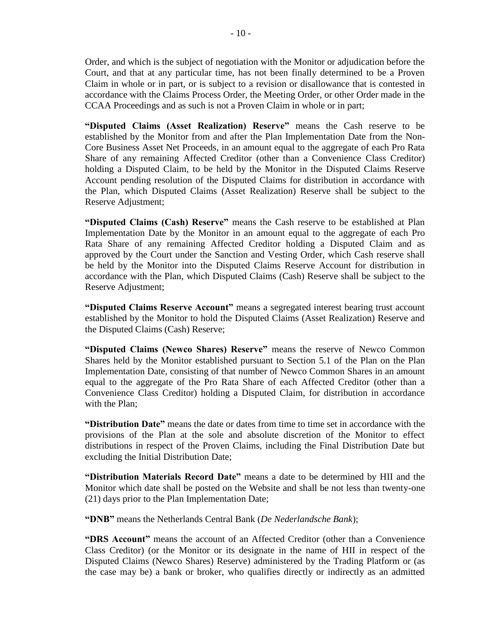Order, and which is the subject of negotiation with the Monitor or adjudication before the Court, and that at any particular time, has not been finally determined to be a Proven Claim in whole or in part, or is subject to a revision or disallowance that is contested in accordance with the Claims Process Order, the Meeting Order, or other Order made in the CCAA Proceedings and as such is not a Proven Claim in whole or in part;

**"Disputed Claims (Asset Realization) Reserve"** means the Cash reserve to be established by the Monitor from and after the Plan Implementation Date from the Non-Core Business Asset Net Proceeds, in an amount equal to the aggregate of each Pro Rata Share of any remaining Affected Creditor (other than a Convenience Class Creditor) holding a Disputed Claim, to be held by the Monitor in the Disputed Claims Reserve Account pending resolution of the Disputed Claims for distribution in accordance with the Plan, which Disputed Claims (Asset Realization) Reserve shall be subject to the Reserve Adjustment;

**"Disputed Claims (Cash) Reserve"** means the Cash reserve to be established at Plan Implementation Date by the Monitor in an amount equal to the aggregate of each Pro Rata Share of any remaining Affected Creditor holding a Disputed Claim and as approved by the Court under the Sanction and Vesting Order, which Cash reserve shall be held by the Monitor into the Disputed Claims Reserve Account for distribution in accordance with the Plan, which Disputed Claims (Cash) Reserve shall be subject to the Reserve Adjustment;

**"Disputed Claims Reserve Account"** means a segregated interest bearing trust account established by the Monitor to hold the Disputed Claims (Asset Realization) Reserve and the Disputed Claims (Cash) Reserve;

**"Disputed Claims (Newco Shares) Reserve"** means the reserve of Newco Common Shares held by the Monitor established pursuant to Section 5.1 of the Plan on the Plan Implementation Date, consisting of that number of Newco Common Shares in an amount equal to the aggregate of the Pro Rata Share of each Affected Creditor (other than a Convenience Class Creditor) holding a Disputed Claim, for distribution in accordance with the Plan;

**"Distribution Date"** means the date or dates from time to time set in accordance with the provisions of the Plan at the sole and absolute discretion of the Monitor to effect distributions in respect of the Proven Claims, including the Final Distribution Date but excluding the Initial Distribution Date;

**"Distribution Materials Record Date"** means a date to be determined by HII and the Monitor which date shall be posted on the Website and shall be not less than twenty-one (21) days prior to the Plan Implementation Date;

**"DNB"** means the Netherlands Central Bank (*De Nederlandsche Bank*);

**"DRS Account"** means the account of an Affected Creditor (other than a Convenience Class Creditor) (or the Monitor or its designate in the name of HII in respect of the Disputed Claims (Newco Shares) Reserve) administered by the Trading Platform or (as the case may be) a bank or broker, who qualifies directly or indirectly as an admitted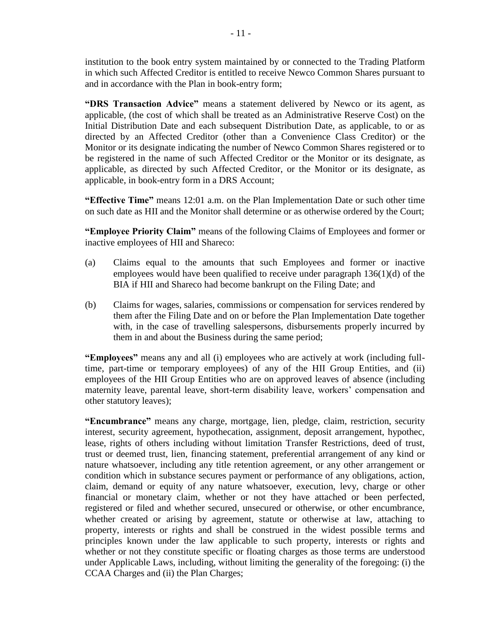institution to the book entry system maintained by or connected to the Trading Platform in which such Affected Creditor is entitled to receive Newco Common Shares pursuant to and in accordance with the Plan in book-entry form;

**"DRS Transaction Advice"** means a statement delivered by Newco or its agent, as applicable, (the cost of which shall be treated as an Administrative Reserve Cost) on the Initial Distribution Date and each subsequent Distribution Date, as applicable, to or as directed by an Affected Creditor (other than a Convenience Class Creditor) or the Monitor or its designate indicating the number of Newco Common Shares registered or to be registered in the name of such Affected Creditor or the Monitor or its designate, as applicable, as directed by such Affected Creditor, or the Monitor or its designate, as applicable, in book-entry form in a DRS Account;

**"Effective Time"** means 12:01 a.m. on the Plan Implementation Date or such other time on such date as HII and the Monitor shall determine or as otherwise ordered by the Court;

**"Employee Priority Claim"** means of the following Claims of Employees and former or inactive employees of HII and Shareco:

- (a) Claims equal to the amounts that such Employees and former or inactive employees would have been qualified to receive under paragraph 136(1)(d) of the BIA if HII and Shareco had become bankrupt on the Filing Date; and
- (b) Claims for wages, salaries, commissions or compensation for services rendered by them after the Filing Date and on or before the Plan Implementation Date together with, in the case of travelling salespersons, disbursements properly incurred by them in and about the Business during the same period;

**"Employees"** means any and all (i) employees who are actively at work (including fulltime, part-time or temporary employees) of any of the HII Group Entities, and (ii) employees of the HII Group Entities who are on approved leaves of absence (including maternity leave, parental leave, short-term disability leave, workers' compensation and other statutory leaves);

**"Encumbrance"** means any charge, mortgage, lien, pledge, claim, restriction, security interest, security agreement, hypothecation, assignment, deposit arrangement, hypothec, lease, rights of others including without limitation Transfer Restrictions, deed of trust, trust or deemed trust, lien, financing statement, preferential arrangement of any kind or nature whatsoever, including any title retention agreement, or any other arrangement or condition which in substance secures payment or performance of any obligations, action, claim, demand or equity of any nature whatsoever, execution, levy, charge or other financial or monetary claim, whether or not they have attached or been perfected, registered or filed and whether secured, unsecured or otherwise, or other encumbrance, whether created or arising by agreement, statute or otherwise at law, attaching to property, interests or rights and shall be construed in the widest possible terms and principles known under the law applicable to such property, interests or rights and whether or not they constitute specific or floating charges as those terms are understood under Applicable Laws, including, without limiting the generality of the foregoing: (i) the CCAA Charges and (ii) the Plan Charges;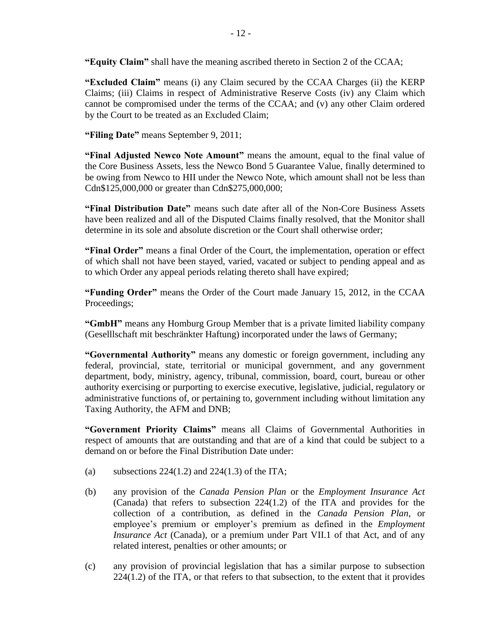**"Excluded Claim"** means (i) any Claim secured by the CCAA Charges (ii) the KERP Claims; (iii) Claims in respect of Administrative Reserve Costs (iv) any Claim which cannot be compromised under the terms of the CCAA; and (v) any other Claim ordered by the Court to be treated as an Excluded Claim;

**"Filing Date"** means September 9, 2011;

**"Final Adjusted Newco Note Amount"** means the amount, equal to the final value of the Core Business Assets, less the Newco Bond 5 Guarantee Value, finally determined to be owing from Newco to HII under the Newco Note, which amount shall not be less than Cdn\$125,000,000 or greater than Cdn\$275,000,000;

**"Final Distribution Date"** means such date after all of the Non-Core Business Assets have been realized and all of the Disputed Claims finally resolved, that the Monitor shall determine in its sole and absolute discretion or the Court shall otherwise order;

**"Final Order"** means a final Order of the Court, the implementation, operation or effect of which shall not have been stayed, varied, vacated or subject to pending appeal and as to which Order any appeal periods relating thereto shall have expired;

**"Funding Order"** means the Order of the Court made January 15, 2012, in the CCAA Proceedings;

**"GmbH"** means any Homburg Group Member that is a private limited liability company (Geselllschaft mit beschränkter Haftung) incorporated under the laws of Germany;

**"Governmental Authority"** means any domestic or foreign government, including any federal, provincial, state, territorial or municipal government, and any government department, body, ministry, agency, tribunal, commission, board, court, bureau or other authority exercising or purporting to exercise executive, legislative, judicial, regulatory or administrative functions of, or pertaining to, government including without limitation any Taxing Authority, the AFM and DNB;

**"Government Priority Claims"** means all Claims of Governmental Authorities in respect of amounts that are outstanding and that are of a kind that could be subject to a demand on or before the Final Distribution Date under:

- (a) subsections  $224(1.2)$  and  $224(1.3)$  of the ITA;
- (b) any provision of the *Canada Pension Plan* or the *Employment Insurance Act* (Canada) that refers to subsection 224(1.2) of the ITA and provides for the collection of a contribution, as defined in the *Canada Pension Plan*, or employee's premium or employer's premium as defined in the *Employment Insurance Act* (Canada), or a premium under Part VII.1 of that Act, and of any related interest, penalties or other amounts; or
- (c) any provision of provincial legislation that has a similar purpose to subsection  $224(1.2)$  of the ITA, or that refers to that subsection, to the extent that it provides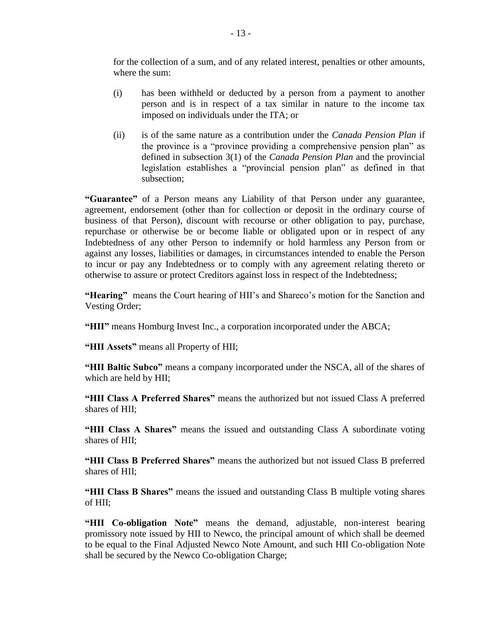for the collection of a sum, and of any related interest, penalties or other amounts, where the sum:

- (i) has been withheld or deducted by a person from a payment to another person and is in respect of a tax similar in nature to the income tax imposed on individuals under the ITA; or
- (ii) is of the same nature as a contribution under the *Canada Pension Plan* if the province is a "province providing a comprehensive pension plan" as defined in subsection 3(1) of the *Canada Pension Plan* and the provincial legislation establishes a "provincial pension plan" as defined in that subsection;

**"Guarantee"** of a Person means any Liability of that Person under any guarantee, agreement, endorsement (other than for collection or deposit in the ordinary course of business of that Person), discount with recourse or other obligation to pay, purchase, repurchase or otherwise be or become liable or obligated upon or in respect of any Indebtedness of any other Person to indemnify or hold harmless any Person from or against any losses, liabilities or damages, in circumstances intended to enable the Person to incur or pay any Indebtedness or to comply with any agreement relating thereto or otherwise to assure or protect Creditors against loss in respect of the Indebtedness;

**"Hearing"** means the Court hearing of HII's and Shareco's motion for the Sanction and Vesting Order;

**"HII"** means Homburg Invest Inc., a corporation incorporated under the ABCA;

**"HII Assets"** means all Property of HII;

**"HII Baltic Subco"** means a company incorporated under the NSCA, all of the shares of which are held by HII;

**"HII Class A Preferred Shares"** means the authorized but not issued Class A preferred shares of HII;

**"HII Class A Shares"** means the issued and outstanding Class A subordinate voting shares of HII;

**"HII Class B Preferred Shares"** means the authorized but not issued Class B preferred shares of HII;

**"HII Class B Shares"** means the issued and outstanding Class B multiple voting shares of HII;

**"HII Co-obligation Note"** means the demand, adjustable, non-interest bearing promissory note issued by HII to Newco, the principal amount of which shall be deemed to be equal to the Final Adjusted Newco Note Amount, and such HII Co-obligation Note shall be secured by the Newco Co-obligation Charge;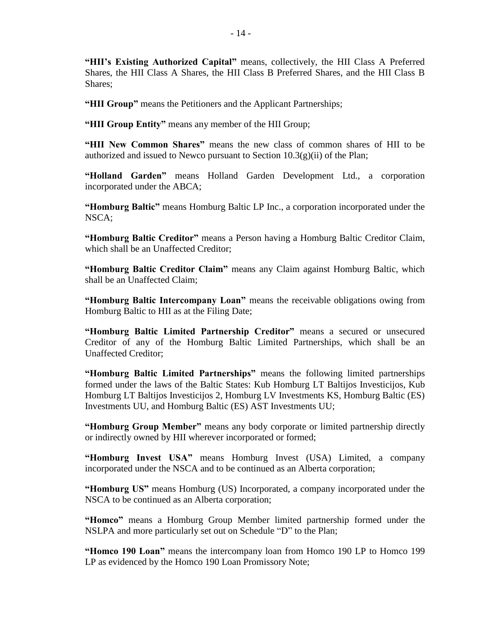**"HII's Existing Authorized Capital"** means, collectively, the HII Class A Preferred Shares, the HII Class A Shares, the HII Class B Preferred Shares, and the HII Class B Shares;

**"HII Group"** means the Petitioners and the Applicant Partnerships;

**"HII Group Entity"** means any member of the HII Group;

**"HII New Common Shares"** means the new class of common shares of HII to be authorized and issued to Newco pursuant to Section  $10.3(g)(ii)$  of the Plan;

**"Holland Garden"** means Holland Garden Development Ltd., a corporation incorporated under the ABCA;

**"Homburg Baltic"** means Homburg Baltic LP Inc., a corporation incorporated under the NSCA;

**"Homburg Baltic Creditor"** means a Person having a Homburg Baltic Creditor Claim, which shall be an Unaffected Creditor;

**"Homburg Baltic Creditor Claim"** means any Claim against Homburg Baltic, which shall be an Unaffected Claim;

**"Homburg Baltic Intercompany Loan"** means the receivable obligations owing from Homburg Baltic to HII as at the Filing Date;

**"Homburg Baltic Limited Partnership Creditor"** means a secured or unsecured Creditor of any of the Homburg Baltic Limited Partnerships, which shall be an Unaffected Creditor;

**"Homburg Baltic Limited Partnerships"** means the following limited partnerships formed under the laws of the Baltic States: Kub Homburg LT Baltijos Investicijos, Kub Homburg LT Baltijos Investicijos 2, Homburg LV Investments KS, Homburg Baltic (ES) Investments UU, and Homburg Baltic (ES) AST Investments UU;

**"Homburg Group Member"** means any body corporate or limited partnership directly or indirectly owned by HII wherever incorporated or formed;

**"Homburg Invest USA"** means Homburg Invest (USA) Limited, a company incorporated under the NSCA and to be continued as an Alberta corporation;

**"Homburg US"** means Homburg (US) Incorporated, a company incorporated under the NSCA to be continued as an Alberta corporation;

**"Homco"** means a Homburg Group Member limited partnership formed under the NSLPA and more particularly set out on Schedule "D" to the Plan;

**"Homco 190 Loan"** means the intercompany loan from Homco 190 LP to Homco 199 LP as evidenced by the Homco 190 Loan Promissory Note;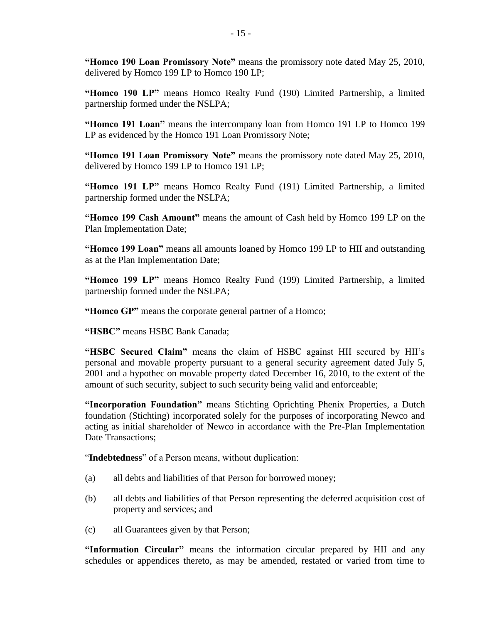**"Homco 190 Loan Promissory Note"** means the promissory note dated May 25, 2010, delivered by Homco 199 LP to Homco 190 LP;

**"Homco 190 LP"** means Homco Realty Fund (190) Limited Partnership, a limited partnership formed under the NSLPA;

**"Homco 191 Loan"** means the intercompany loan from Homco 191 LP to Homco 199 LP as evidenced by the Homco 191 Loan Promissory Note;

**"Homco 191 Loan Promissory Note"** means the promissory note dated May 25, 2010, delivered by Homco 199 LP to Homco 191 LP;

**"Homco 191 LP"** means Homco Realty Fund (191) Limited Partnership, a limited partnership formed under the NSLPA;

**"Homco 199 Cash Amount"** means the amount of Cash held by Homco 199 LP on the Plan Implementation Date;

**"Homco 199 Loan"** means all amounts loaned by Homco 199 LP to HII and outstanding as at the Plan Implementation Date;

**"Homco 199 LP"** means Homco Realty Fund (199) Limited Partnership, a limited partnership formed under the NSLPA;

**"Homco GP"** means the corporate general partner of a Homco;

**"HSBC"** means HSBC Bank Canada;

**"HSBC Secured Claim"** means the claim of HSBC against HII secured by HII's personal and movable property pursuant to a general security agreement dated July 5, 2001 and a hypothec on movable property dated December 16, 2010, to the extent of the amount of such security, subject to such security being valid and enforceable;

**"Incorporation Foundation"** means Stichting Oprichting Phenix Properties, a Dutch foundation (Stichting) incorporated solely for the purposes of incorporating Newco and acting as initial shareholder of Newco in accordance with the Pre-Plan Implementation Date Transactions;

"**Indebtedness**" of a Person means, without duplication:

- (a) all debts and liabilities of that Person for borrowed money;
- (b) all debts and liabilities of that Person representing the deferred acquisition cost of property and services; and
- (c) all Guarantees given by that Person;

**"Information Circular"** means the information circular prepared by HII and any schedules or appendices thereto, as may be amended, restated or varied from time to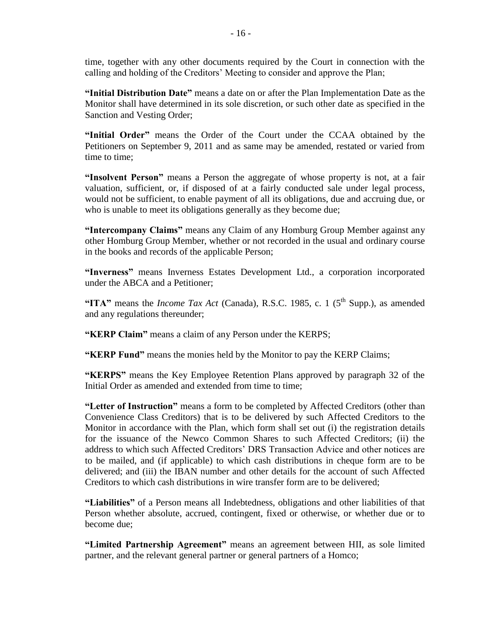time, together with any other documents required by the Court in connection with the calling and holding of the Creditors' Meeting to consider and approve the Plan;

**"Initial Distribution Date"** means a date on or after the Plan Implementation Date as the Monitor shall have determined in its sole discretion, or such other date as specified in the Sanction and Vesting Order;

**"Initial Order"** means the Order of the Court under the CCAA obtained by the Petitioners on September 9, 2011 and as same may be amended, restated or varied from time to time;

**"Insolvent Person"** means a Person the aggregate of whose property is not, at a fair valuation, sufficient, or, if disposed of at a fairly conducted sale under legal process, would not be sufficient, to enable payment of all its obligations, due and accruing due, or who is unable to meet its obligations generally as they become due;

**"Intercompany Claims"** means any Claim of any Homburg Group Member against any other Homburg Group Member, whether or not recorded in the usual and ordinary course in the books and records of the applicable Person;

**"Inverness"** means Inverness Estates Development Ltd., a corporation incorporated under the ABCA and a Petitioner;

"ITA" means the *Income Tax Act* (Canada), R.S.C. 1985, c. 1 ( $5<sup>th</sup>$  Supp.), as amended and any regulations thereunder;

**"KERP Claim"** means a claim of any Person under the KERPS;

**"KERP Fund"** means the monies held by the Monitor to pay the KERP Claims;

**"KERPS"** means the Key Employee Retention Plans approved by paragraph 32 of the Initial Order as amended and extended from time to time;

**"Letter of Instruction"** means a form to be completed by Affected Creditors (other than Convenience Class Creditors) that is to be delivered by such Affected Creditors to the Monitor in accordance with the Plan, which form shall set out (i) the registration details for the issuance of the Newco Common Shares to such Affected Creditors; (ii) the address to which such Affected Creditors' DRS Transaction Advice and other notices are to be mailed, and (if applicable) to which cash distributions in cheque form are to be delivered; and (iii) the IBAN number and other details for the account of such Affected Creditors to which cash distributions in wire transfer form are to be delivered;

**"Liabilities"** of a Person means all Indebtedness, obligations and other liabilities of that Person whether absolute, accrued, contingent, fixed or otherwise, or whether due or to become due;

**"Limited Partnership Agreement"** means an agreement between HII, as sole limited partner, and the relevant general partner or general partners of a Homco;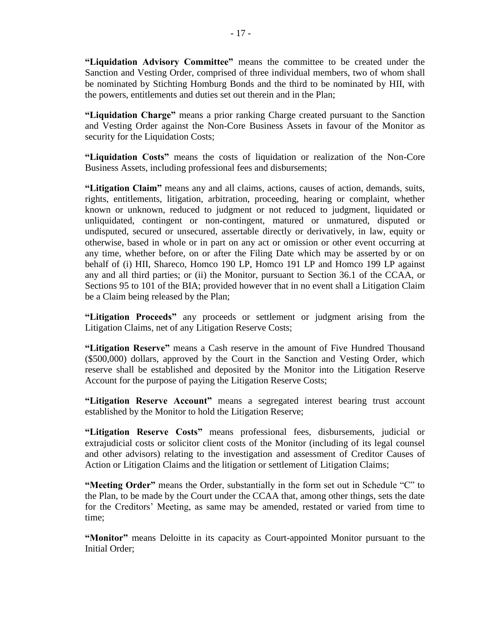**"Liquidation Advisory Committee"** means the committee to be created under the Sanction and Vesting Order, comprised of three individual members, two of whom shall be nominated by Stichting Homburg Bonds and the third to be nominated by HII, with the powers, entitlements and duties set out therein and in the Plan;

**"Liquidation Charge"** means a prior ranking Charge created pursuant to the Sanction and Vesting Order against the Non-Core Business Assets in favour of the Monitor as security for the Liquidation Costs;

**"Liquidation Costs"** means the costs of liquidation or realization of the Non-Core Business Assets, including professional fees and disbursements;

**"Litigation Claim"** means any and all claims, actions, causes of action, demands, suits, rights, entitlements, litigation, arbitration, proceeding, hearing or complaint, whether known or unknown, reduced to judgment or not reduced to judgment, liquidated or unliquidated, contingent or non-contingent, matured or unmatured, disputed or undisputed, secured or unsecured, assertable directly or derivatively, in law, equity or otherwise, based in whole or in part on any act or omission or other event occurring at any time, whether before, on or after the Filing Date which may be asserted by or on behalf of (i) HII, Shareco, Homco 190 LP, Homco 191 LP and Homco 199 LP against any and all third parties; or (ii) the Monitor, pursuant to Section 36.1 of the CCAA, or Sections 95 to 101 of the BIA; provided however that in no event shall a Litigation Claim be a Claim being released by the Plan;

**"Litigation Proceeds"** any proceeds or settlement or judgment arising from the Litigation Claims, net of any Litigation Reserve Costs;

**"Litigation Reserve"** means a Cash reserve in the amount of Five Hundred Thousand (\$500,000) dollars, approved by the Court in the Sanction and Vesting Order, which reserve shall be established and deposited by the Monitor into the Litigation Reserve Account for the purpose of paying the Litigation Reserve Costs;

**"Litigation Reserve Account"** means a segregated interest bearing trust account established by the Monitor to hold the Litigation Reserve;

**"Litigation Reserve Costs"** means professional fees, disbursements, judicial or extrajudicial costs or solicitor client costs of the Monitor (including of its legal counsel and other advisors) relating to the investigation and assessment of Creditor Causes of Action or Litigation Claims and the litigation or settlement of Litigation Claims;

**"Meeting Order"** means the Order, substantially in the form set out in Schedule "C" to the Plan, to be made by the Court under the CCAA that, among other things, sets the date for the Creditors' Meeting, as same may be amended, restated or varied from time to time;

**"Monitor"** means Deloitte in its capacity as Court-appointed Monitor pursuant to the Initial Order;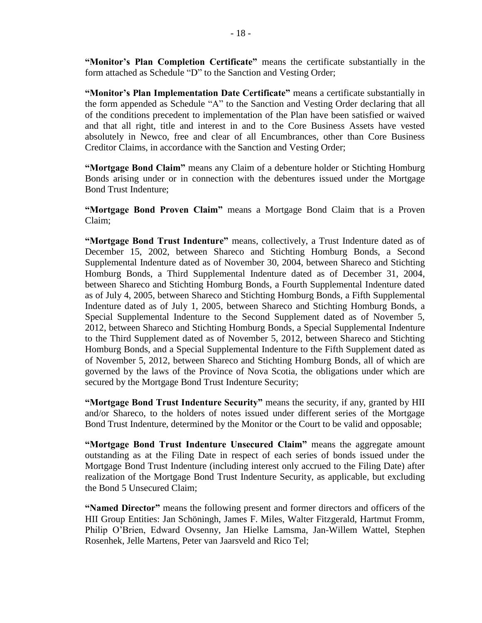**"Monitor's Plan Completion Certificate"** means the certificate substantially in the form attached as Schedule "D" to the Sanction and Vesting Order;

**"Monitor's Plan Implementation Date Certificate"** means a certificate substantially in the form appended as Schedule "A" to the Sanction and Vesting Order declaring that all of the conditions precedent to implementation of the Plan have been satisfied or waived and that all right, title and interest in and to the Core Business Assets have vested absolutely in Newco, free and clear of all Encumbrances, other than Core Business Creditor Claims, in accordance with the Sanction and Vesting Order;

**"Mortgage Bond Claim"** means any Claim of a debenture holder or Stichting Homburg Bonds arising under or in connection with the debentures issued under the Mortgage Bond Trust Indenture;

**"Mortgage Bond Proven Claim"** means a Mortgage Bond Claim that is a Proven Claim;

**"Mortgage Bond Trust Indenture"** means, collectively, a Trust Indenture dated as of December 15, 2002, between Shareco and Stichting Homburg Bonds, a Second Supplemental Indenture dated as of November 30, 2004, between Shareco and Stichting Homburg Bonds, a Third Supplemental Indenture dated as of December 31, 2004, between Shareco and Stichting Homburg Bonds, a Fourth Supplemental Indenture dated as of July 4, 2005, between Shareco and Stichting Homburg Bonds, a Fifth Supplemental Indenture dated as of July 1, 2005, between Shareco and Stichting Homburg Bonds, a Special Supplemental Indenture to the Second Supplement dated as of November 5, 2012, between Shareco and Stichting Homburg Bonds, a Special Supplemental Indenture to the Third Supplement dated as of November 5, 2012, between Shareco and Stichting Homburg Bonds, and a Special Supplemental Indenture to the Fifth Supplement dated as of November 5, 2012, between Shareco and Stichting Homburg Bonds, all of which are governed by the laws of the Province of Nova Scotia, the obligations under which are secured by the Mortgage Bond Trust Indenture Security;

**"Mortgage Bond Trust Indenture Security"** means the security, if any, granted by HII and/or Shareco, to the holders of notes issued under different series of the Mortgage Bond Trust Indenture, determined by the Monitor or the Court to be valid and opposable;

**"Mortgage Bond Trust Indenture Unsecured Claim"** means the aggregate amount outstanding as at the Filing Date in respect of each series of bonds issued under the Mortgage Bond Trust Indenture (including interest only accrued to the Filing Date) after realization of the Mortgage Bond Trust Indenture Security, as applicable, but excluding the Bond 5 Unsecured Claim;

**"Named Director"** means the following present and former directors and officers of the HII Group Entities: Jan Schöningh, James F. Miles, Walter Fitzgerald, Hartmut Fromm, Philip O'Brien, Edward Ovsenny, Jan Hielke Lamsma, Jan-Willem Wattel, Stephen Rosenhek, Jelle Martens, Peter van Jaarsveld and Rico Tel;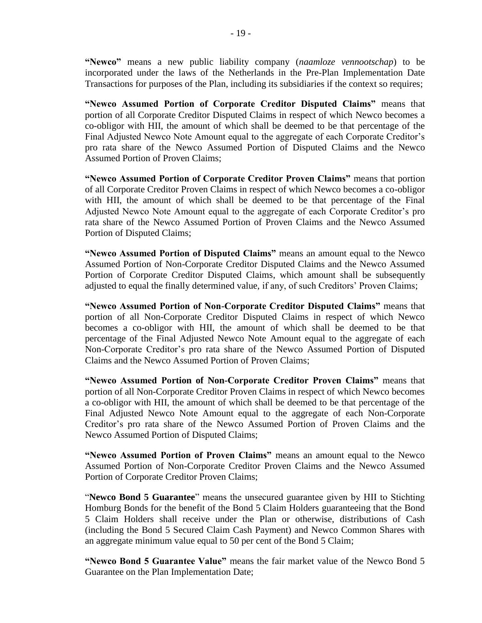**"Newco"** means a new public liability company (*naamloze vennootschap*) to be incorporated under the laws of the Netherlands in the Pre-Plan Implementation Date Transactions for purposes of the Plan, including its subsidiaries if the context so requires;

**"Newco Assumed Portion of Corporate Creditor Disputed Claims"** means that portion of all Corporate Creditor Disputed Claims in respect of which Newco becomes a co-obligor with HII, the amount of which shall be deemed to be that percentage of the Final Adjusted Newco Note Amount equal to the aggregate of each Corporate Creditor's pro rata share of the Newco Assumed Portion of Disputed Claims and the Newco Assumed Portion of Proven Claims;

**"Newco Assumed Portion of Corporate Creditor Proven Claims"** means that portion of all Corporate Creditor Proven Claims in respect of which Newco becomes a co-obligor with HII, the amount of which shall be deemed to be that percentage of the Final Adjusted Newco Note Amount equal to the aggregate of each Corporate Creditor's pro rata share of the Newco Assumed Portion of Proven Claims and the Newco Assumed Portion of Disputed Claims;

**"Newco Assumed Portion of Disputed Claims"** means an amount equal to the Newco Assumed Portion of Non-Corporate Creditor Disputed Claims and the Newco Assumed Portion of Corporate Creditor Disputed Claims, which amount shall be subsequently adjusted to equal the finally determined value, if any, of such Creditors' Proven Claims;

**"Newco Assumed Portion of Non-Corporate Creditor Disputed Claims"** means that portion of all Non-Corporate Creditor Disputed Claims in respect of which Newco becomes a co-obligor with HII, the amount of which shall be deemed to be that percentage of the Final Adjusted Newco Note Amount equal to the aggregate of each Non-Corporate Creditor's pro rata share of the Newco Assumed Portion of Disputed Claims and the Newco Assumed Portion of Proven Claims;

**"Newco Assumed Portion of Non-Corporate Creditor Proven Claims"** means that portion of all Non-Corporate Creditor Proven Claims in respect of which Newco becomes a co-obligor with HII, the amount of which shall be deemed to be that percentage of the Final Adjusted Newco Note Amount equal to the aggregate of each Non-Corporate Creditor's pro rata share of the Newco Assumed Portion of Proven Claims and the Newco Assumed Portion of Disputed Claims;

**"Newco Assumed Portion of Proven Claims"** means an amount equal to the Newco Assumed Portion of Non-Corporate Creditor Proven Claims and the Newco Assumed Portion of Corporate Creditor Proven Claims;

"**Newco Bond 5 Guarantee**" means the unsecured guarantee given by HII to Stichting Homburg Bonds for the benefit of the Bond 5 Claim Holders guaranteeing that the Bond 5 Claim Holders shall receive under the Plan or otherwise, distributions of Cash (including the Bond 5 Secured Claim Cash Payment) and Newco Common Shares with an aggregate minimum value equal to 50 per cent of the Bond 5 Claim;

**"Newco Bond 5 Guarantee Value"** means the fair market value of the Newco Bond 5 Guarantee on the Plan Implementation Date;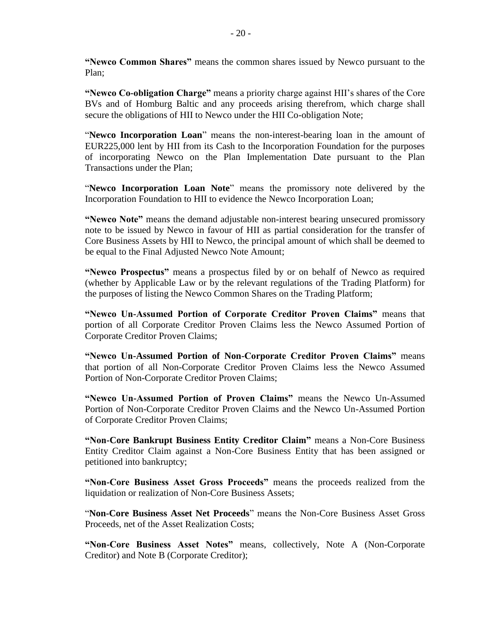**"Newco Common Shares"** means the common shares issued by Newco pursuant to the Plan;

**"Newco Co-obligation Charge"** means a priority charge against HII's shares of the Core BVs and of Homburg Baltic and any proceeds arising therefrom, which charge shall secure the obligations of HII to Newco under the HII Co-obligation Note;

"**Newco Incorporation Loan**" means the non-interest-bearing loan in the amount of EUR225,000 lent by HII from its Cash to the Incorporation Foundation for the purposes of incorporating Newco on the Plan Implementation Date pursuant to the Plan Transactions under the Plan;

"**Newco Incorporation Loan Note**" means the promissory note delivered by the Incorporation Foundation to HII to evidence the Newco Incorporation Loan;

**"Newco Note"** means the demand adjustable non-interest bearing unsecured promissory note to be issued by Newco in favour of HII as partial consideration for the transfer of Core Business Assets by HII to Newco, the principal amount of which shall be deemed to be equal to the Final Adjusted Newco Note Amount;

**"Newco Prospectus"** means a prospectus filed by or on behalf of Newco as required (whether by Applicable Law or by the relevant regulations of the Trading Platform) for the purposes of listing the Newco Common Shares on the Trading Platform;

**"Newco Un-Assumed Portion of Corporate Creditor Proven Claims"** means that portion of all Corporate Creditor Proven Claims less the Newco Assumed Portion of Corporate Creditor Proven Claims;

**"Newco Un-Assumed Portion of Non-Corporate Creditor Proven Claims"** means that portion of all Non-Corporate Creditor Proven Claims less the Newco Assumed Portion of Non-Corporate Creditor Proven Claims;

**"Newco Un-Assumed Portion of Proven Claims"** means the Newco Un-Assumed Portion of Non-Corporate Creditor Proven Claims and the Newco Un-Assumed Portion of Corporate Creditor Proven Claims;

**"Non-Core Bankrupt Business Entity Creditor Claim"** means a Non-Core Business Entity Creditor Claim against a Non-Core Business Entity that has been assigned or petitioned into bankruptcy;

**"Non-Core Business Asset Gross Proceeds"** means the proceeds realized from the liquidation or realization of Non-Core Business Assets;

"**Non-Core Business Asset Net Proceeds**" means the Non-Core Business Asset Gross Proceeds, net of the Asset Realization Costs;

**"Non-Core Business Asset Notes"** means, collectively, Note A (Non-Corporate Creditor) and Note B (Corporate Creditor);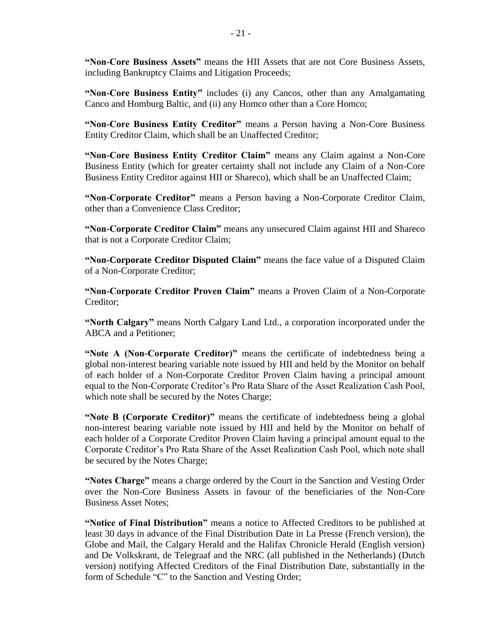**"Non-Core Business Assets"** means the HII Assets that are not Core Business Assets, including Bankruptcy Claims and Litigation Proceeds;

**"Non-Core Business Entity"** includes (i) any Cancos, other than any Amalgamating Canco and Homburg Baltic, and (ii) any Homco other than a Core Homco;

**"Non-Core Business Entity Creditor"** means a Person having a Non-Core Business Entity Creditor Claim, which shall be an Unaffected Creditor;

**"Non-Core Business Entity Creditor Claim"** means any Claim against a Non-Core Business Entity (which for greater certainty shall not include any Claim of a Non-Core Business Entity Creditor against HII or Shareco), which shall be an Unaffected Claim;

**"Non-Corporate Creditor"** means a Person having a Non-Corporate Creditor Claim, other than a Convenience Class Creditor;

**"Non-Corporate Creditor Claim"** means any unsecured Claim against HII and Shareco that is not a Corporate Creditor Claim;

**"Non-Corporate Creditor Disputed Claim"** means the face value of a Disputed Claim of a Non-Corporate Creditor;

**"Non-Corporate Creditor Proven Claim"** means a Proven Claim of a Non-Corporate Creditor;

**"North Calgary"** means North Calgary Land Ltd., a corporation incorporated under the ABCA and a Petitioner;

**"Note A (Non-Corporate Creditor)"** means the certificate of indebtedness being a global non-interest bearing variable note issued by HII and held by the Monitor on behalf of each holder of a Non-Corporate Creditor Proven Claim having a principal amount equal to the Non-Corporate Creditor's Pro Rata Share of the Asset Realization Cash Pool, which note shall be secured by the Notes Charge;

**"Note B (Corporate Creditor)"** means the certificate of indebtedness being a global non-interest bearing variable note issued by HII and held by the Monitor on behalf of each holder of a Corporate Creditor Proven Claim having a principal amount equal to the Corporate Creditor's Pro Rata Share of the Asset Realization Cash Pool, which note shall be secured by the Notes Charge;

**"Notes Charge"** means a charge ordered by the Court in the Sanction and Vesting Order over the Non-Core Business Assets in favour of the beneficiaries of the Non-Core Business Asset Notes;

**"Notice of Final Distribution"** means a notice to Affected Creditors to be published at least 30 days in advance of the Final Distribution Date in La Presse (French version), the Globe and Mail, the Calgary Herald and the Halifax Chronicle Herald (English version) and De Volkskrant, de Telegraaf and the NRC (all published in the Netherlands) (Dutch version) notifying Affected Creditors of the Final Distribution Date, substantially in the form of Schedule "C" to the Sanction and Vesting Order;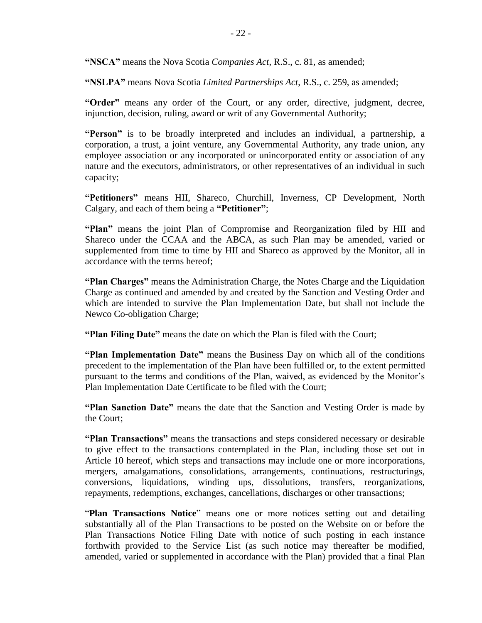**"NSCA"** means the Nova Scotia *Companies Act*, R.S., c. 81, as amended;

**"NSLPA"** means Nova Scotia *Limited Partnerships Act*, R.S., c. 259, as amended;

**"Order"** means any order of the Court, or any order, directive, judgment, decree, injunction, decision, ruling, award or writ of any Governmental Authority;

**"Person"** is to be broadly interpreted and includes an individual, a partnership, a corporation, a trust, a joint venture, any Governmental Authority, any trade union, any employee association or any incorporated or unincorporated entity or association of any nature and the executors, administrators, or other representatives of an individual in such capacity;

**"Petitioners"** means HII, Shareco, Churchill, Inverness, CP Development, North Calgary, and each of them being a **"Petitioner"**;

**"Plan"** means the joint Plan of Compromise and Reorganization filed by HII and Shareco under the CCAA and the ABCA, as such Plan may be amended, varied or supplemented from time to time by HII and Shareco as approved by the Monitor, all in accordance with the terms hereof;

**"Plan Charges"** means the Administration Charge, the Notes Charge and the Liquidation Charge as continued and amended by and created by the Sanction and Vesting Order and which are intended to survive the Plan Implementation Date, but shall not include the Newco Co-obligation Charge;

**"Plan Filing Date"** means the date on which the Plan is filed with the Court;

**"Plan Implementation Date"** means the Business Day on which all of the conditions precedent to the implementation of the Plan have been fulfilled or, to the extent permitted pursuant to the terms and conditions of the Plan, waived, as evidenced by the Monitor's Plan Implementation Date Certificate to be filed with the Court;

**"Plan Sanction Date"** means the date that the Sanction and Vesting Order is made by the Court;

**"Plan Transactions"** means the transactions and steps considered necessary or desirable to give effect to the transactions contemplated in the Plan, including those set out in Article 10 hereof, which steps and transactions may include one or more incorporations, mergers, amalgamations, consolidations, arrangements, continuations, restructurings, conversions, liquidations, winding ups, dissolutions, transfers, reorganizations, repayments, redemptions, exchanges, cancellations, discharges or other transactions;

"**Plan Transactions Notice**" means one or more notices setting out and detailing substantially all of the Plan Transactions to be posted on the Website on or before the Plan Transactions Notice Filing Date with notice of such posting in each instance forthwith provided to the Service List (as such notice may thereafter be modified, amended, varied or supplemented in accordance with the Plan) provided that a final Plan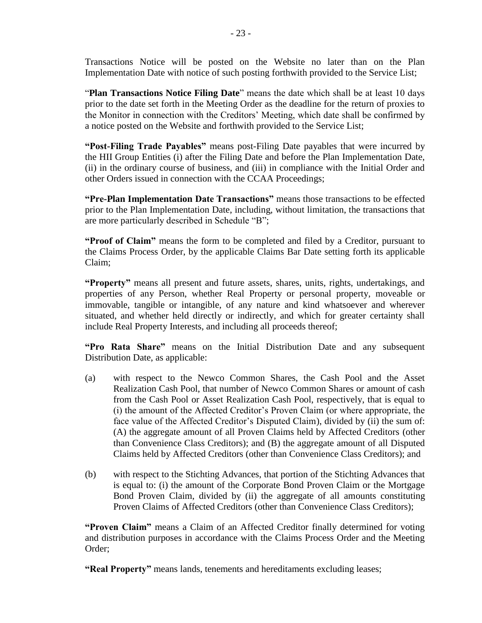Transactions Notice will be posted on the Website no later than on the Plan Implementation Date with notice of such posting forthwith provided to the Service List;

"**Plan Transactions Notice Filing Date**" means the date which shall be at least 10 days prior to the date set forth in the Meeting Order as the deadline for the return of proxies to the Monitor in connection with the Creditors' Meeting, which date shall be confirmed by a notice posted on the Website and forthwith provided to the Service List;

**"Post-Filing Trade Payables"** means post-Filing Date payables that were incurred by the HII Group Entities (i) after the Filing Date and before the Plan Implementation Date, (ii) in the ordinary course of business, and (iii) in compliance with the Initial Order and other Orders issued in connection with the CCAA Proceedings;

**"Pre-Plan Implementation Date Transactions"** means those transactions to be effected prior to the Plan Implementation Date, including, without limitation, the transactions that are more particularly described in Schedule "B";

**"Proof of Claim"** means the form to be completed and filed by a Creditor, pursuant to the Claims Process Order, by the applicable Claims Bar Date setting forth its applicable Claim;

**"Property"** means all present and future assets, shares, units, rights, undertakings, and properties of any Person, whether Real Property or personal property, moveable or immovable, tangible or intangible, of any nature and kind whatsoever and wherever situated, and whether held directly or indirectly, and which for greater certainty shall include Real Property Interests, and including all proceeds thereof;

**"Pro Rata Share"** means on the Initial Distribution Date and any subsequent Distribution Date, as applicable:

- (a) with respect to the Newco Common Shares, the Cash Pool and the Asset Realization Cash Pool, that number of Newco Common Shares or amount of cash from the Cash Pool or Asset Realization Cash Pool, respectively, that is equal to (i) the amount of the Affected Creditor's Proven Claim (or where appropriate, the face value of the Affected Creditor's Disputed Claim), divided by (ii) the sum of: (A) the aggregate amount of all Proven Claims held by Affected Creditors (other than Convenience Class Creditors); and (B) the aggregate amount of all Disputed Claims held by Affected Creditors (other than Convenience Class Creditors); and
- (b) with respect to the Stichting Advances, that portion of the Stichting Advances that is equal to: (i) the amount of the Corporate Bond Proven Claim or the Mortgage Bond Proven Claim, divided by (ii) the aggregate of all amounts constituting Proven Claims of Affected Creditors (other than Convenience Class Creditors);

**"Proven Claim"** means a Claim of an Affected Creditor finally determined for voting and distribution purposes in accordance with the Claims Process Order and the Meeting Order;

**"Real Property"** means lands, tenements and hereditaments excluding leases;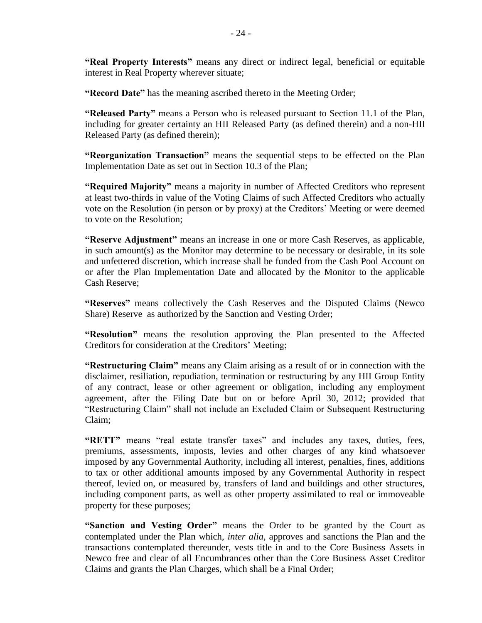**"Real Property Interests"** means any direct or indirect legal, beneficial or equitable interest in Real Property wherever situate;

**"Record Date"** has the meaning ascribed thereto in the Meeting Order;

**"Released Party"** means a Person who is released pursuant to Section 11.1 of the Plan, including for greater certainty an HII Released Party (as defined therein) and a non-HII Released Party (as defined therein);

**"Reorganization Transaction"** means the sequential steps to be effected on the Plan Implementation Date as set out in Section 10.3 of the Plan;

**"Required Majority"** means a majority in number of Affected Creditors who represent at least two-thirds in value of the Voting Claims of such Affected Creditors who actually vote on the Resolution (in person or by proxy) at the Creditors' Meeting or were deemed to vote on the Resolution;

**"Reserve Adjustment"** means an increase in one or more Cash Reserves, as applicable, in such amount(s) as the Monitor may determine to be necessary or desirable, in its sole and unfettered discretion, which increase shall be funded from the Cash Pool Account on or after the Plan Implementation Date and allocated by the Monitor to the applicable Cash Reserve;

**"Reserves"** means collectively the Cash Reserves and the Disputed Claims (Newco Share) Reserve as authorized by the Sanction and Vesting Order;

**"Resolution"** means the resolution approving the Plan presented to the Affected Creditors for consideration at the Creditors' Meeting;

**"Restructuring Claim"** means any Claim arising as a result of or in connection with the disclaimer, resiliation, repudiation, termination or restructuring by any HII Group Entity of any contract, lease or other agreement or obligation, including any employment agreement, after the Filing Date but on or before April 30, 2012; provided that "Restructuring Claim" shall not include an Excluded Claim or Subsequent Restructuring Claim;

**"RETT"** means "real estate transfer taxes" and includes any taxes, duties, fees, premiums, assessments, imposts, levies and other charges of any kind whatsoever imposed by any Governmental Authority, including all interest, penalties, fines, additions to tax or other additional amounts imposed by any Governmental Authority in respect thereof, levied on, or measured by, transfers of land and buildings and other structures, including component parts, as well as other property assimilated to real or immoveable property for these purposes;

**"Sanction and Vesting Order"** means the Order to be granted by the Court as contemplated under the Plan which, *inter alia*, approves and sanctions the Plan and the transactions contemplated thereunder, vests title in and to the Core Business Assets in Newco free and clear of all Encumbrances other than the Core Business Asset Creditor Claims and grants the Plan Charges, which shall be a Final Order;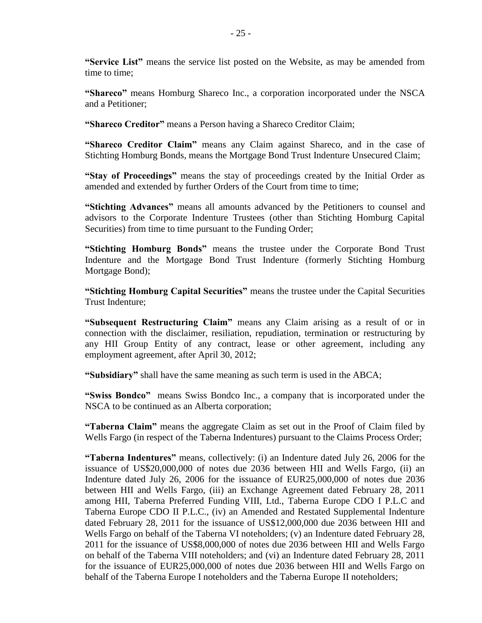**"Service List"** means the service list posted on the Website, as may be amended from time to time;

**"Shareco"** means Homburg Shareco Inc., a corporation incorporated under the NSCA and a Petitioner;

**"Shareco Creditor"** means a Person having a Shareco Creditor Claim;

**"Shareco Creditor Claim"** means any Claim against Shareco, and in the case of Stichting Homburg Bonds, means the Mortgage Bond Trust Indenture Unsecured Claim;

**"Stay of Proceedings"** means the stay of proceedings created by the Initial Order as amended and extended by further Orders of the Court from time to time;

**"Stichting Advances"** means all amounts advanced by the Petitioners to counsel and advisors to the Corporate Indenture Trustees (other than Stichting Homburg Capital Securities) from time to time pursuant to the Funding Order;

**"Stichting Homburg Bonds"** means the trustee under the Corporate Bond Trust Indenture and the Mortgage Bond Trust Indenture (formerly Stichting Homburg Mortgage Bond);

**"Stichting Homburg Capital Securities"** means the trustee under the Capital Securities Trust Indenture;

**"Subsequent Restructuring Claim"** means any Claim arising as a result of or in connection with the disclaimer, resiliation, repudiation, termination or restructuring by any HII Group Entity of any contract, lease or other agreement, including any employment agreement, after April 30, 2012;

**"Subsidiary"** shall have the same meaning as such term is used in the ABCA;

**"Swiss Bondco"** means Swiss Bondco Inc., a company that is incorporated under the NSCA to be continued as an Alberta corporation;

**"Taberna Claim"** means the aggregate Claim as set out in the Proof of Claim filed by Wells Fargo (in respect of the Taberna Indentures) pursuant to the Claims Process Order;

**"Taberna Indentures"** means, collectively: (i) an Indenture dated July 26, 2006 for the issuance of US\$20,000,000 of notes due 2036 between HII and Wells Fargo, (ii) an Indenture dated July 26, 2006 for the issuance of EUR25,000,000 of notes due 2036 between HII and Wells Fargo, (iii) an Exchange Agreement dated February 28, 2011 among HII, Taberna Preferred Funding VIII, Ltd., Taberna Europe CDO I P.L.C and Taberna Europe CDO II P.L.C., (iv) an Amended and Restated Supplemental Indenture dated February 28, 2011 for the issuance of US\$12,000,000 due 2036 between HII and Wells Fargo on behalf of the Taberna VI noteholders; (v) an Indenture dated February 28, 2011 for the issuance of US\$8,000,000 of notes due 2036 between HII and Wells Fargo on behalf of the Taberna VIII noteholders; and (vi) an Indenture dated February 28, 2011 for the issuance of EUR25,000,000 of notes due 2036 between HII and Wells Fargo on behalf of the Taberna Europe I noteholders and the Taberna Europe II noteholders;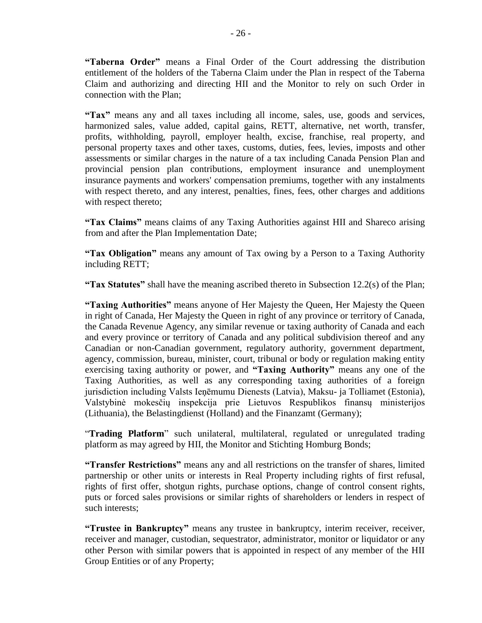**"Taberna Order"** means a Final Order of the Court addressing the distribution entitlement of the holders of the Taberna Claim under the Plan in respect of the Taberna Claim and authorizing and directing HII and the Monitor to rely on such Order in connection with the Plan;

**"Tax"** means any and all taxes including all income, sales, use, goods and services, harmonized sales, value added, capital gains, RETT, alternative, net worth, transfer, profits, withholding, payroll, employer health, excise, franchise, real property, and personal property taxes and other taxes, customs, duties, fees, levies, imposts and other assessments or similar charges in the nature of a tax including Canada Pension Plan and provincial pension plan contributions, employment insurance and unemployment insurance payments and workers' compensation premiums, together with any instalments with respect thereto, and any interest, penalties, fines, fees, other charges and additions with respect thereto;

**"Tax Claims"** means claims of any Taxing Authorities against HII and Shareco arising from and after the Plan Implementation Date;

**"Tax Obligation"** means any amount of Tax owing by a Person to a Taxing Authority including RETT;

**"Tax Statutes"** shall have the meaning ascribed thereto in Subsection 12.2(s) of the Plan;

**"Taxing Authorities"** means anyone of Her Majesty the Queen, Her Majesty the Queen in right of Canada, Her Majesty the Queen in right of any province or territory of Canada, the Canada Revenue Agency, any similar revenue or taxing authority of Canada and each and every province or territory of Canada and any political subdivision thereof and any Canadian or non-Canadian government, regulatory authority, government department, agency, commission, bureau, minister, court, tribunal or body or regulation making entity exercising taxing authority or power, and **"Taxing Authority"** means any one of the Taxing Authorities, as well as any corresponding taxing authorities of a foreign jurisdiction including Valsts Ieņēmumu Dienests (Latvia), Maksu- ja Tolliamet (Estonia), Valstybinė mokesčių inspekcija prie Lietuvos Respublikos finansų ministerijos (Lithuania), the Belastingdienst (Holland) and the Finanzamt (Germany);

"**Trading Platform**" such unilateral, multilateral, regulated or unregulated trading platform as may agreed by HII, the Monitor and Stichting Homburg Bonds;

**"Transfer Restrictions"** means any and all restrictions on the transfer of shares, limited partnership or other units or interests in Real Property including rights of first refusal, rights of first offer, shotgun rights, purchase options, change of control consent rights, puts or forced sales provisions or similar rights of shareholders or lenders in respect of such interests;

**"Trustee in Bankruptcy"** means any trustee in bankruptcy, interim receiver, receiver, receiver and manager, custodian, sequestrator, administrator, monitor or liquidator or any other Person with similar powers that is appointed in respect of any member of the HII Group Entities or of any Property;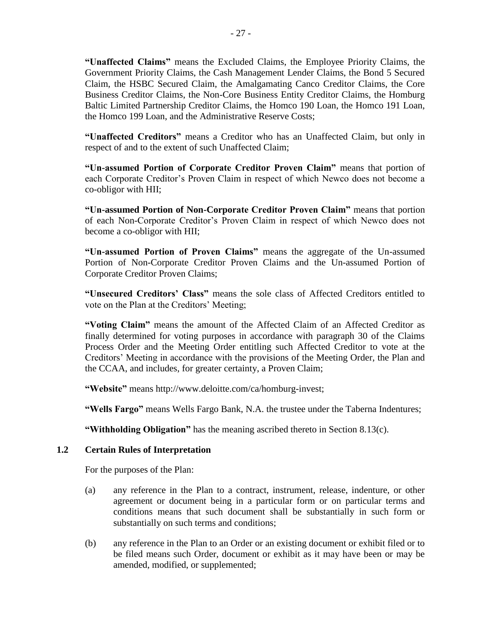**"Unaffected Claims"** means the Excluded Claims, the Employee Priority Claims, the Government Priority Claims, the Cash Management Lender Claims, the Bond 5 Secured Claim, the HSBC Secured Claim, the Amalgamating Canco Creditor Claims, the Core Business Creditor Claims, the Non-Core Business Entity Creditor Claims, the Homburg Baltic Limited Partnership Creditor Claims, the Homco 190 Loan, the Homco 191 Loan, the Homco 199 Loan, and the Administrative Reserve Costs;

**"Unaffected Creditors"** means a Creditor who has an Unaffected Claim, but only in respect of and to the extent of such Unaffected Claim;

**"Un-assumed Portion of Corporate Creditor Proven Claim"** means that portion of each Corporate Creditor's Proven Claim in respect of which Newco does not become a co-obligor with HII;

**"Un-assumed Portion of Non-Corporate Creditor Proven Claim"** means that portion of each Non-Corporate Creditor's Proven Claim in respect of which Newco does not become a co-obligor with HII;

**"Un-assumed Portion of Proven Claims"** means the aggregate of the Un-assumed Portion of Non-Corporate Creditor Proven Claims and the Un-assumed Portion of Corporate Creditor Proven Claims;

**"Unsecured Creditors' Class"** means the sole class of Affected Creditors entitled to vote on the Plan at the Creditors' Meeting;

**"Voting Claim"** means the amount of the Affected Claim of an Affected Creditor as finally determined for voting purposes in accordance with paragraph 30 of the Claims Process Order and the Meeting Order entitling such Affected Creditor to vote at the Creditors' Meeting in accordance with the provisions of the Meeting Order, the Plan and the CCAA, and includes, for greater certainty, a Proven Claim;

**"Website"** means http://www.deloitte.com/ca/homburg-invest;

**"Wells Fargo"** means Wells Fargo Bank, N.A. the trustee under the Taberna Indentures;

**"Withholding Obligation"** has the meaning ascribed thereto in Section 8.13(c).

#### **1.2 Certain Rules of Interpretation**

For the purposes of the Plan:

- (a) any reference in the Plan to a contract, instrument, release, indenture, or other agreement or document being in a particular form or on particular terms and conditions means that such document shall be substantially in such form or substantially on such terms and conditions;
- (b) any reference in the Plan to an Order or an existing document or exhibit filed or to be filed means such Order, document or exhibit as it may have been or may be amended, modified, or supplemented;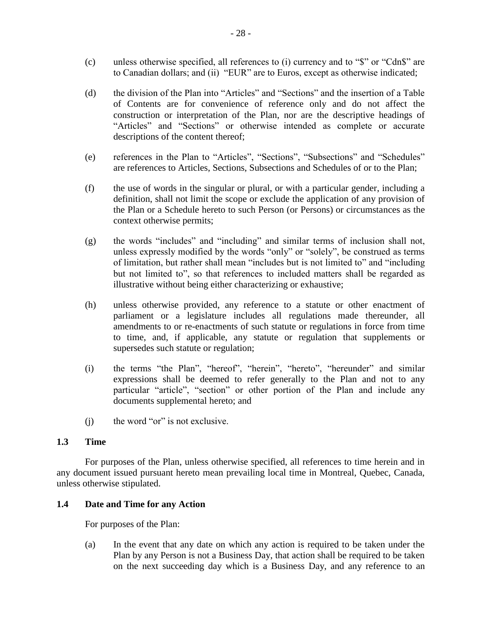- (c) unless otherwise specified, all references to (i) currency and to "\$" or "Cdn\$" are to Canadian dollars; and (ii) "EUR" are to Euros, except as otherwise indicated;
- (d) the division of the Plan into "Articles" and "Sections" and the insertion of a Table of Contents are for convenience of reference only and do not affect the construction or interpretation of the Plan, nor are the descriptive headings of "Articles" and "Sections" or otherwise intended as complete or accurate descriptions of the content thereof;
- (e) references in the Plan to "Articles", "Sections", "Subsections" and "Schedules" are references to Articles, Sections, Subsections and Schedules of or to the Plan;
- (f) the use of words in the singular or plural, or with a particular gender, including a definition, shall not limit the scope or exclude the application of any provision of the Plan or a Schedule hereto to such Person (or Persons) or circumstances as the context otherwise permits;
- (g) the words "includes" and "including" and similar terms of inclusion shall not, unless expressly modified by the words "only" or "solely", be construed as terms of limitation, but rather shall mean "includes but is not limited to" and "including but not limited to", so that references to included matters shall be regarded as illustrative without being either characterizing or exhaustive;
- (h) unless otherwise provided, any reference to a statute or other enactment of parliament or a legislature includes all regulations made thereunder, all amendments to or re-enactments of such statute or regulations in force from time to time, and, if applicable, any statute or regulation that supplements or supersedes such statute or regulation;
- (i) the terms "the Plan", "hereof", "herein", "hereto", "hereunder" and similar expressions shall be deemed to refer generally to the Plan and not to any particular "article", "section" or other portion of the Plan and include any documents supplemental hereto; and
- (j) the word "or" is not exclusive.

#### **1.3 Time**

For purposes of the Plan, unless otherwise specified, all references to time herein and in any document issued pursuant hereto mean prevailing local time in Montreal, Quebec, Canada, unless otherwise stipulated.

#### **1.4 Date and Time for any Action**

For purposes of the Plan:

(a) In the event that any date on which any action is required to be taken under the Plan by any Person is not a Business Day, that action shall be required to be taken on the next succeeding day which is a Business Day, and any reference to an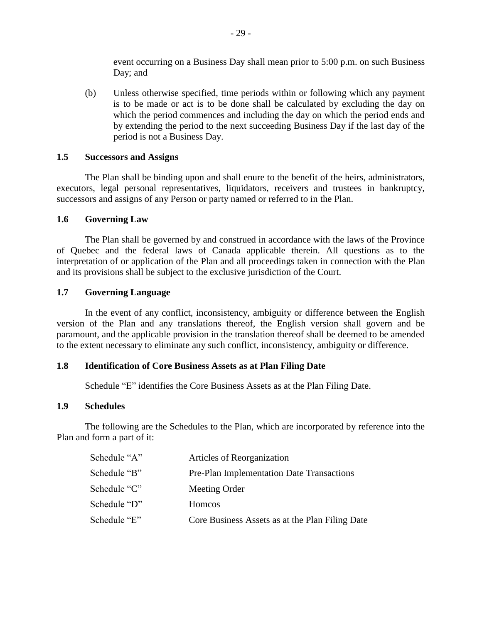event occurring on a Business Day shall mean prior to 5:00 p.m. on such Business Day; and

(b) Unless otherwise specified, time periods within or following which any payment is to be made or act is to be done shall be calculated by excluding the day on which the period commences and including the day on which the period ends and by extending the period to the next succeeding Business Day if the last day of the period is not a Business Day.

#### **1.5 Successors and Assigns**

The Plan shall be binding upon and shall enure to the benefit of the heirs, administrators, executors, legal personal representatives, liquidators, receivers and trustees in bankruptcy, successors and assigns of any Person or party named or referred to in the Plan.

#### **1.6 Governing Law**

The Plan shall be governed by and construed in accordance with the laws of the Province of Quebec and the federal laws of Canada applicable therein. All questions as to the interpretation of or application of the Plan and all proceedings taken in connection with the Plan and its provisions shall be subject to the exclusive jurisdiction of the Court.

#### **1.7 Governing Language**

In the event of any conflict, inconsistency, ambiguity or difference between the English version of the Plan and any translations thereof, the English version shall govern and be paramount, and the applicable provision in the translation thereof shall be deemed to be amended to the extent necessary to eliminate any such conflict, inconsistency, ambiguity or difference.

#### **1.8 Identification of Core Business Assets as at Plan Filing Date**

Schedule "E" identifies the Core Business Assets as at the Plan Filing Date.

#### **1.9 Schedules**

The following are the Schedules to the Plan, which are incorporated by reference into the Plan and form a part of it:

| Schedule "A" | Articles of Reorganization                      |
|--------------|-------------------------------------------------|
| Schedule "B" | Pre-Plan Implementation Date Transactions       |
| Schedule "C" | Meeting Order                                   |
| Schedule "D" | <b>Homcos</b>                                   |
| Schedule "E" | Core Business Assets as at the Plan Filing Date |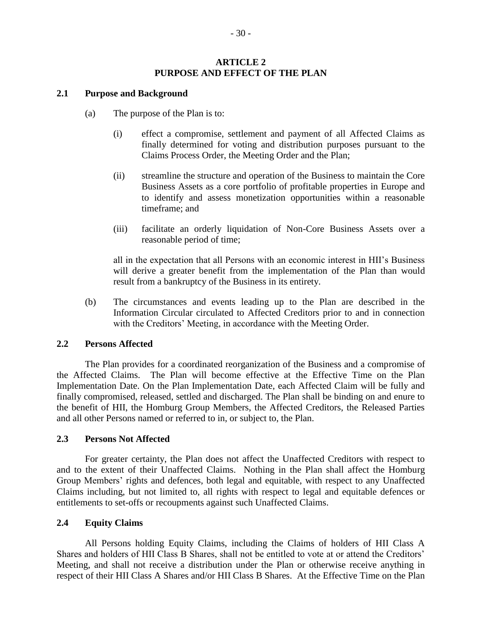#### **ARTICLE 2 PURPOSE AND EFFECT OF THE PLAN**

#### **2.1 Purpose and Background**

- (a) The purpose of the Plan is to:
	- (i) effect a compromise, settlement and payment of all Affected Claims as finally determined for voting and distribution purposes pursuant to the Claims Process Order, the Meeting Order and the Plan;
	- (ii) streamline the structure and operation of the Business to maintain the Core Business Assets as a core portfolio of profitable properties in Europe and to identify and assess monetization opportunities within a reasonable timeframe; and
	- (iii) facilitate an orderly liquidation of Non-Core Business Assets over a reasonable period of time;

all in the expectation that all Persons with an economic interest in HII's Business will derive a greater benefit from the implementation of the Plan than would result from a bankruptcy of the Business in its entirety.

(b) The circumstances and events leading up to the Plan are described in the Information Circular circulated to Affected Creditors prior to and in connection with the Creditors' Meeting, in accordance with the Meeting Order.

#### **2.2 Persons Affected**

The Plan provides for a coordinated reorganization of the Business and a compromise of the Affected Claims. The Plan will become effective at the Effective Time on the Plan Implementation Date. On the Plan Implementation Date, each Affected Claim will be fully and finally compromised, released, settled and discharged. The Plan shall be binding on and enure to the benefit of HII, the Homburg Group Members, the Affected Creditors, the Released Parties and all other Persons named or referred to in, or subject to, the Plan.

#### **2.3 Persons Not Affected**

For greater certainty, the Plan does not affect the Unaffected Creditors with respect to and to the extent of their Unaffected Claims. Nothing in the Plan shall affect the Homburg Group Members' rights and defences, both legal and equitable, with respect to any Unaffected Claims including, but not limited to, all rights with respect to legal and equitable defences or entitlements to set-offs or recoupments against such Unaffected Claims.

#### **2.4 Equity Claims**

All Persons holding Equity Claims, including the Claims of holders of HII Class A Shares and holders of HII Class B Shares, shall not be entitled to vote at or attend the Creditors' Meeting, and shall not receive a distribution under the Plan or otherwise receive anything in respect of their HII Class A Shares and/or HII Class B Shares. At the Effective Time on the Plan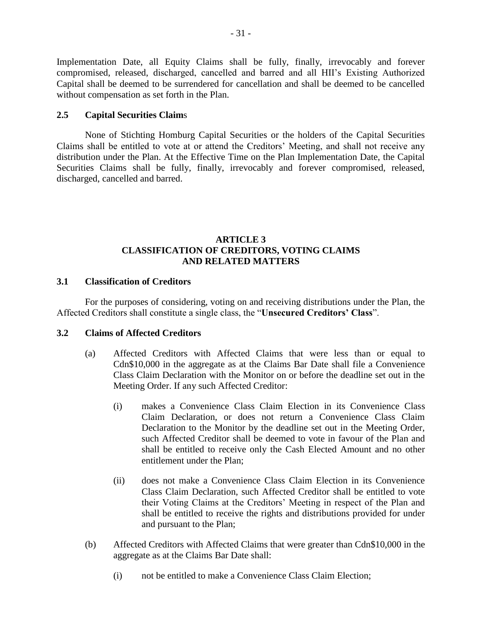Implementation Date, all Equity Claims shall be fully, finally, irrevocably and forever compromised, released, discharged, cancelled and barred and all HII's Existing Authorized Capital shall be deemed to be surrendered for cancellation and shall be deemed to be cancelled without compensation as set forth in the Plan.

#### **2.5 Capital Securities Claim**s

None of Stichting Homburg Capital Securities or the holders of the Capital Securities Claims shall be entitled to vote at or attend the Creditors' Meeting, and shall not receive any distribution under the Plan. At the Effective Time on the Plan Implementation Date, the Capital Securities Claims shall be fully, finally, irrevocably and forever compromised, released, discharged, cancelled and barred.

#### **ARTICLE 3 CLASSIFICATION OF CREDITORS, VOTING CLAIMS AND RELATED MATTERS**

#### **3.1 Classification of Creditors**

For the purposes of considering, voting on and receiving distributions under the Plan, the Affected Creditors shall constitute a single class, the "**Unsecured Creditors' Class**".

#### **3.2 Claims of Affected Creditors**

- (a) Affected Creditors with Affected Claims that were less than or equal to Cdn\$10,000 in the aggregate as at the Claims Bar Date shall file a Convenience Class Claim Declaration with the Monitor on or before the deadline set out in the Meeting Order. If any such Affected Creditor:
	- (i) makes a Convenience Class Claim Election in its Convenience Class Claim Declaration, or does not return a Convenience Class Claim Declaration to the Monitor by the deadline set out in the Meeting Order, such Affected Creditor shall be deemed to vote in favour of the Plan and shall be entitled to receive only the Cash Elected Amount and no other entitlement under the Plan;
	- (ii) does not make a Convenience Class Claim Election in its Convenience Class Claim Declaration, such Affected Creditor shall be entitled to vote their Voting Claims at the Creditors' Meeting in respect of the Plan and shall be entitled to receive the rights and distributions provided for under and pursuant to the Plan;
- (b) Affected Creditors with Affected Claims that were greater than Cdn\$10,000 in the aggregate as at the Claims Bar Date shall:
	- (i) not be entitled to make a Convenience Class Claim Election;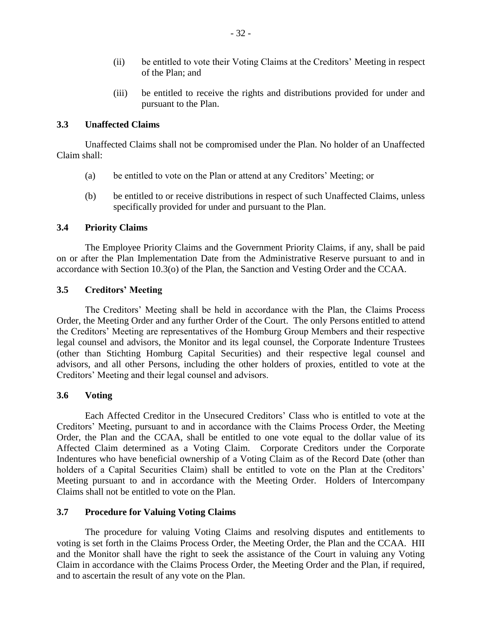- (ii) be entitled to vote their Voting Claims at the Creditors' Meeting in respect of the Plan; and
- (iii) be entitled to receive the rights and distributions provided for under and pursuant to the Plan.

#### **3.3 Unaffected Claims**

Unaffected Claims shall not be compromised under the Plan. No holder of an Unaffected Claim shall:

- (a) be entitled to vote on the Plan or attend at any Creditors' Meeting; or
- (b) be entitled to or receive distributions in respect of such Unaffected Claims, unless specifically provided for under and pursuant to the Plan.

#### **3.4 Priority Claims**

The Employee Priority Claims and the Government Priority Claims, if any, shall be paid on or after the Plan Implementation Date from the Administrative Reserve pursuant to and in accordance with Section 10.3(o) of the Plan, the Sanction and Vesting Order and the CCAA.

#### **3.5 Creditors' Meeting**

The Creditors' Meeting shall be held in accordance with the Plan, the Claims Process Order, the Meeting Order and any further Order of the Court. The only Persons entitled to attend the Creditors' Meeting are representatives of the Homburg Group Members and their respective legal counsel and advisors, the Monitor and its legal counsel, the Corporate Indenture Trustees (other than Stichting Homburg Capital Securities) and their respective legal counsel and advisors, and all other Persons, including the other holders of proxies, entitled to vote at the Creditors' Meeting and their legal counsel and advisors.

#### **3.6 Voting**

Each Affected Creditor in the Unsecured Creditors' Class who is entitled to vote at the Creditors' Meeting, pursuant to and in accordance with the Claims Process Order, the Meeting Order, the Plan and the CCAA, shall be entitled to one vote equal to the dollar value of its Affected Claim determined as a Voting Claim. Corporate Creditors under the Corporate Indentures who have beneficial ownership of a Voting Claim as of the Record Date (other than holders of a Capital Securities Claim) shall be entitled to vote on the Plan at the Creditors' Meeting pursuant to and in accordance with the Meeting Order. Holders of Intercompany Claims shall not be entitled to vote on the Plan.

#### **3.7 Procedure for Valuing Voting Claims**

The procedure for valuing Voting Claims and resolving disputes and entitlements to voting is set forth in the Claims Process Order, the Meeting Order, the Plan and the CCAA. HII and the Monitor shall have the right to seek the assistance of the Court in valuing any Voting Claim in accordance with the Claims Process Order, the Meeting Order and the Plan, if required, and to ascertain the result of any vote on the Plan.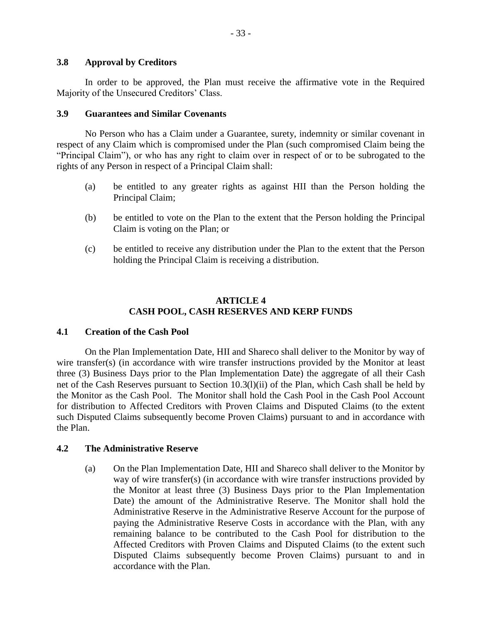## **3.8 Approval by Creditors**

In order to be approved, the Plan must receive the affirmative vote in the Required Majority of the Unsecured Creditors' Class.

## **3.9 Guarantees and Similar Covenants**

No Person who has a Claim under a Guarantee, surety, indemnity or similar covenant in respect of any Claim which is compromised under the Plan (such compromised Claim being the "Principal Claim"), or who has any right to claim over in respect of or to be subrogated to the rights of any Person in respect of a Principal Claim shall:

- (a) be entitled to any greater rights as against HII than the Person holding the Principal Claim;
- (b) be entitled to vote on the Plan to the extent that the Person holding the Principal Claim is voting on the Plan; or
- (c) be entitled to receive any distribution under the Plan to the extent that the Person holding the Principal Claim is receiving a distribution.

# **ARTICLE 4 CASH POOL, CASH RESERVES AND KERP FUNDS**

# **4.1 Creation of the Cash Pool**

On the Plan Implementation Date, HII and Shareco shall deliver to the Monitor by way of wire transfer(s) (in accordance with wire transfer instructions provided by the Monitor at least three (3) Business Days prior to the Plan Implementation Date) the aggregate of all their Cash net of the Cash Reserves pursuant to Section 10.3(l)(ii) of the Plan, which Cash shall be held by the Monitor as the Cash Pool. The Monitor shall hold the Cash Pool in the Cash Pool Account for distribution to Affected Creditors with Proven Claims and Disputed Claims (to the extent such Disputed Claims subsequently become Proven Claims) pursuant to and in accordance with the Plan.

# **4.2 The Administrative Reserve**

(a) On the Plan Implementation Date, HII and Shareco shall deliver to the Monitor by way of wire transfer(s) (in accordance with wire transfer instructions provided by the Monitor at least three (3) Business Days prior to the Plan Implementation Date) the amount of the Administrative Reserve. The Monitor shall hold the Administrative Reserve in the Administrative Reserve Account for the purpose of paying the Administrative Reserve Costs in accordance with the Plan, with any remaining balance to be contributed to the Cash Pool for distribution to the Affected Creditors with Proven Claims and Disputed Claims (to the extent such Disputed Claims subsequently become Proven Claims) pursuant to and in accordance with the Plan.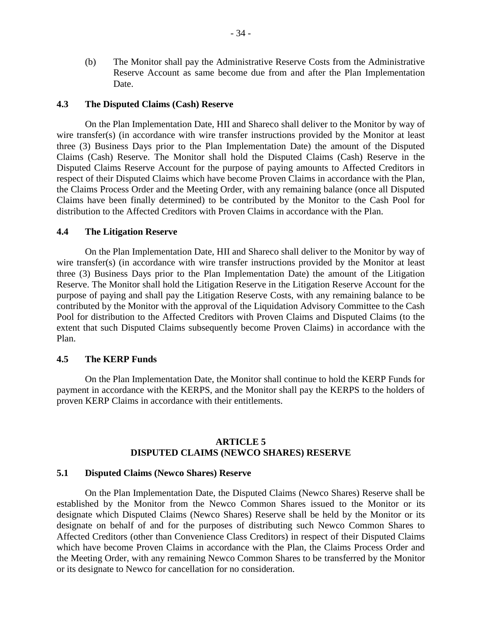(b) The Monitor shall pay the Administrative Reserve Costs from the Administrative Reserve Account as same become due from and after the Plan Implementation Date.

#### **4.3 The Disputed Claims (Cash) Reserve**

On the Plan Implementation Date, HII and Shareco shall deliver to the Monitor by way of wire transfer(s) (in accordance with wire transfer instructions provided by the Monitor at least three (3) Business Days prior to the Plan Implementation Date) the amount of the Disputed Claims (Cash) Reserve. The Monitor shall hold the Disputed Claims (Cash) Reserve in the Disputed Claims Reserve Account for the purpose of paying amounts to Affected Creditors in respect of their Disputed Claims which have become Proven Claims in accordance with the Plan, the Claims Process Order and the Meeting Order, with any remaining balance (once all Disputed Claims have been finally determined) to be contributed by the Monitor to the Cash Pool for distribution to the Affected Creditors with Proven Claims in accordance with the Plan.

#### **4.4 The Litigation Reserve**

On the Plan Implementation Date, HII and Shareco shall deliver to the Monitor by way of wire transfer(s) (in accordance with wire transfer instructions provided by the Monitor at least three (3) Business Days prior to the Plan Implementation Date) the amount of the Litigation Reserve. The Monitor shall hold the Litigation Reserve in the Litigation Reserve Account for the purpose of paying and shall pay the Litigation Reserve Costs, with any remaining balance to be contributed by the Monitor with the approval of the Liquidation Advisory Committee to the Cash Pool for distribution to the Affected Creditors with Proven Claims and Disputed Claims (to the extent that such Disputed Claims subsequently become Proven Claims) in accordance with the Plan.

#### **4.5 The KERP Funds**

On the Plan Implementation Date, the Monitor shall continue to hold the KERP Funds for payment in accordance with the KERPS, and the Monitor shall pay the KERPS to the holders of proven KERP Claims in accordance with their entitlements.

#### **ARTICLE 5 DISPUTED CLAIMS (NEWCO SHARES) RESERVE**

### **5.1 Disputed Claims (Newco Shares) Reserve**

On the Plan Implementation Date, the Disputed Claims (Newco Shares) Reserve shall be established by the Monitor from the Newco Common Shares issued to the Monitor or its designate which Disputed Claims (Newco Shares) Reserve shall be held by the Monitor or its designate on behalf of and for the purposes of distributing such Newco Common Shares to Affected Creditors (other than Convenience Class Creditors) in respect of their Disputed Claims which have become Proven Claims in accordance with the Plan, the Claims Process Order and the Meeting Order, with any remaining Newco Common Shares to be transferred by the Monitor or its designate to Newco for cancellation for no consideration.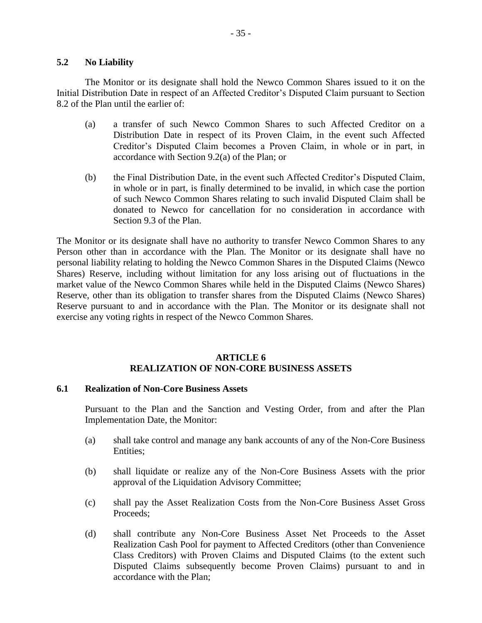## **5.2 No Liability**

The Monitor or its designate shall hold the Newco Common Shares issued to it on the Initial Distribution Date in respect of an Affected Creditor's Disputed Claim pursuant to Section 8.2 of the Plan until the earlier of:

- (a) a transfer of such Newco Common Shares to such Affected Creditor on a Distribution Date in respect of its Proven Claim, in the event such Affected Creditor's Disputed Claim becomes a Proven Claim, in whole or in part, in accordance with Section 9.2(a) of the Plan; or
- (b) the Final Distribution Date, in the event such Affected Creditor's Disputed Claim, in whole or in part, is finally determined to be invalid, in which case the portion of such Newco Common Shares relating to such invalid Disputed Claim shall be donated to Newco for cancellation for no consideration in accordance with Section 9.3 of the Plan.

The Monitor or its designate shall have no authority to transfer Newco Common Shares to any Person other than in accordance with the Plan. The Monitor or its designate shall have no personal liability relating to holding the Newco Common Shares in the Disputed Claims (Newco Shares) Reserve, including without limitation for any loss arising out of fluctuations in the market value of the Newco Common Shares while held in the Disputed Claims (Newco Shares) Reserve, other than its obligation to transfer shares from the Disputed Claims (Newco Shares) Reserve pursuant to and in accordance with the Plan. The Monitor or its designate shall not exercise any voting rights in respect of the Newco Common Shares.

# **ARTICLE 6 REALIZATION OF NON-CORE BUSINESS ASSETS**

#### **6.1 Realization of Non-Core Business Assets**

Pursuant to the Plan and the Sanction and Vesting Order, from and after the Plan Implementation Date, the Monitor:

- (a) shall take control and manage any bank accounts of any of the Non-Core Business Entities;
- (b) shall liquidate or realize any of the Non-Core Business Assets with the prior approval of the Liquidation Advisory Committee;
- (c) shall pay the Asset Realization Costs from the Non-Core Business Asset Gross Proceeds;
- (d) shall contribute any Non-Core Business Asset Net Proceeds to the Asset Realization Cash Pool for payment to Affected Creditors (other than Convenience Class Creditors) with Proven Claims and Disputed Claims (to the extent such Disputed Claims subsequently become Proven Claims) pursuant to and in accordance with the Plan;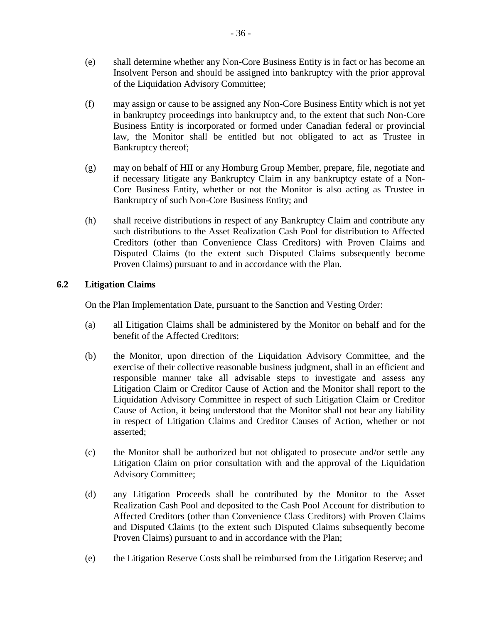- (e) shall determine whether any Non-Core Business Entity is in fact or has become an Insolvent Person and should be assigned into bankruptcy with the prior approval of the Liquidation Advisory Committee;
- (f) may assign or cause to be assigned any Non-Core Business Entity which is not yet in bankruptcy proceedings into bankruptcy and, to the extent that such Non-Core Business Entity is incorporated or formed under Canadian federal or provincial law, the Monitor shall be entitled but not obligated to act as Trustee in Bankruptcy thereof;
- (g) may on behalf of HII or any Homburg Group Member, prepare, file, negotiate and if necessary litigate any Bankruptcy Claim in any bankruptcy estate of a Non-Core Business Entity, whether or not the Monitor is also acting as Trustee in Bankruptcy of such Non-Core Business Entity; and
- (h) shall receive distributions in respect of any Bankruptcy Claim and contribute any such distributions to the Asset Realization Cash Pool for distribution to Affected Creditors (other than Convenience Class Creditors) with Proven Claims and Disputed Claims (to the extent such Disputed Claims subsequently become Proven Claims) pursuant to and in accordance with the Plan.

# **6.2 Litigation Claims**

On the Plan Implementation Date, pursuant to the Sanction and Vesting Order:

- (a) all Litigation Claims shall be administered by the Monitor on behalf and for the benefit of the Affected Creditors;
- (b) the Monitor, upon direction of the Liquidation Advisory Committee, and the exercise of their collective reasonable business judgment, shall in an efficient and responsible manner take all advisable steps to investigate and assess any Litigation Claim or Creditor Cause of Action and the Monitor shall report to the Liquidation Advisory Committee in respect of such Litigation Claim or Creditor Cause of Action, it being understood that the Monitor shall not bear any liability in respect of Litigation Claims and Creditor Causes of Action, whether or not asserted;
- (c) the Monitor shall be authorized but not obligated to prosecute and/or settle any Litigation Claim on prior consultation with and the approval of the Liquidation Advisory Committee;
- (d) any Litigation Proceeds shall be contributed by the Monitor to the Asset Realization Cash Pool and deposited to the Cash Pool Account for distribution to Affected Creditors (other than Convenience Class Creditors) with Proven Claims and Disputed Claims (to the extent such Disputed Claims subsequently become Proven Claims) pursuant to and in accordance with the Plan;
- (e) the Litigation Reserve Costs shall be reimbursed from the Litigation Reserve; and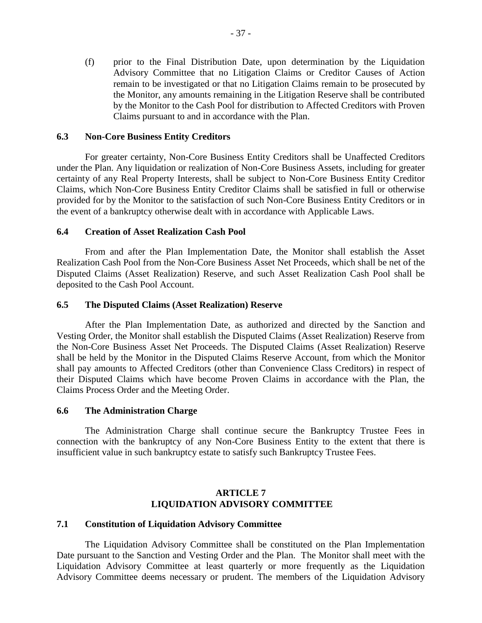(f) prior to the Final Distribution Date, upon determination by the Liquidation Advisory Committee that no Litigation Claims or Creditor Causes of Action remain to be investigated or that no Litigation Claims remain to be prosecuted by the Monitor, any amounts remaining in the Litigation Reserve shall be contributed by the Monitor to the Cash Pool for distribution to Affected Creditors with Proven Claims pursuant to and in accordance with the Plan.

## **6.3 Non-Core Business Entity Creditors**

For greater certainty, Non-Core Business Entity Creditors shall be Unaffected Creditors under the Plan. Any liquidation or realization of Non-Core Business Assets, including for greater certainty of any Real Property Interests, shall be subject to Non-Core Business Entity Creditor Claims, which Non-Core Business Entity Creditor Claims shall be satisfied in full or otherwise provided for by the Monitor to the satisfaction of such Non-Core Business Entity Creditors or in the event of a bankruptcy otherwise dealt with in accordance with Applicable Laws.

#### **6.4 Creation of Asset Realization Cash Pool**

From and after the Plan Implementation Date, the Monitor shall establish the Asset Realization Cash Pool from the Non-Core Business Asset Net Proceeds, which shall be net of the Disputed Claims (Asset Realization) Reserve, and such Asset Realization Cash Pool shall be deposited to the Cash Pool Account.

### **6.5 The Disputed Claims (Asset Realization) Reserve**

After the Plan Implementation Date, as authorized and directed by the Sanction and Vesting Order, the Monitor shall establish the Disputed Claims (Asset Realization) Reserve from the Non-Core Business Asset Net Proceeds. The Disputed Claims (Asset Realization) Reserve shall be held by the Monitor in the Disputed Claims Reserve Account, from which the Monitor shall pay amounts to Affected Creditors (other than Convenience Class Creditors) in respect of their Disputed Claims which have become Proven Claims in accordance with the Plan, the Claims Process Order and the Meeting Order.

#### **6.6 The Administration Charge**

The Administration Charge shall continue secure the Bankruptcy Trustee Fees in connection with the bankruptcy of any Non-Core Business Entity to the extent that there is insufficient value in such bankruptcy estate to satisfy such Bankruptcy Trustee Fees.

# **ARTICLE 7 LIQUIDATION ADVISORY COMMITTEE**

#### **7.1 Constitution of Liquidation Advisory Committee**

The Liquidation Advisory Committee shall be constituted on the Plan Implementation Date pursuant to the Sanction and Vesting Order and the Plan. The Monitor shall meet with the Liquidation Advisory Committee at least quarterly or more frequently as the Liquidation Advisory Committee deems necessary or prudent. The members of the Liquidation Advisory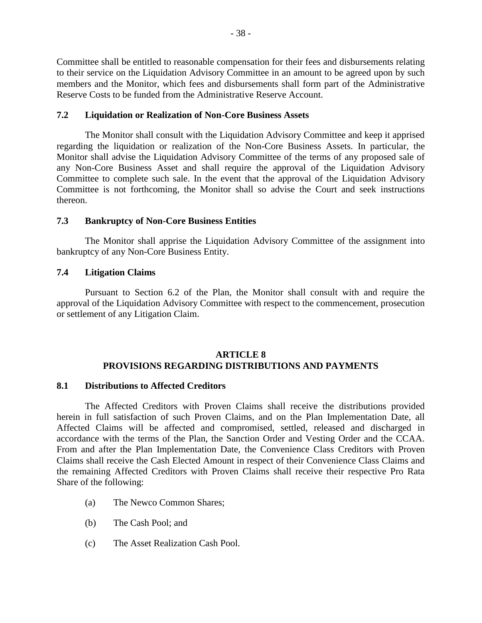Committee shall be entitled to reasonable compensation for their fees and disbursements relating to their service on the Liquidation Advisory Committee in an amount to be agreed upon by such members and the Monitor, which fees and disbursements shall form part of the Administrative Reserve Costs to be funded from the Administrative Reserve Account.

# **7.2 Liquidation or Realization of Non-Core Business Assets**

The Monitor shall consult with the Liquidation Advisory Committee and keep it apprised regarding the liquidation or realization of the Non-Core Business Assets. In particular, the Monitor shall advise the Liquidation Advisory Committee of the terms of any proposed sale of any Non-Core Business Asset and shall require the approval of the Liquidation Advisory Committee to complete such sale. In the event that the approval of the Liquidation Advisory Committee is not forthcoming, the Monitor shall so advise the Court and seek instructions thereon.

# **7.3 Bankruptcy of Non-Core Business Entities**

The Monitor shall apprise the Liquidation Advisory Committee of the assignment into bankruptcy of any Non-Core Business Entity.

# **7.4 Litigation Claims**

Pursuant to Section 6.2 of the Plan, the Monitor shall consult with and require the approval of the Liquidation Advisory Committee with respect to the commencement, prosecution or settlement of any Litigation Claim.

# **ARTICLE 8 PROVISIONS REGARDING DISTRIBUTIONS AND PAYMENTS**

# **8.1 Distributions to Affected Creditors**

The Affected Creditors with Proven Claims shall receive the distributions provided herein in full satisfaction of such Proven Claims, and on the Plan Implementation Date, all Affected Claims will be affected and compromised, settled, released and discharged in accordance with the terms of the Plan, the Sanction Order and Vesting Order and the CCAA. From and after the Plan Implementation Date, the Convenience Class Creditors with Proven Claims shall receive the Cash Elected Amount in respect of their Convenience Class Claims and the remaining Affected Creditors with Proven Claims shall receive their respective Pro Rata Share of the following:

- (a) The Newco Common Shares;
- (b) The Cash Pool; and
- (c) The Asset Realization Cash Pool.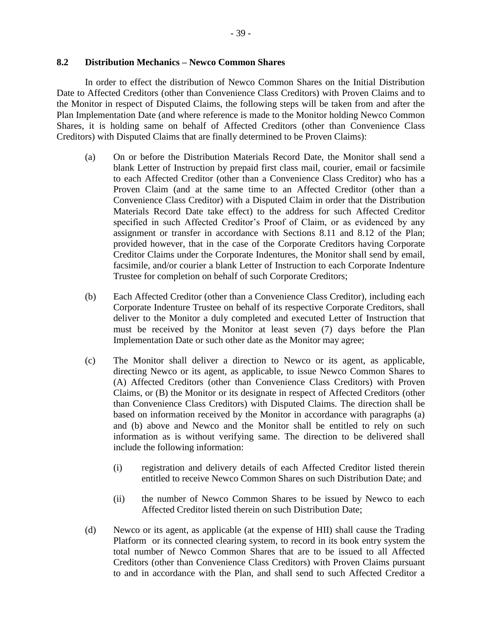## **8.2 Distribution Mechanics – Newco Common Shares**

In order to effect the distribution of Newco Common Shares on the Initial Distribution Date to Affected Creditors (other than Convenience Class Creditors) with Proven Claims and to the Monitor in respect of Disputed Claims, the following steps will be taken from and after the Plan Implementation Date (and where reference is made to the Monitor holding Newco Common Shares, it is holding same on behalf of Affected Creditors (other than Convenience Class Creditors) with Disputed Claims that are finally determined to be Proven Claims):

- (a) On or before the Distribution Materials Record Date, the Monitor shall send a blank Letter of Instruction by prepaid first class mail, courier, email or facsimile to each Affected Creditor (other than a Convenience Class Creditor) who has a Proven Claim (and at the same time to an Affected Creditor (other than a Convenience Class Creditor) with a Disputed Claim in order that the Distribution Materials Record Date take effect) to the address for such Affected Creditor specified in such Affected Creditor's Proof of Claim, or as evidenced by any assignment or transfer in accordance with Sections 8.11 and 8.12 of the Plan; provided however, that in the case of the Corporate Creditors having Corporate Creditor Claims under the Corporate Indentures, the Monitor shall send by email, facsimile, and/or courier a blank Letter of Instruction to each Corporate Indenture Trustee for completion on behalf of such Corporate Creditors;
- (b) Each Affected Creditor (other than a Convenience Class Creditor), including each Corporate Indenture Trustee on behalf of its respective Corporate Creditors, shall deliver to the Monitor a duly completed and executed Letter of Instruction that must be received by the Monitor at least seven (7) days before the Plan Implementation Date or such other date as the Monitor may agree;
- (c) The Monitor shall deliver a direction to Newco or its agent, as applicable, directing Newco or its agent, as applicable, to issue Newco Common Shares to (A) Affected Creditors (other than Convenience Class Creditors) with Proven Claims, or (B) the Monitor or its designate in respect of Affected Creditors (other than Convenience Class Creditors) with Disputed Claims. The direction shall be based on information received by the Monitor in accordance with paragraphs (a) and (b) above and Newco and the Monitor shall be entitled to rely on such information as is without verifying same. The direction to be delivered shall include the following information:
	- (i) registration and delivery details of each Affected Creditor listed therein entitled to receive Newco Common Shares on such Distribution Date; and
	- (ii) the number of Newco Common Shares to be issued by Newco to each Affected Creditor listed therein on such Distribution Date;
- (d) Newco or its agent, as applicable (at the expense of HII) shall cause the Trading Platform or its connected clearing system, to record in its book entry system the total number of Newco Common Shares that are to be issued to all Affected Creditors (other than Convenience Class Creditors) with Proven Claims pursuant to and in accordance with the Plan, and shall send to such Affected Creditor a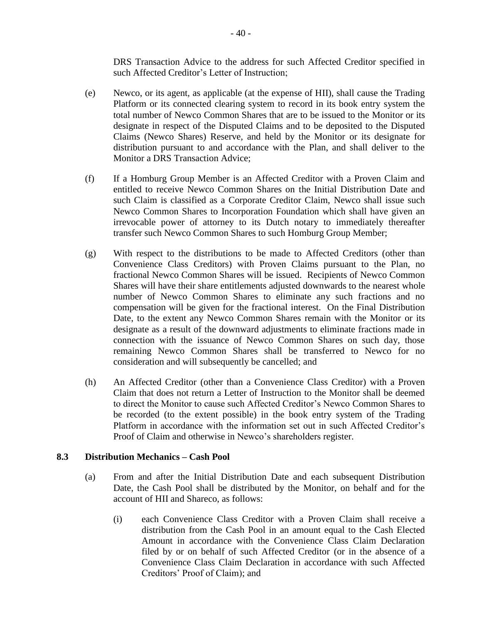DRS Transaction Advice to the address for such Affected Creditor specified in such Affected Creditor's Letter of Instruction;

- (e) Newco, or its agent, as applicable (at the expense of HII), shall cause the Trading Platform or its connected clearing system to record in its book entry system the total number of Newco Common Shares that are to be issued to the Monitor or its designate in respect of the Disputed Claims and to be deposited to the Disputed Claims (Newco Shares) Reserve, and held by the Monitor or its designate for distribution pursuant to and accordance with the Plan, and shall deliver to the Monitor a DRS Transaction Advice;
- (f) If a Homburg Group Member is an Affected Creditor with a Proven Claim and entitled to receive Newco Common Shares on the Initial Distribution Date and such Claim is classified as a Corporate Creditor Claim, Newco shall issue such Newco Common Shares to Incorporation Foundation which shall have given an irrevocable power of attorney to its Dutch notary to immediately thereafter transfer such Newco Common Shares to such Homburg Group Member;
- (g) With respect to the distributions to be made to Affected Creditors (other than Convenience Class Creditors) with Proven Claims pursuant to the Plan, no fractional Newco Common Shares will be issued. Recipients of Newco Common Shares will have their share entitlements adjusted downwards to the nearest whole number of Newco Common Shares to eliminate any such fractions and no compensation will be given for the fractional interest. On the Final Distribution Date, to the extent any Newco Common Shares remain with the Monitor or its designate as a result of the downward adjustments to eliminate fractions made in connection with the issuance of Newco Common Shares on such day, those remaining Newco Common Shares shall be transferred to Newco for no consideration and will subsequently be cancelled; and
- (h) An Affected Creditor (other than a Convenience Class Creditor) with a Proven Claim that does not return a Letter of Instruction to the Monitor shall be deemed to direct the Monitor to cause such Affected Creditor's Newco Common Shares to be recorded (to the extent possible) in the book entry system of the Trading Platform in accordance with the information set out in such Affected Creditor's Proof of Claim and otherwise in Newco's shareholders register.

# **8.3 Distribution Mechanics – Cash Pool**

- (a) From and after the Initial Distribution Date and each subsequent Distribution Date, the Cash Pool shall be distributed by the Monitor, on behalf and for the account of HII and Shareco, as follows:
	- (i) each Convenience Class Creditor with a Proven Claim shall receive a distribution from the Cash Pool in an amount equal to the Cash Elected Amount in accordance with the Convenience Class Claim Declaration filed by or on behalf of such Affected Creditor (or in the absence of a Convenience Class Claim Declaration in accordance with such Affected Creditors' Proof of Claim); and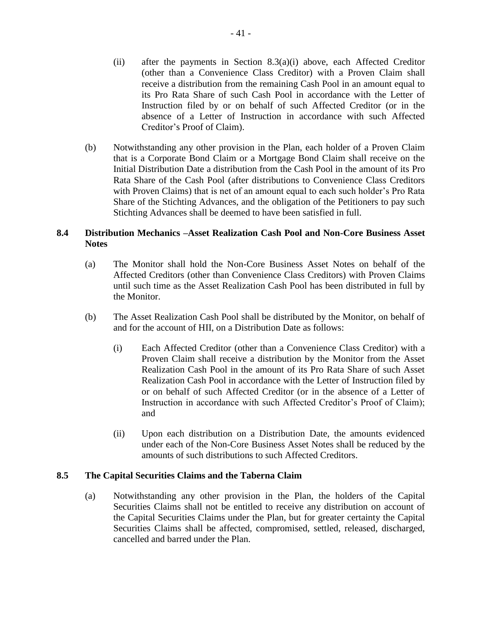- (ii) after the payments in Section 8.3(a)(i) above, each Affected Creditor (other than a Convenience Class Creditor) with a Proven Claim shall receive a distribution from the remaining Cash Pool in an amount equal to its Pro Rata Share of such Cash Pool in accordance with the Letter of Instruction filed by or on behalf of such Affected Creditor (or in the absence of a Letter of Instruction in accordance with such Affected Creditor's Proof of Claim).
- (b) Notwithstanding any other provision in the Plan, each holder of a Proven Claim that is a Corporate Bond Claim or a Mortgage Bond Claim shall receive on the Initial Distribution Date a distribution from the Cash Pool in the amount of its Pro Rata Share of the Cash Pool (after distributions to Convenience Class Creditors with Proven Claims) that is net of an amount equal to each such holder's Pro Rata Share of the Stichting Advances, and the obligation of the Petitioners to pay such Stichting Advances shall be deemed to have been satisfied in full.

# **8.4 Distribution Mechanics –Asset Realization Cash Pool and Non-Core Business Asset Notes**

- (a) The Monitor shall hold the Non-Core Business Asset Notes on behalf of the Affected Creditors (other than Convenience Class Creditors) with Proven Claims until such time as the Asset Realization Cash Pool has been distributed in full by the Monitor.
- (b) The Asset Realization Cash Pool shall be distributed by the Monitor, on behalf of and for the account of HII, on a Distribution Date as follows:
	- (i) Each Affected Creditor (other than a Convenience Class Creditor) with a Proven Claim shall receive a distribution by the Monitor from the Asset Realization Cash Pool in the amount of its Pro Rata Share of such Asset Realization Cash Pool in accordance with the Letter of Instruction filed by or on behalf of such Affected Creditor (or in the absence of a Letter of Instruction in accordance with such Affected Creditor's Proof of Claim); and
	- (ii) Upon each distribution on a Distribution Date, the amounts evidenced under each of the Non-Core Business Asset Notes shall be reduced by the amounts of such distributions to such Affected Creditors.

# **8.5 The Capital Securities Claims and the Taberna Claim**

(a) Notwithstanding any other provision in the Plan, the holders of the Capital Securities Claims shall not be entitled to receive any distribution on account of the Capital Securities Claims under the Plan, but for greater certainty the Capital Securities Claims shall be affected, compromised, settled, released, discharged, cancelled and barred under the Plan.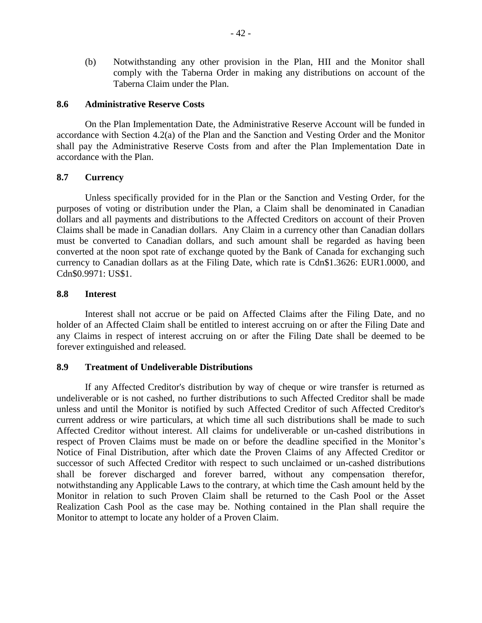(b) Notwithstanding any other provision in the Plan, HII and the Monitor shall comply with the Taberna Order in making any distributions on account of the Taberna Claim under the Plan.

#### **8.6 Administrative Reserve Costs**

On the Plan Implementation Date, the Administrative Reserve Account will be funded in accordance with Section 4.2(a) of the Plan and the Sanction and Vesting Order and the Monitor shall pay the Administrative Reserve Costs from and after the Plan Implementation Date in accordance with the Plan.

### **8.7 Currency**

Unless specifically provided for in the Plan or the Sanction and Vesting Order, for the purposes of voting or distribution under the Plan, a Claim shall be denominated in Canadian dollars and all payments and distributions to the Affected Creditors on account of their Proven Claims shall be made in Canadian dollars. Any Claim in a currency other than Canadian dollars must be converted to Canadian dollars, and such amount shall be regarded as having been converted at the noon spot rate of exchange quoted by the Bank of Canada for exchanging such currency to Canadian dollars as at the Filing Date, which rate is Cdn\$1.3626: EUR1.0000, and Cdn\$0.9971: US\$1.

## **8.8 Interest**

Interest shall not accrue or be paid on Affected Claims after the Filing Date, and no holder of an Affected Claim shall be entitled to interest accruing on or after the Filing Date and any Claims in respect of interest accruing on or after the Filing Date shall be deemed to be forever extinguished and released.

# **8.9 Treatment of Undeliverable Distributions**

If any Affected Creditor's distribution by way of cheque or wire transfer is returned as undeliverable or is not cashed, no further distributions to such Affected Creditor shall be made unless and until the Monitor is notified by such Affected Creditor of such Affected Creditor's current address or wire particulars, at which time all such distributions shall be made to such Affected Creditor without interest. All claims for undeliverable or un-cashed distributions in respect of Proven Claims must be made on or before the deadline specified in the Monitor's Notice of Final Distribution, after which date the Proven Claims of any Affected Creditor or successor of such Affected Creditor with respect to such unclaimed or un-cashed distributions shall be forever discharged and forever barred, without any compensation therefor, notwithstanding any Applicable Laws to the contrary, at which time the Cash amount held by the Monitor in relation to such Proven Claim shall be returned to the Cash Pool or the Asset Realization Cash Pool as the case may be. Nothing contained in the Plan shall require the Monitor to attempt to locate any holder of a Proven Claim.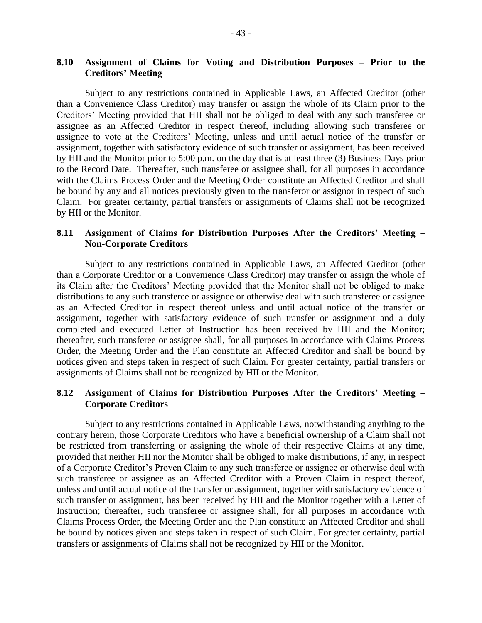## **8.10 Assignment of Claims for Voting and Distribution Purposes – Prior to the Creditors' Meeting**

Subject to any restrictions contained in Applicable Laws, an Affected Creditor (other than a Convenience Class Creditor) may transfer or assign the whole of its Claim prior to the Creditors' Meeting provided that HII shall not be obliged to deal with any such transferee or assignee as an Affected Creditor in respect thereof, including allowing such transferee or assignee to vote at the Creditors' Meeting, unless and until actual notice of the transfer or assignment, together with satisfactory evidence of such transfer or assignment, has been received by HII and the Monitor prior to 5:00 p.m. on the day that is at least three (3) Business Days prior to the Record Date. Thereafter, such transferee or assignee shall, for all purposes in accordance with the Claims Process Order and the Meeting Order constitute an Affected Creditor and shall be bound by any and all notices previously given to the transferor or assignor in respect of such Claim. For greater certainty, partial transfers or assignments of Claims shall not be recognized by HII or the Monitor.

# **8.11 Assignment of Claims for Distribution Purposes After the Creditors' Meeting – Non-Corporate Creditors**

Subject to any restrictions contained in Applicable Laws, an Affected Creditor (other than a Corporate Creditor or a Convenience Class Creditor) may transfer or assign the whole of its Claim after the Creditors' Meeting provided that the Monitor shall not be obliged to make distributions to any such transferee or assignee or otherwise deal with such transferee or assignee as an Affected Creditor in respect thereof unless and until actual notice of the transfer or assignment, together with satisfactory evidence of such transfer or assignment and a duly completed and executed Letter of Instruction has been received by HII and the Monitor; thereafter, such transferee or assignee shall, for all purposes in accordance with Claims Process Order, the Meeting Order and the Plan constitute an Affected Creditor and shall be bound by notices given and steps taken in respect of such Claim. For greater certainty, partial transfers or assignments of Claims shall not be recognized by HII or the Monitor.

# **8.12 Assignment of Claims for Distribution Purposes After the Creditors' Meeting – Corporate Creditors**

Subject to any restrictions contained in Applicable Laws, notwithstanding anything to the contrary herein, those Corporate Creditors who have a beneficial ownership of a Claim shall not be restricted from transferring or assigning the whole of their respective Claims at any time, provided that neither HII nor the Monitor shall be obliged to make distributions, if any, in respect of a Corporate Creditor's Proven Claim to any such transferee or assignee or otherwise deal with such transferee or assignee as an Affected Creditor with a Proven Claim in respect thereof, unless and until actual notice of the transfer or assignment, together with satisfactory evidence of such transfer or assignment, has been received by HII and the Monitor together with a Letter of Instruction; thereafter, such transferee or assignee shall, for all purposes in accordance with Claims Process Order, the Meeting Order and the Plan constitute an Affected Creditor and shall be bound by notices given and steps taken in respect of such Claim. For greater certainty, partial transfers or assignments of Claims shall not be recognized by HII or the Monitor.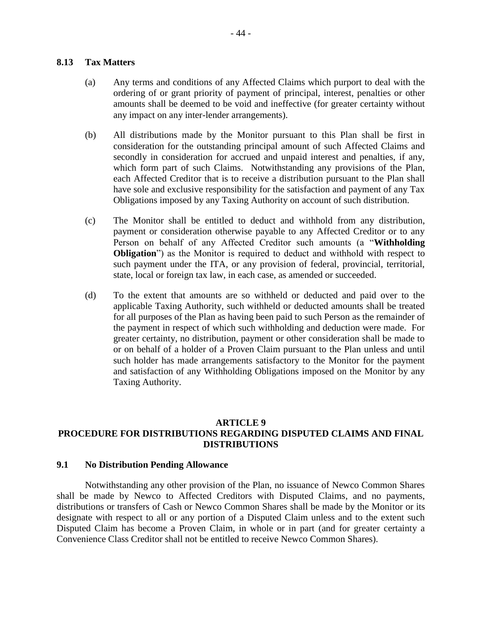### **8.13 Tax Matters**

- (a) Any terms and conditions of any Affected Claims which purport to deal with the ordering of or grant priority of payment of principal, interest, penalties or other amounts shall be deemed to be void and ineffective (for greater certainty without any impact on any inter-lender arrangements).
- (b) All distributions made by the Monitor pursuant to this Plan shall be first in consideration for the outstanding principal amount of such Affected Claims and secondly in consideration for accrued and unpaid interest and penalties, if any, which form part of such Claims. Notwithstanding any provisions of the Plan, each Affected Creditor that is to receive a distribution pursuant to the Plan shall have sole and exclusive responsibility for the satisfaction and payment of any Tax Obligations imposed by any Taxing Authority on account of such distribution.
- (c) The Monitor shall be entitled to deduct and withhold from any distribution, payment or consideration otherwise payable to any Affected Creditor or to any Person on behalf of any Affected Creditor such amounts (a "**Withholding Obligation**") as the Monitor is required to deduct and withhold with respect to such payment under the ITA, or any provision of federal, provincial, territorial, state, local or foreign tax law, in each case, as amended or succeeded.
- (d) To the extent that amounts are so withheld or deducted and paid over to the applicable Taxing Authority, such withheld or deducted amounts shall be treated for all purposes of the Plan as having been paid to such Person as the remainder of the payment in respect of which such withholding and deduction were made. For greater certainty, no distribution, payment or other consideration shall be made to or on behalf of a holder of a Proven Claim pursuant to the Plan unless and until such holder has made arrangements satisfactory to the Monitor for the payment and satisfaction of any Withholding Obligations imposed on the Monitor by any Taxing Authority.

# **ARTICLE 9 PROCEDURE FOR DISTRIBUTIONS REGARDING DISPUTED CLAIMS AND FINAL DISTRIBUTIONS**

# **9.1 No Distribution Pending Allowance**

Notwithstanding any other provision of the Plan, no issuance of Newco Common Shares shall be made by Newco to Affected Creditors with Disputed Claims, and no payments, distributions or transfers of Cash or Newco Common Shares shall be made by the Monitor or its designate with respect to all or any portion of a Disputed Claim unless and to the extent such Disputed Claim has become a Proven Claim, in whole or in part (and for greater certainty a Convenience Class Creditor shall not be entitled to receive Newco Common Shares).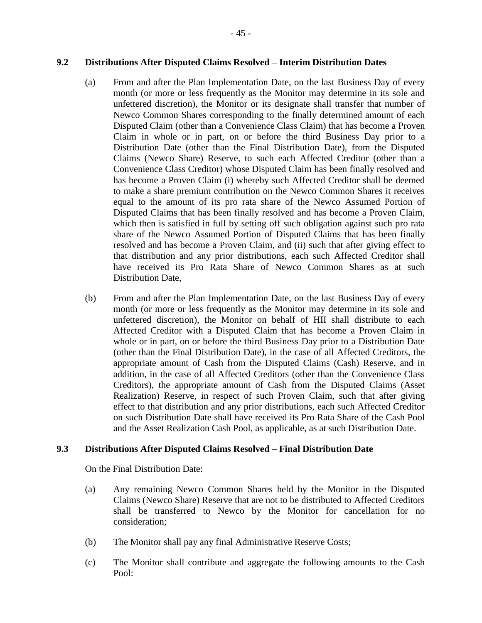# **9.2 Distributions After Disputed Claims Resolved – Interim Distribution Dates**

- (a) From and after the Plan Implementation Date, on the last Business Day of every month (or more or less frequently as the Monitor may determine in its sole and unfettered discretion), the Monitor or its designate shall transfer that number of Newco Common Shares corresponding to the finally determined amount of each Disputed Claim (other than a Convenience Class Claim) that has become a Proven Claim in whole or in part, on or before the third Business Day prior to a Distribution Date (other than the Final Distribution Date), from the Disputed Claims (Newco Share) Reserve, to such each Affected Creditor (other than a Convenience Class Creditor) whose Disputed Claim has been finally resolved and has become a Proven Claim (i) whereby such Affected Creditor shall be deemed to make a share premium contribution on the Newco Common Shares it receives equal to the amount of its pro rata share of the Newco Assumed Portion of Disputed Claims that has been finally resolved and has become a Proven Claim, which then is satisfied in full by setting off such obligation against such pro rata share of the Newco Assumed Portion of Disputed Claims that has been finally resolved and has become a Proven Claim, and (ii) such that after giving effect to that distribution and any prior distributions, each such Affected Creditor shall have received its Pro Rata Share of Newco Common Shares as at such Distribution Date,
- (b) From and after the Plan Implementation Date, on the last Business Day of every month (or more or less frequently as the Monitor may determine in its sole and unfettered discretion), the Monitor on behalf of HII shall distribute to each Affected Creditor with a Disputed Claim that has become a Proven Claim in whole or in part, on or before the third Business Day prior to a Distribution Date (other than the Final Distribution Date), in the case of all Affected Creditors, the appropriate amount of Cash from the Disputed Claims (Cash) Reserve, and in addition, in the case of all Affected Creditors (other than the Convenience Class Creditors), the appropriate amount of Cash from the Disputed Claims (Asset Realization) Reserve, in respect of such Proven Claim, such that after giving effect to that distribution and any prior distributions, each such Affected Creditor on such Distribution Date shall have received its Pro Rata Share of the Cash Pool and the Asset Realization Cash Pool, as applicable, as at such Distribution Date.

# **9.3 Distributions After Disputed Claims Resolved – Final Distribution Date**

On the Final Distribution Date:

- (a) Any remaining Newco Common Shares held by the Monitor in the Disputed Claims (Newco Share) Reserve that are not to be distributed to Affected Creditors shall be transferred to Newco by the Monitor for cancellation for no consideration;
- (b) The Monitor shall pay any final Administrative Reserve Costs;
- (c) The Monitor shall contribute and aggregate the following amounts to the Cash Pool: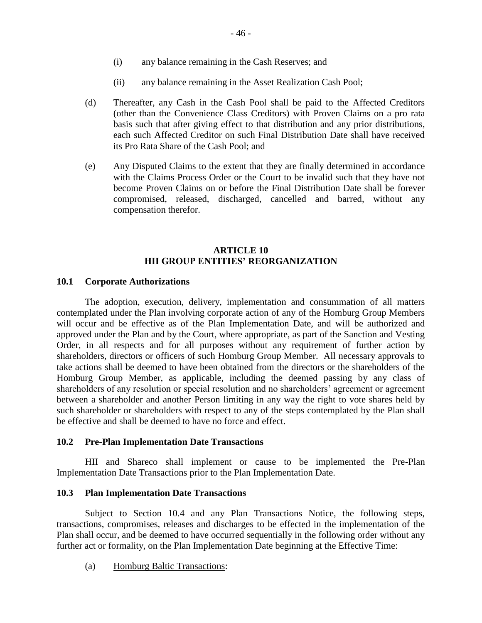- (ii) any balance remaining in the Asset Realization Cash Pool;
- (d) Thereafter, any Cash in the Cash Pool shall be paid to the Affected Creditors (other than the Convenience Class Creditors) with Proven Claims on a pro rata basis such that after giving effect to that distribution and any prior distributions, each such Affected Creditor on such Final Distribution Date shall have received its Pro Rata Share of the Cash Pool; and
- (e) Any Disputed Claims to the extent that they are finally determined in accordance with the Claims Process Order or the Court to be invalid such that they have not become Proven Claims on or before the Final Distribution Date shall be forever compromised, released, discharged, cancelled and barred, without any compensation therefor.

# **ARTICLE 10 HII GROUP ENTITIES' REORGANIZATION**

## **10.1 Corporate Authorizations**

The adoption, execution, delivery, implementation and consummation of all matters contemplated under the Plan involving corporate action of any of the Homburg Group Members will occur and be effective as of the Plan Implementation Date, and will be authorized and approved under the Plan and by the Court, where appropriate, as part of the Sanction and Vesting Order, in all respects and for all purposes without any requirement of further action by shareholders, directors or officers of such Homburg Group Member. All necessary approvals to take actions shall be deemed to have been obtained from the directors or the shareholders of the Homburg Group Member, as applicable, including the deemed passing by any class of shareholders of any resolution or special resolution and no shareholders' agreement or agreement between a shareholder and another Person limiting in any way the right to vote shares held by such shareholder or shareholders with respect to any of the steps contemplated by the Plan shall be effective and shall be deemed to have no force and effect.

#### **10.2 Pre-Plan Implementation Date Transactions**

HII and Shareco shall implement or cause to be implemented the Pre-Plan Implementation Date Transactions prior to the Plan Implementation Date.

#### **10.3 Plan Implementation Date Transactions**

Subject to Section 10.4 and any Plan Transactions Notice, the following steps, transactions, compromises, releases and discharges to be effected in the implementation of the Plan shall occur, and be deemed to have occurred sequentially in the following order without any further act or formality, on the Plan Implementation Date beginning at the Effective Time:

(a) Homburg Baltic Transactions: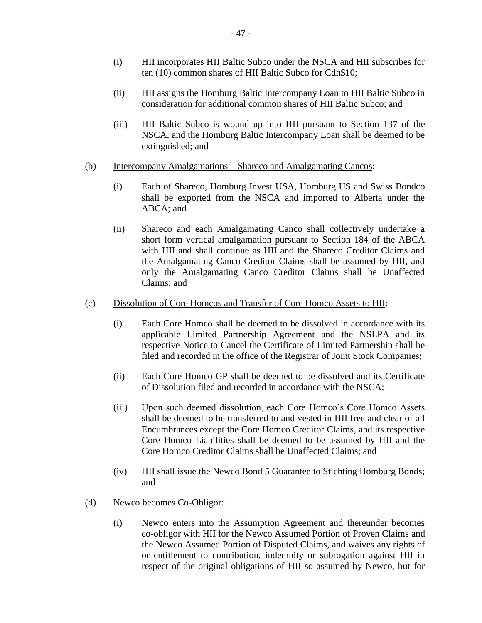- (i) HII incorporates HII Baltic Subco under the NSCA and HII subscribes for ten (10) common shares of HII Baltic Subco for Cdn\$10;
- (ii) HII assigns the Homburg Baltic Intercompany Loan to HII Baltic Subco in consideration for additional common shares of HII Baltic Subco; and
- (iii) HII Baltic Subco is wound up into HII pursuant to Section 137 of the NSCA, and the Homburg Baltic Intercompany Loan shall be deemed to be extinguished; and
- (b) Intercompany Amalgamations Shareco and Amalgamating Cancos:
	- (i) Each of Shareco, Homburg Invest USA, Homburg US and Swiss Bondco shall be exported from the NSCA and imported to Alberta under the ABCA; and
	- (ii) Shareco and each Amalgamating Canco shall collectively undertake a short form vertical amalgamation pursuant to Section 184 of the ABCA with HII and shall continue as HII and the Shareco Creditor Claims and the Amalgamating Canco Creditor Claims shall be assumed by HII, and only the Amalgamating Canco Creditor Claims shall be Unaffected Claims; and

### (c) Dissolution of Core Homcos and Transfer of Core Homco Assets to HII:

- (i) Each Core Homco shall be deemed to be dissolved in accordance with its applicable Limited Partnership Agreement and the NSLPA and its respective Notice to Cancel the Certificate of Limited Partnership shall be filed and recorded in the office of the Registrar of Joint Stock Companies;
- (ii) Each Core Homco GP shall be deemed to be dissolved and its Certificate of Dissolution filed and recorded in accordance with the NSCA;
- (iii) Upon such deemed dissolution, each Core Homco's Core Homco Assets shall be deemed to be transferred to and vested in HII free and clear of all Encumbrances except the Core Homco Creditor Claims, and its respective Core Homco Liabilities shall be deemed to be assumed by HII and the Core Homco Creditor Claims shall be Unaffected Claims; and
- (iv) HII shall issue the Newco Bond 5 Guarantee to Stichting Homburg Bonds; and
- (d) Newco becomes Co-Obligor:
	- (i) Newco enters into the Assumption Agreement and thereunder becomes co-obligor with HII for the Newco Assumed Portion of Proven Claims and the Newco Assumed Portion of Disputed Claims, and waives any rights of or entitlement to contribution, indemnity or subrogation against HII in respect of the original obligations of HII so assumed by Newco, but for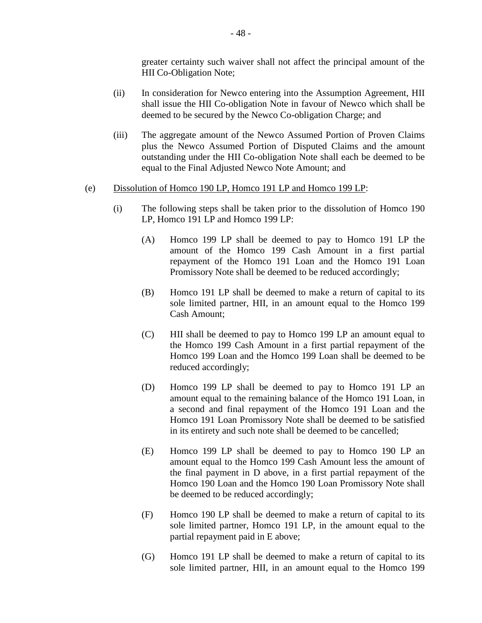greater certainty such waiver shall not affect the principal amount of the HII Co-Obligation Note;

- (ii) In consideration for Newco entering into the Assumption Agreement, HII shall issue the HII Co-obligation Note in favour of Newco which shall be deemed to be secured by the Newco Co-obligation Charge; and
- (iii) The aggregate amount of the Newco Assumed Portion of Proven Claims plus the Newco Assumed Portion of Disputed Claims and the amount outstanding under the HII Co-obligation Note shall each be deemed to be equal to the Final Adjusted Newco Note Amount; and

### (e) Dissolution of Homco 190 LP, Homco 191 LP and Homco 199 LP:

- (i) The following steps shall be taken prior to the dissolution of Homco 190 LP, Homco 191 LP and Homco 199 LP:
	- (A) Homco 199 LP shall be deemed to pay to Homco 191 LP the amount of the Homco 199 Cash Amount in a first partial repayment of the Homco 191 Loan and the Homco 191 Loan Promissory Note shall be deemed to be reduced accordingly;
	- (B) Homco 191 LP shall be deemed to make a return of capital to its sole limited partner, HII, in an amount equal to the Homco 199 Cash Amount;
	- (C) HII shall be deemed to pay to Homco 199 LP an amount equal to the Homco 199 Cash Amount in a first partial repayment of the Homco 199 Loan and the Homco 199 Loan shall be deemed to be reduced accordingly;
	- (D) Homco 199 LP shall be deemed to pay to Homco 191 LP an amount equal to the remaining balance of the Homco 191 Loan, in a second and final repayment of the Homco 191 Loan and the Homco 191 Loan Promissory Note shall be deemed to be satisfied in its entirety and such note shall be deemed to be cancelled;
	- (E) Homco 199 LP shall be deemed to pay to Homco 190 LP an amount equal to the Homco 199 Cash Amount less the amount of the final payment in D above, in a first partial repayment of the Homco 190 Loan and the Homco 190 Loan Promissory Note shall be deemed to be reduced accordingly;
	- (F) Homco 190 LP shall be deemed to make a return of capital to its sole limited partner, Homco 191 LP, in the amount equal to the partial repayment paid in E above;
	- (G) Homco 191 LP shall be deemed to make a return of capital to its sole limited partner, HII, in an amount equal to the Homco 199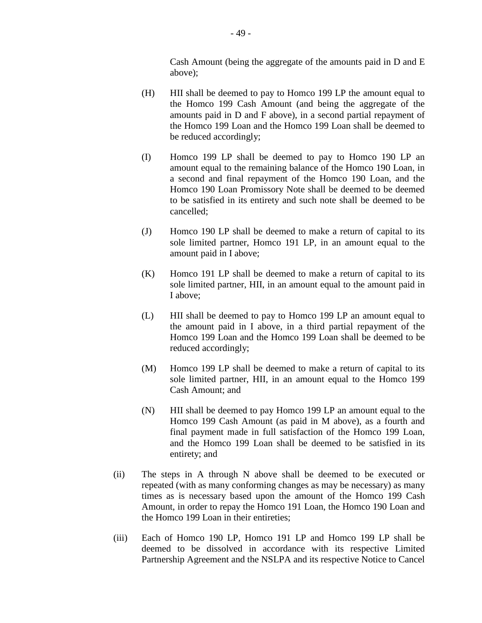Cash Amount (being the aggregate of the amounts paid in D and E above);

- (H) HII shall be deemed to pay to Homco 199 LP the amount equal to the Homco 199 Cash Amount (and being the aggregate of the amounts paid in D and F above), in a second partial repayment of the Homco 199 Loan and the Homco 199 Loan shall be deemed to be reduced accordingly;
- (I) Homco 199 LP shall be deemed to pay to Homco 190 LP an amount equal to the remaining balance of the Homco 190 Loan, in a second and final repayment of the Homco 190 Loan, and the Homco 190 Loan Promissory Note shall be deemed to be deemed to be satisfied in its entirety and such note shall be deemed to be cancelled;
- (J) Homco 190 LP shall be deemed to make a return of capital to its sole limited partner, Homco 191 LP, in an amount equal to the amount paid in I above;
- (K) Homco 191 LP shall be deemed to make a return of capital to its sole limited partner, HII, in an amount equal to the amount paid in I above;
- (L) HII shall be deemed to pay to Homco 199 LP an amount equal to the amount paid in I above, in a third partial repayment of the Homco 199 Loan and the Homco 199 Loan shall be deemed to be reduced accordingly;
- (M) Homco 199 LP shall be deemed to make a return of capital to its sole limited partner, HII, in an amount equal to the Homco 199 Cash Amount; and
- (N) HII shall be deemed to pay Homco 199 LP an amount equal to the Homco 199 Cash Amount (as paid in M above), as a fourth and final payment made in full satisfaction of the Homco 199 Loan, and the Homco 199 Loan shall be deemed to be satisfied in its entirety; and
- (ii) The steps in A through N above shall be deemed to be executed or repeated (with as many conforming changes as may be necessary) as many times as is necessary based upon the amount of the Homco 199 Cash Amount, in order to repay the Homco 191 Loan, the Homco 190 Loan and the Homco 199 Loan in their entireties;
- (iii) Each of Homco 190 LP, Homco 191 LP and Homco 199 LP shall be deemed to be dissolved in accordance with its respective Limited Partnership Agreement and the NSLPA and its respective Notice to Cancel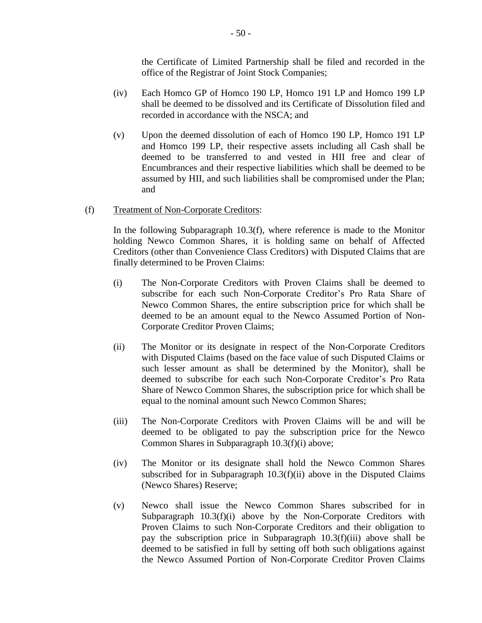the Certificate of Limited Partnership shall be filed and recorded in the office of the Registrar of Joint Stock Companies;

- (iv) Each Homco GP of Homco 190 LP, Homco 191 LP and Homco 199 LP shall be deemed to be dissolved and its Certificate of Dissolution filed and recorded in accordance with the NSCA; and
- (v) Upon the deemed dissolution of each of Homco 190 LP, Homco 191 LP and Homco 199 LP, their respective assets including all Cash shall be deemed to be transferred to and vested in HII free and clear of Encumbrances and their respective liabilities which shall be deemed to be assumed by HII, and such liabilities shall be compromised under the Plan; and
- (f) Treatment of Non-Corporate Creditors:

In the following Subparagraph 10.3(f), where reference is made to the Monitor holding Newco Common Shares, it is holding same on behalf of Affected Creditors (other than Convenience Class Creditors) with Disputed Claims that are finally determined to be Proven Claims:

- (i) The Non-Corporate Creditors with Proven Claims shall be deemed to subscribe for each such Non-Corporate Creditor's Pro Rata Share of Newco Common Shares, the entire subscription price for which shall be deemed to be an amount equal to the Newco Assumed Portion of Non-Corporate Creditor Proven Claims;
- (ii) The Monitor or its designate in respect of the Non-Corporate Creditors with Disputed Claims (based on the face value of such Disputed Claims or such lesser amount as shall be determined by the Monitor), shall be deemed to subscribe for each such Non-Corporate Creditor's Pro Rata Share of Newco Common Shares, the subscription price for which shall be equal to the nominal amount such Newco Common Shares;
- (iii) The Non-Corporate Creditors with Proven Claims will be and will be deemed to be obligated to pay the subscription price for the Newco Common Shares in Subparagraph 10.3(f)(i) above;
- (iv) The Monitor or its designate shall hold the Newco Common Shares subscribed for in Subparagraph 10.3(f)(ii) above in the Disputed Claims (Newco Shares) Reserve;
- (v) Newco shall issue the Newco Common Shares subscribed for in Subparagraph 10.3(f)(i) above by the Non-Corporate Creditors with Proven Claims to such Non-Corporate Creditors and their obligation to pay the subscription price in Subparagraph 10.3(f)(iii) above shall be deemed to be satisfied in full by setting off both such obligations against the Newco Assumed Portion of Non-Corporate Creditor Proven Claims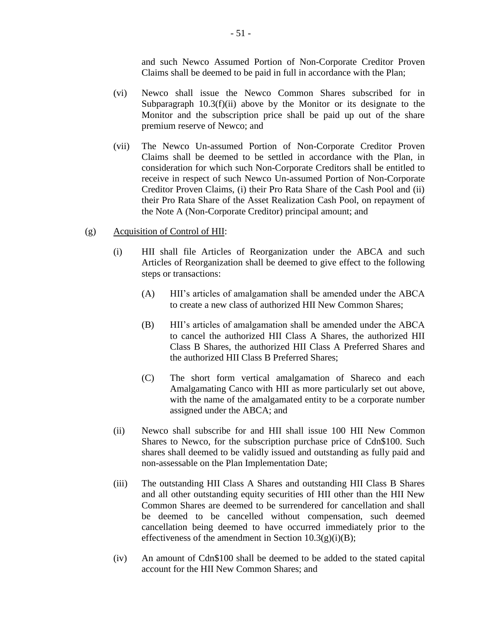and such Newco Assumed Portion of Non-Corporate Creditor Proven Claims shall be deemed to be paid in full in accordance with the Plan;

- (vi) Newco shall issue the Newco Common Shares subscribed for in Subparagraph  $10.3(f)(ii)$  above by the Monitor or its designate to the Monitor and the subscription price shall be paid up out of the share premium reserve of Newco; and
- (vii) The Newco Un-assumed Portion of Non-Corporate Creditor Proven Claims shall be deemed to be settled in accordance with the Plan, in consideration for which such Non-Corporate Creditors shall be entitled to receive in respect of such Newco Un-assumed Portion of Non-Corporate Creditor Proven Claims, (i) their Pro Rata Share of the Cash Pool and (ii) their Pro Rata Share of the Asset Realization Cash Pool, on repayment of the Note A (Non-Corporate Creditor) principal amount; and
- (g) Acquisition of Control of HII:
	- (i) HII shall file Articles of Reorganization under the ABCA and such Articles of Reorganization shall be deemed to give effect to the following steps or transactions:
		- (A) HII's articles of amalgamation shall be amended under the ABCA to create a new class of authorized HII New Common Shares;
		- (B) HII's articles of amalgamation shall be amended under the ABCA to cancel the authorized HII Class A Shares, the authorized HII Class B Shares, the authorized HII Class A Preferred Shares and the authorized HII Class B Preferred Shares;
		- (C) The short form vertical amalgamation of Shareco and each Amalgamating Canco with HII as more particularly set out above, with the name of the amalgamated entity to be a corporate number assigned under the ABCA; and
	- (ii) Newco shall subscribe for and HII shall issue 100 HII New Common Shares to Newco, for the subscription purchase price of Cdn\$100. Such shares shall deemed to be validly issued and outstanding as fully paid and non-assessable on the Plan Implementation Date;
	- (iii) The outstanding HII Class A Shares and outstanding HII Class B Shares and all other outstanding equity securities of HII other than the HII New Common Shares are deemed to be surrendered for cancellation and shall be deemed to be cancelled without compensation, such deemed cancellation being deemed to have occurred immediately prior to the effectiveness of the amendment in Section 10.3(g)(i)(B);
	- (iv) An amount of Cdn\$100 shall be deemed to be added to the stated capital account for the HII New Common Shares; and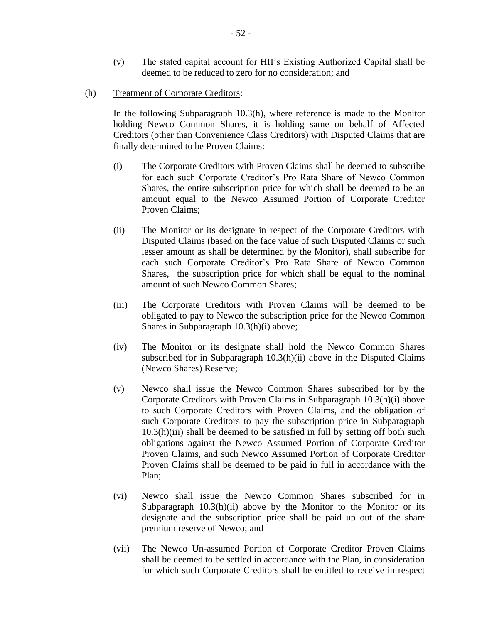- (v) The stated capital account for HII's Existing Authorized Capital shall be deemed to be reduced to zero for no consideration; and
- (h) Treatment of Corporate Creditors:

In the following Subparagraph 10.3(h), where reference is made to the Monitor holding Newco Common Shares, it is holding same on behalf of Affected Creditors (other than Convenience Class Creditors) with Disputed Claims that are finally determined to be Proven Claims:

- (i) The Corporate Creditors with Proven Claims shall be deemed to subscribe for each such Corporate Creditor's Pro Rata Share of Newco Common Shares, the entire subscription price for which shall be deemed to be an amount equal to the Newco Assumed Portion of Corporate Creditor Proven Claims;
- (ii) The Monitor or its designate in respect of the Corporate Creditors with Disputed Claims (based on the face value of such Disputed Claims or such lesser amount as shall be determined by the Monitor), shall subscribe for each such Corporate Creditor's Pro Rata Share of Newco Common Shares, the subscription price for which shall be equal to the nominal amount of such Newco Common Shares;
- (iii) The Corporate Creditors with Proven Claims will be deemed to be obligated to pay to Newco the subscription price for the Newco Common Shares in Subparagraph 10.3(h)(i) above;
- (iv) The Monitor or its designate shall hold the Newco Common Shares subscribed for in Subparagraph 10.3(h)(ii) above in the Disputed Claims (Newco Shares) Reserve;
- (v) Newco shall issue the Newco Common Shares subscribed for by the Corporate Creditors with Proven Claims in Subparagraph 10.3(h)(i) above to such Corporate Creditors with Proven Claims, and the obligation of such Corporate Creditors to pay the subscription price in Subparagraph 10.3(h)(iii) shall be deemed to be satisfied in full by setting off both such obligations against the Newco Assumed Portion of Corporate Creditor Proven Claims, and such Newco Assumed Portion of Corporate Creditor Proven Claims shall be deemed to be paid in full in accordance with the Plan;
- (vi) Newco shall issue the Newco Common Shares subscribed for in Subparagraph  $10.3(h)(ii)$  above by the Monitor to the Monitor or its designate and the subscription price shall be paid up out of the share premium reserve of Newco; and
- (vii) The Newco Un-assumed Portion of Corporate Creditor Proven Claims shall be deemed to be settled in accordance with the Plan, in consideration for which such Corporate Creditors shall be entitled to receive in respect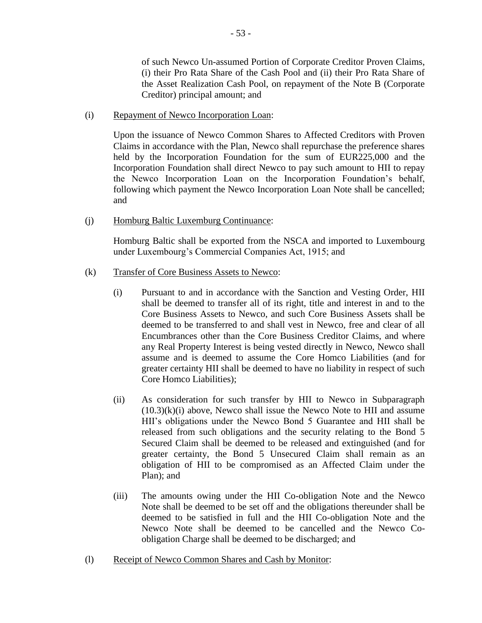of such Newco Un-assumed Portion of Corporate Creditor Proven Claims, (i) their Pro Rata Share of the Cash Pool and (ii) their Pro Rata Share of the Asset Realization Cash Pool, on repayment of the Note B (Corporate Creditor) principal amount; and

(i) Repayment of Newco Incorporation Loan:

Upon the issuance of Newco Common Shares to Affected Creditors with Proven Claims in accordance with the Plan, Newco shall repurchase the preference shares held by the Incorporation Foundation for the sum of EUR225,000 and the Incorporation Foundation shall direct Newco to pay such amount to HII to repay the Newco Incorporation Loan on the Incorporation Foundation's behalf, following which payment the Newco Incorporation Loan Note shall be cancelled; and

(j) Homburg Baltic Luxemburg Continuance:

Homburg Baltic shall be exported from the NSCA and imported to Luxembourg under Luxembourg's Commercial Companies Act, 1915; and

- (k) Transfer of Core Business Assets to Newco:
	- (i) Pursuant to and in accordance with the Sanction and Vesting Order, HII shall be deemed to transfer all of its right, title and interest in and to the Core Business Assets to Newco, and such Core Business Assets shall be deemed to be transferred to and shall vest in Newco, free and clear of all Encumbrances other than the Core Business Creditor Claims, and where any Real Property Interest is being vested directly in Newco, Newco shall assume and is deemed to assume the Core Homco Liabilities (and for greater certainty HII shall be deemed to have no liability in respect of such Core Homco Liabilities);
	- (ii) As consideration for such transfer by HII to Newco in Subparagraph  $(10.3)(k)(i)$  above, Newco shall issue the Newco Note to HII and assume HII's obligations under the Newco Bond 5 Guarantee and HII shall be released from such obligations and the security relating to the Bond 5 Secured Claim shall be deemed to be released and extinguished (and for greater certainty, the Bond 5 Unsecured Claim shall remain as an obligation of HII to be compromised as an Affected Claim under the Plan); and
	- (iii) The amounts owing under the HII Co-obligation Note and the Newco Note shall be deemed to be set off and the obligations thereunder shall be deemed to be satisfied in full and the HII Co-obligation Note and the Newco Note shall be deemed to be cancelled and the Newco Coobligation Charge shall be deemed to be discharged; and
- (l) Receipt of Newco Common Shares and Cash by Monitor: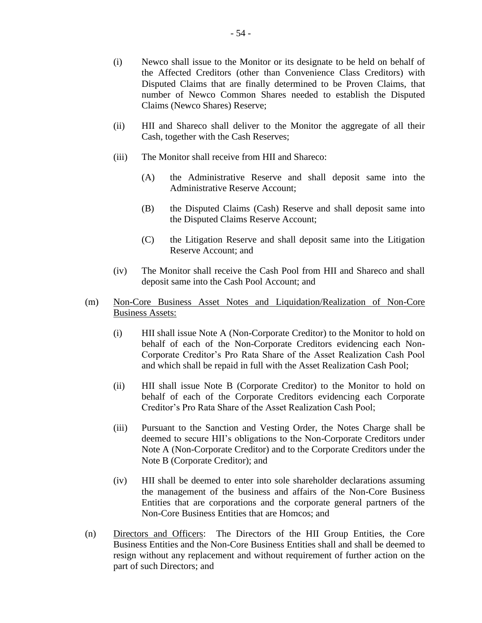- (i) Newco shall issue to the Monitor or its designate to be held on behalf of the Affected Creditors (other than Convenience Class Creditors) with Disputed Claims that are finally determined to be Proven Claims, that number of Newco Common Shares needed to establish the Disputed Claims (Newco Shares) Reserve;
- (ii) HII and Shareco shall deliver to the Monitor the aggregate of all their Cash, together with the Cash Reserves;
- (iii) The Monitor shall receive from HII and Shareco:
	- (A) the Administrative Reserve and shall deposit same into the Administrative Reserve Account;
	- (B) the Disputed Claims (Cash) Reserve and shall deposit same into the Disputed Claims Reserve Account;
	- (C) the Litigation Reserve and shall deposit same into the Litigation Reserve Account; and
- (iv) The Monitor shall receive the Cash Pool from HII and Shareco and shall deposit same into the Cash Pool Account; and
- (m) Non-Core Business Asset Notes and Liquidation/Realization of Non-Core Business Assets:
	- (i) HII shall issue Note A (Non-Corporate Creditor) to the Monitor to hold on behalf of each of the Non-Corporate Creditors evidencing each Non-Corporate Creditor's Pro Rata Share of the Asset Realization Cash Pool and which shall be repaid in full with the Asset Realization Cash Pool;
	- (ii) HII shall issue Note B (Corporate Creditor) to the Monitor to hold on behalf of each of the Corporate Creditors evidencing each Corporate Creditor's Pro Rata Share of the Asset Realization Cash Pool;
	- (iii) Pursuant to the Sanction and Vesting Order, the Notes Charge shall be deemed to secure HII's obligations to the Non-Corporate Creditors under Note A (Non-Corporate Creditor) and to the Corporate Creditors under the Note B (Corporate Creditor); and
	- (iv) HII shall be deemed to enter into sole shareholder declarations assuming the management of the business and affairs of the Non-Core Business Entities that are corporations and the corporate general partners of the Non-Core Business Entities that are Homcos; and
- (n) Directors and Officers: The Directors of the HII Group Entities, the Core Business Entities and the Non-Core Business Entities shall and shall be deemed to resign without any replacement and without requirement of further action on the part of such Directors; and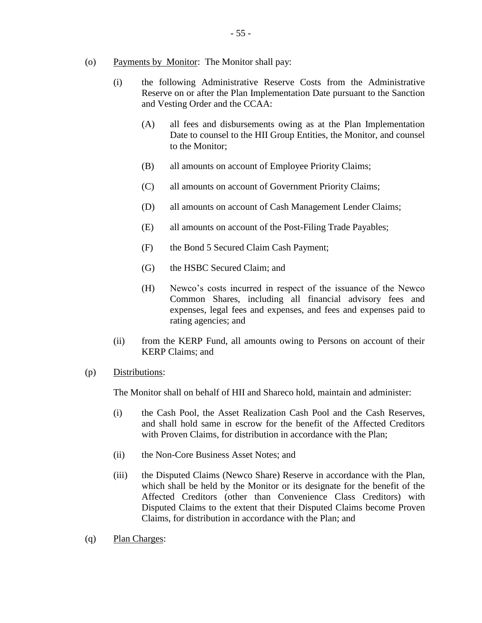- (o) Payments by Monitor: The Monitor shall pay:
	- (i) the following Administrative Reserve Costs from the Administrative Reserve on or after the Plan Implementation Date pursuant to the Sanction and Vesting Order and the CCAA:
		- (A) all fees and disbursements owing as at the Plan Implementation Date to counsel to the HII Group Entities, the Monitor, and counsel to the Monitor;
		- (B) all amounts on account of Employee Priority Claims;
		- (C) all amounts on account of Government Priority Claims;
		- (D) all amounts on account of Cash Management Lender Claims;
		- (E) all amounts on account of the Post-Filing Trade Payables;
		- (F) the Bond 5 Secured Claim Cash Payment;
		- (G) the HSBC Secured Claim; and
		- (H) Newco's costs incurred in respect of the issuance of the Newco Common Shares, including all financial advisory fees and expenses, legal fees and expenses, and fees and expenses paid to rating agencies; and
	- (ii) from the KERP Fund, all amounts owing to Persons on account of their KERP Claims; and
- (p) Distributions:

The Monitor shall on behalf of HII and Shareco hold, maintain and administer:

- (i) the Cash Pool, the Asset Realization Cash Pool and the Cash Reserves, and shall hold same in escrow for the benefit of the Affected Creditors with Proven Claims, for distribution in accordance with the Plan;
- (ii) the Non-Core Business Asset Notes; and
- (iii) the Disputed Claims (Newco Share) Reserve in accordance with the Plan, which shall be held by the Monitor or its designate for the benefit of the Affected Creditors (other than Convenience Class Creditors) with Disputed Claims to the extent that their Disputed Claims become Proven Claims, for distribution in accordance with the Plan; and
- (q) Plan Charges: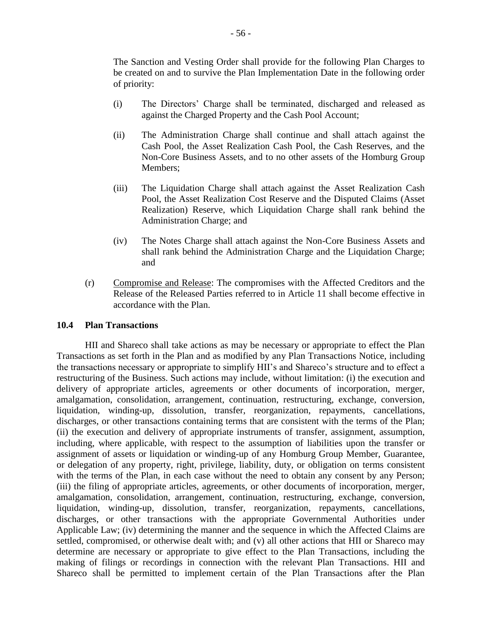The Sanction and Vesting Order shall provide for the following Plan Charges to be created on and to survive the Plan Implementation Date in the following order of priority:

- (i) The Directors' Charge shall be terminated, discharged and released as against the Charged Property and the Cash Pool Account;
- (ii) The Administration Charge shall continue and shall attach against the Cash Pool, the Asset Realization Cash Pool, the Cash Reserves, and the Non-Core Business Assets, and to no other assets of the Homburg Group Members;
- (iii) The Liquidation Charge shall attach against the Asset Realization Cash Pool, the Asset Realization Cost Reserve and the Disputed Claims (Asset Realization) Reserve, which Liquidation Charge shall rank behind the Administration Charge; and
- (iv) The Notes Charge shall attach against the Non-Core Business Assets and shall rank behind the Administration Charge and the Liquidation Charge; and
- (r) Compromise and Release: The compromises with the Affected Creditors and the Release of the Released Parties referred to in Article 11 shall become effective in accordance with the Plan.

### **10.4 Plan Transactions**

HII and Shareco shall take actions as may be necessary or appropriate to effect the Plan Transactions as set forth in the Plan and as modified by any Plan Transactions Notice, including the transactions necessary or appropriate to simplify HII's and Shareco's structure and to effect a restructuring of the Business. Such actions may include, without limitation: (i) the execution and delivery of appropriate articles, agreements or other documents of incorporation, merger, amalgamation, consolidation, arrangement, continuation, restructuring, exchange, conversion, liquidation, winding-up, dissolution, transfer, reorganization, repayments, cancellations, discharges, or other transactions containing terms that are consistent with the terms of the Plan; (ii) the execution and delivery of appropriate instruments of transfer, assignment, assumption, including, where applicable, with respect to the assumption of liabilities upon the transfer or assignment of assets or liquidation or winding-up of any Homburg Group Member, Guarantee, or delegation of any property, right, privilege, liability, duty, or obligation on terms consistent with the terms of the Plan, in each case without the need to obtain any consent by any Person; (iii) the filing of appropriate articles, agreements, or other documents of incorporation, merger, amalgamation, consolidation, arrangement, continuation, restructuring, exchange, conversion, liquidation, winding-up, dissolution, transfer, reorganization, repayments, cancellations, discharges, or other transactions with the appropriate Governmental Authorities under Applicable Law; (iv) determining the manner and the sequence in which the Affected Claims are settled, compromised, or otherwise dealt with; and (v) all other actions that HII or Shareco may determine are necessary or appropriate to give effect to the Plan Transactions, including the making of filings or recordings in connection with the relevant Plan Transactions. HII and Shareco shall be permitted to implement certain of the Plan Transactions after the Plan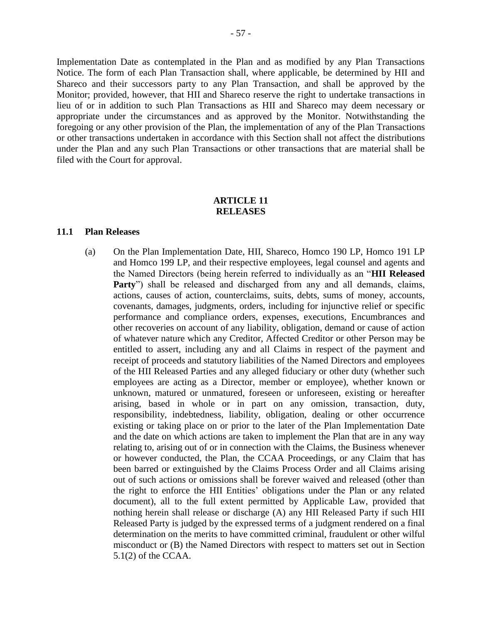Implementation Date as contemplated in the Plan and as modified by any Plan Transactions Notice. The form of each Plan Transaction shall, where applicable, be determined by HII and Shareco and their successors party to any Plan Transaction, and shall be approved by the Monitor; provided, however, that HII and Shareco reserve the right to undertake transactions in lieu of or in addition to such Plan Transactions as HII and Shareco may deem necessary or appropriate under the circumstances and as approved by the Monitor. Notwithstanding the foregoing or any other provision of the Plan, the implementation of any of the Plan Transactions or other transactions undertaken in accordance with this Section shall not affect the distributions under the Plan and any such Plan Transactions or other transactions that are material shall be filed with the Court for approval.

## **ARTICLE 11 RELEASES**

#### **11.1 Plan Releases**

(a) On the Plan Implementation Date, HII, Shareco, Homco 190 LP, Homco 191 LP and Homco 199 LP, and their respective employees, legal counsel and agents and the Named Directors (being herein referred to individually as an "**HII Released**  Party") shall be released and discharged from any and all demands, claims, actions, causes of action, counterclaims, suits, debts, sums of money, accounts, covenants, damages, judgments, orders, including for injunctive relief or specific performance and compliance orders, expenses, executions, Encumbrances and other recoveries on account of any liability, obligation, demand or cause of action of whatever nature which any Creditor, Affected Creditor or other Person may be entitled to assert, including any and all Claims in respect of the payment and receipt of proceeds and statutory liabilities of the Named Directors and employees of the HII Released Parties and any alleged fiduciary or other duty (whether such employees are acting as a Director, member or employee), whether known or unknown, matured or unmatured, foreseen or unforeseen, existing or hereafter arising, based in whole or in part on any omission, transaction, duty, responsibility, indebtedness, liability, obligation, dealing or other occurrence existing or taking place on or prior to the later of the Plan Implementation Date and the date on which actions are taken to implement the Plan that are in any way relating to, arising out of or in connection with the Claims, the Business whenever or however conducted, the Plan, the CCAA Proceedings, or any Claim that has been barred or extinguished by the Claims Process Order and all Claims arising out of such actions or omissions shall be forever waived and released (other than the right to enforce the HII Entities' obligations under the Plan or any related document), all to the full extent permitted by Applicable Law, provided that nothing herein shall release or discharge (A) any HII Released Party if such HII Released Party is judged by the expressed terms of a judgment rendered on a final determination on the merits to have committed criminal, fraudulent or other wilful misconduct or (B) the Named Directors with respect to matters set out in Section 5.1(2) of the CCAA.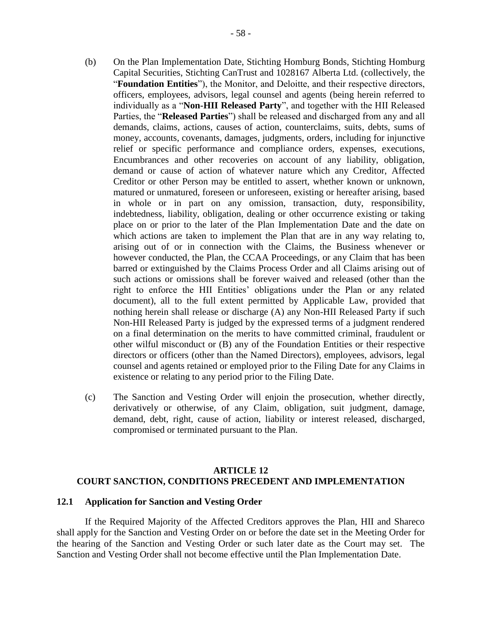- (b) On the Plan Implementation Date, Stichting Homburg Bonds, Stichting Homburg Capital Securities, Stichting CanTrust and 1028167 Alberta Ltd. (collectively, the "**Foundation Entities**"), the Monitor, and Deloitte, and their respective directors, officers, employees, advisors, legal counsel and agents (being herein referred to individually as a "**Non-HII Released Party**", and together with the HII Released Parties, the "**Released Parties**") shall be released and discharged from any and all demands, claims, actions, causes of action, counterclaims, suits, debts, sums of money, accounts, covenants, damages, judgments, orders, including for injunctive relief or specific performance and compliance orders, expenses, executions, Encumbrances and other recoveries on account of any liability, obligation, demand or cause of action of whatever nature which any Creditor, Affected Creditor or other Person may be entitled to assert, whether known or unknown, matured or unmatured, foreseen or unforeseen, existing or hereafter arising, based in whole or in part on any omission, transaction, duty, responsibility, indebtedness, liability, obligation, dealing or other occurrence existing or taking place on or prior to the later of the Plan Implementation Date and the date on which actions are taken to implement the Plan that are in any way relating to, arising out of or in connection with the Claims, the Business whenever or however conducted, the Plan, the CCAA Proceedings, or any Claim that has been barred or extinguished by the Claims Process Order and all Claims arising out of such actions or omissions shall be forever waived and released (other than the right to enforce the HII Entities' obligations under the Plan or any related document), all to the full extent permitted by Applicable Law, provided that nothing herein shall release or discharge (A) any Non-HII Released Party if such Non-HII Released Party is judged by the expressed terms of a judgment rendered on a final determination on the merits to have committed criminal, fraudulent or other wilful misconduct or (B) any of the Foundation Entities or their respective directors or officers (other than the Named Directors), employees, advisors, legal counsel and agents retained or employed prior to the Filing Date for any Claims in existence or relating to any period prior to the Filing Date.
- (c) The Sanction and Vesting Order will enjoin the prosecution, whether directly, derivatively or otherwise, of any Claim, obligation, suit judgment, damage, demand, debt, right, cause of action, liability or interest released, discharged, compromised or terminated pursuant to the Plan.

# **ARTICLE 12 COURT SANCTION, CONDITIONS PRECEDENT AND IMPLEMENTATION**

# **12.1 Application for Sanction and Vesting Order**

If the Required Majority of the Affected Creditors approves the Plan, HII and Shareco shall apply for the Sanction and Vesting Order on or before the date set in the Meeting Order for the hearing of the Sanction and Vesting Order or such later date as the Court may set. The Sanction and Vesting Order shall not become effective until the Plan Implementation Date.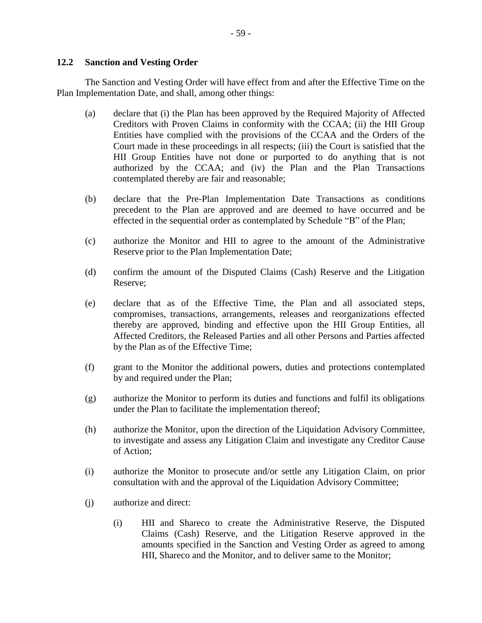## **12.2 Sanction and Vesting Order**

The Sanction and Vesting Order will have effect from and after the Effective Time on the Plan Implementation Date, and shall, among other things:

- (a) declare that (i) the Plan has been approved by the Required Majority of Affected Creditors with Proven Claims in conformity with the CCAA; (ii) the HII Group Entities have complied with the provisions of the CCAA and the Orders of the Court made in these proceedings in all respects; (iii) the Court is satisfied that the HII Group Entities have not done or purported to do anything that is not authorized by the CCAA; and (iv) the Plan and the Plan Transactions contemplated thereby are fair and reasonable;
- (b) declare that the Pre-Plan Implementation Date Transactions as conditions precedent to the Plan are approved and are deemed to have occurred and be effected in the sequential order as contemplated by Schedule "B" of the Plan;
- (c) authorize the Monitor and HII to agree to the amount of the Administrative Reserve prior to the Plan Implementation Date;
- (d) confirm the amount of the Disputed Claims (Cash) Reserve and the Litigation Reserve;
- (e) declare that as of the Effective Time, the Plan and all associated steps, compromises, transactions, arrangements, releases and reorganizations effected thereby are approved, binding and effective upon the HII Group Entities, all Affected Creditors, the Released Parties and all other Persons and Parties affected by the Plan as of the Effective Time;
- (f) grant to the Monitor the additional powers, duties and protections contemplated by and required under the Plan;
- (g) authorize the Monitor to perform its duties and functions and fulfil its obligations under the Plan to facilitate the implementation thereof;
- (h) authorize the Monitor, upon the direction of the Liquidation Advisory Committee, to investigate and assess any Litigation Claim and investigate any Creditor Cause of Action;
- (i) authorize the Monitor to prosecute and/or settle any Litigation Claim, on prior consultation with and the approval of the Liquidation Advisory Committee;
- (j) authorize and direct:
	- (i) HII and Shareco to create the Administrative Reserve, the Disputed Claims (Cash) Reserve, and the Litigation Reserve approved in the amounts specified in the Sanction and Vesting Order as agreed to among HII, Shareco and the Monitor, and to deliver same to the Monitor;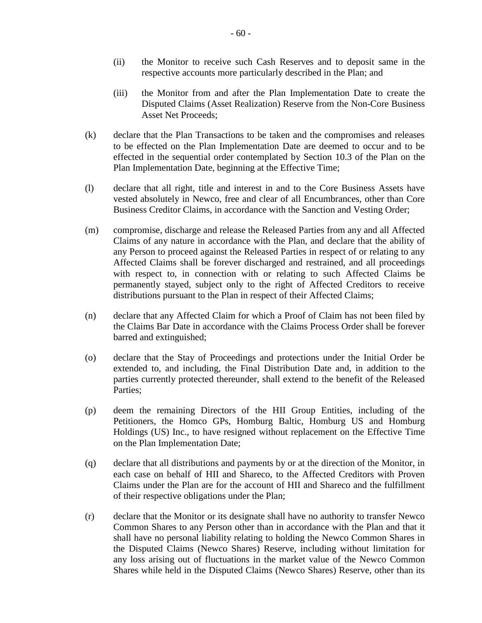- (ii) the Monitor to receive such Cash Reserves and to deposit same in the respective accounts more particularly described in the Plan; and
- (iii) the Monitor from and after the Plan Implementation Date to create the Disputed Claims (Asset Realization) Reserve from the Non-Core Business Asset Net Proceeds;
- (k) declare that the Plan Transactions to be taken and the compromises and releases to be effected on the Plan Implementation Date are deemed to occur and to be effected in the sequential order contemplated by Section 10.3 of the Plan on the Plan Implementation Date, beginning at the Effective Time;
- (l) declare that all right, title and interest in and to the Core Business Assets have vested absolutely in Newco, free and clear of all Encumbrances, other than Core Business Creditor Claims, in accordance with the Sanction and Vesting Order;
- (m) compromise, discharge and release the Released Parties from any and all Affected Claims of any nature in accordance with the Plan, and declare that the ability of any Person to proceed against the Released Parties in respect of or relating to any Affected Claims shall be forever discharged and restrained, and all proceedings with respect to, in connection with or relating to such Affected Claims be permanently stayed, subject only to the right of Affected Creditors to receive distributions pursuant to the Plan in respect of their Affected Claims;
- (n) declare that any Affected Claim for which a Proof of Claim has not been filed by the Claims Bar Date in accordance with the Claims Process Order shall be forever barred and extinguished;
- (o) declare that the Stay of Proceedings and protections under the Initial Order be extended to, and including, the Final Distribution Date and, in addition to the parties currently protected thereunder, shall extend to the benefit of the Released Parties;
- (p) deem the remaining Directors of the HII Group Entities, including of the Petitioners, the Homco GPs, Homburg Baltic, Homburg US and Homburg Holdings (US) Inc., to have resigned without replacement on the Effective Time on the Plan Implementation Date;
- (q) declare that all distributions and payments by or at the direction of the Monitor, in each case on behalf of HII and Shareco, to the Affected Creditors with Proven Claims under the Plan are for the account of HII and Shareco and the fulfillment of their respective obligations under the Plan;
- (r) declare that the Monitor or its designate shall have no authority to transfer Newco Common Shares to any Person other than in accordance with the Plan and that it shall have no personal liability relating to holding the Newco Common Shares in the Disputed Claims (Newco Shares) Reserve, including without limitation for any loss arising out of fluctuations in the market value of the Newco Common Shares while held in the Disputed Claims (Newco Shares) Reserve, other than its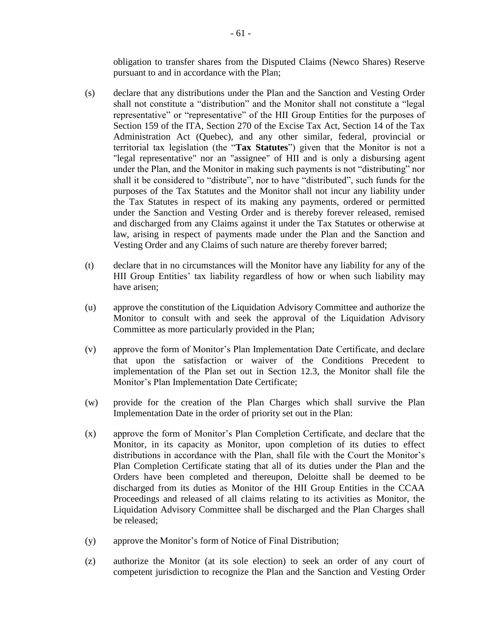obligation to transfer shares from the Disputed Claims (Newco Shares) Reserve pursuant to and in accordance with the Plan;

- (s) declare that any distributions under the Plan and the Sanction and Vesting Order shall not constitute a "distribution" and the Monitor shall not constitute a "legal representative" or "representative" of the HII Group Entities for the purposes of Section 159 of the ITA, Section 270 of the Excise Tax Act, Section 14 of the Tax Administration Act (Quebec), and any other similar, federal, provincial or territorial tax legislation (the "**Tax Statutes**") given that the Monitor is not a "legal representative" nor an "assignee" of HII and is only a disbursing agent under the Plan, and the Monitor in making such payments is not "distributing" nor shall it be considered to "distribute", nor to have "distributed", such funds for the purposes of the Tax Statutes and the Monitor shall not incur any liability under the Tax Statutes in respect of its making any payments, ordered or permitted under the Sanction and Vesting Order and is thereby forever released, remised and discharged from any Claims against it under the Tax Statutes or otherwise at law, arising in respect of payments made under the Plan and the Sanction and Vesting Order and any Claims of such nature are thereby forever barred;
- (t) declare that in no circumstances will the Monitor have any liability for any of the HII Group Entities' tax liability regardless of how or when such liability may have arisen;
- (u) approve the constitution of the Liquidation Advisory Committee and authorize the Monitor to consult with and seek the approval of the Liquidation Advisory Committee as more particularly provided in the Plan;
- (v) approve the form of Monitor's Plan Implementation Date Certificate, and declare that upon the satisfaction or waiver of the Conditions Precedent to implementation of the Plan set out in Section 12.3, the Monitor shall file the Monitor's Plan Implementation Date Certificate;
- (w) provide for the creation of the Plan Charges which shall survive the Plan Implementation Date in the order of priority set out in the Plan:
- (x) approve the form of Monitor's Plan Completion Certificate, and declare that the Monitor, in its capacity as Monitor, upon completion of its duties to effect distributions in accordance with the Plan, shall file with the Court the Monitor's Plan Completion Certificate stating that all of its duties under the Plan and the Orders have been completed and thereupon, Deloitte shall be deemed to be discharged from its duties as Monitor of the HII Group Entities in the CCAA Proceedings and released of all claims relating to its activities as Monitor, the Liquidation Advisory Committee shall be discharged and the Plan Charges shall be released;
- (y) approve the Monitor's form of Notice of Final Distribution;
- (z) authorize the Monitor (at its sole election) to seek an order of any court of competent jurisdiction to recognize the Plan and the Sanction and Vesting Order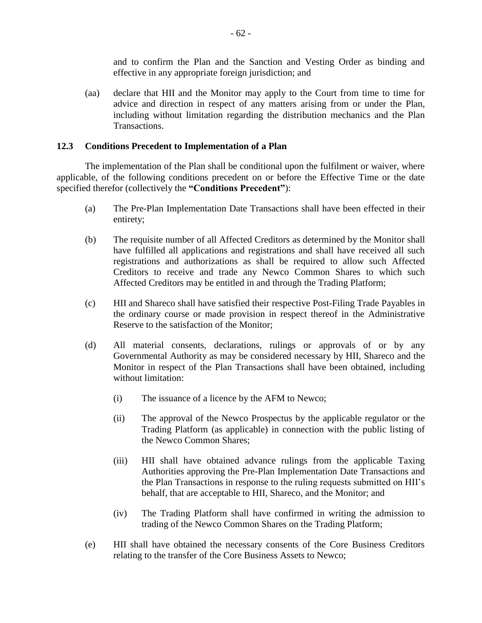and to confirm the Plan and the Sanction and Vesting Order as binding and effective in any appropriate foreign jurisdiction; and

(aa) declare that HII and the Monitor may apply to the Court from time to time for advice and direction in respect of any matters arising from or under the Plan, including without limitation regarding the distribution mechanics and the Plan Transactions.

## **12.3 Conditions Precedent to Implementation of a Plan**

The implementation of the Plan shall be conditional upon the fulfilment or waiver, where applicable, of the following conditions precedent on or before the Effective Time or the date specified therefor (collectively the **"Conditions Precedent"**):

- (a) The Pre-Plan Implementation Date Transactions shall have been effected in their entirety;
- (b) The requisite number of all Affected Creditors as determined by the Monitor shall have fulfilled all applications and registrations and shall have received all such registrations and authorizations as shall be required to allow such Affected Creditors to receive and trade any Newco Common Shares to which such Affected Creditors may be entitled in and through the Trading Platform;
- (c) HII and Shareco shall have satisfied their respective Post-Filing Trade Payables in the ordinary course or made provision in respect thereof in the Administrative Reserve to the satisfaction of the Monitor;
- (d) All material consents, declarations, rulings or approvals of or by any Governmental Authority as may be considered necessary by HII, Shareco and the Monitor in respect of the Plan Transactions shall have been obtained, including without limitation:
	- (i) The issuance of a licence by the AFM to Newco;
	- (ii) The approval of the Newco Prospectus by the applicable regulator or the Trading Platform (as applicable) in connection with the public listing of the Newco Common Shares;
	- (iii) HII shall have obtained advance rulings from the applicable Taxing Authorities approving the Pre-Plan Implementation Date Transactions and the Plan Transactions in response to the ruling requests submitted on HII's behalf, that are acceptable to HII, Shareco, and the Monitor; and
	- (iv) The Trading Platform shall have confirmed in writing the admission to trading of the Newco Common Shares on the Trading Platform;
- (e) HII shall have obtained the necessary consents of the Core Business Creditors relating to the transfer of the Core Business Assets to Newco;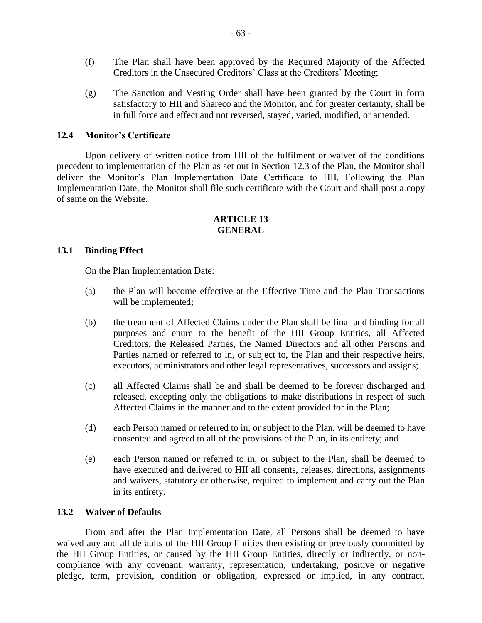- (f) The Plan shall have been approved by the Required Majority of the Affected Creditors in the Unsecured Creditors' Class at the Creditors' Meeting;
- (g) The Sanction and Vesting Order shall have been granted by the Court in form satisfactory to HII and Shareco and the Monitor, and for greater certainty, shall be in full force and effect and not reversed, stayed, varied, modified, or amended.

## **12.4 Monitor's Certificate**

Upon delivery of written notice from HII of the fulfilment or waiver of the conditions precedent to implementation of the Plan as set out in Section 12.3 of the Plan, the Monitor shall deliver the Monitor's Plan Implementation Date Certificate to HII. Following the Plan Implementation Date, the Monitor shall file such certificate with the Court and shall post a copy of same on the Website.

#### **ARTICLE 13 GENERAL**

### **13.1 Binding Effect**

On the Plan Implementation Date:

- (a) the Plan will become effective at the Effective Time and the Plan Transactions will be implemented;
- (b) the treatment of Affected Claims under the Plan shall be final and binding for all purposes and enure to the benefit of the HII Group Entities, all Affected Creditors, the Released Parties, the Named Directors and all other Persons and Parties named or referred to in, or subject to, the Plan and their respective heirs, executors, administrators and other legal representatives, successors and assigns;
- (c) all Affected Claims shall be and shall be deemed to be forever discharged and released, excepting only the obligations to make distributions in respect of such Affected Claims in the manner and to the extent provided for in the Plan;
- (d) each Person named or referred to in, or subject to the Plan, will be deemed to have consented and agreed to all of the provisions of the Plan, in its entirety; and
- (e) each Person named or referred to in, or subject to the Plan, shall be deemed to have executed and delivered to HII all consents, releases, directions, assignments and waivers, statutory or otherwise, required to implement and carry out the Plan in its entirety.

# **13.2 Waiver of Defaults**

From and after the Plan Implementation Date, all Persons shall be deemed to have waived any and all defaults of the HII Group Entities then existing or previously committed by the HII Group Entities, or caused by the HII Group Entities, directly or indirectly, or noncompliance with any covenant, warranty, representation, undertaking, positive or negative pledge, term, provision, condition or obligation, expressed or implied, in any contract,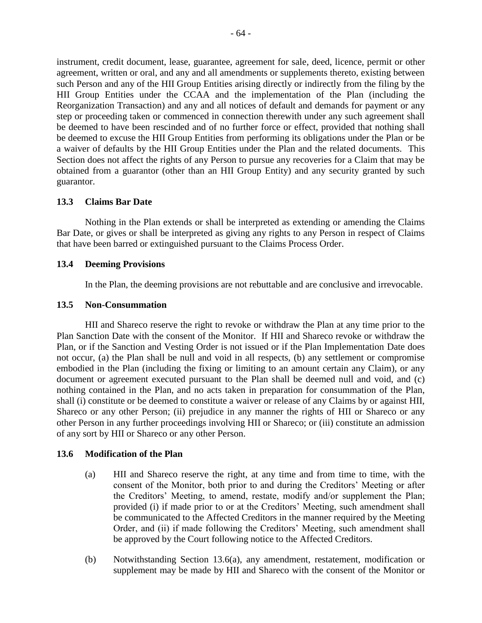instrument, credit document, lease, guarantee, agreement for sale, deed, licence, permit or other agreement, written or oral, and any and all amendments or supplements thereto, existing between such Person and any of the HII Group Entities arising directly or indirectly from the filing by the HII Group Entities under the CCAA and the implementation of the Plan (including the Reorganization Transaction) and any and all notices of default and demands for payment or any step or proceeding taken or commenced in connection therewith under any such agreement shall be deemed to have been rescinded and of no further force or effect, provided that nothing shall be deemed to excuse the HII Group Entities from performing its obligations under the Plan or be a waiver of defaults by the HII Group Entities under the Plan and the related documents. This Section does not affect the rights of any Person to pursue any recoveries for a Claim that may be obtained from a guarantor (other than an HII Group Entity) and any security granted by such guarantor.

# **13.3 Claims Bar Date**

Nothing in the Plan extends or shall be interpreted as extending or amending the Claims Bar Date, or gives or shall be interpreted as giving any rights to any Person in respect of Claims that have been barred or extinguished pursuant to the Claims Process Order.

### **13.4 Deeming Provisions**

In the Plan, the deeming provisions are not rebuttable and are conclusive and irrevocable.

### **13.5 Non-Consummation**

HII and Shareco reserve the right to revoke or withdraw the Plan at any time prior to the Plan Sanction Date with the consent of the Monitor. If HII and Shareco revoke or withdraw the Plan, or if the Sanction and Vesting Order is not issued or if the Plan Implementation Date does not occur, (a) the Plan shall be null and void in all respects, (b) any settlement or compromise embodied in the Plan (including the fixing or limiting to an amount certain any Claim), or any document or agreement executed pursuant to the Plan shall be deemed null and void, and (c) nothing contained in the Plan, and no acts taken in preparation for consummation of the Plan, shall (i) constitute or be deemed to constitute a waiver or release of any Claims by or against HII, Shareco or any other Person; (ii) prejudice in any manner the rights of HII or Shareco or any other Person in any further proceedings involving HII or Shareco; or (iii) constitute an admission of any sort by HII or Shareco or any other Person.

# **13.6 Modification of the Plan**

- (a) HII and Shareco reserve the right, at any time and from time to time, with the consent of the Monitor, both prior to and during the Creditors' Meeting or after the Creditors' Meeting, to amend, restate, modify and/or supplement the Plan; provided (i) if made prior to or at the Creditors' Meeting, such amendment shall be communicated to the Affected Creditors in the manner required by the Meeting Order, and (ii) if made following the Creditors' Meeting, such amendment shall be approved by the Court following notice to the Affected Creditors.
- (b) Notwithstanding Section 13.6(a), any amendment, restatement, modification or supplement may be made by HII and Shareco with the consent of the Monitor or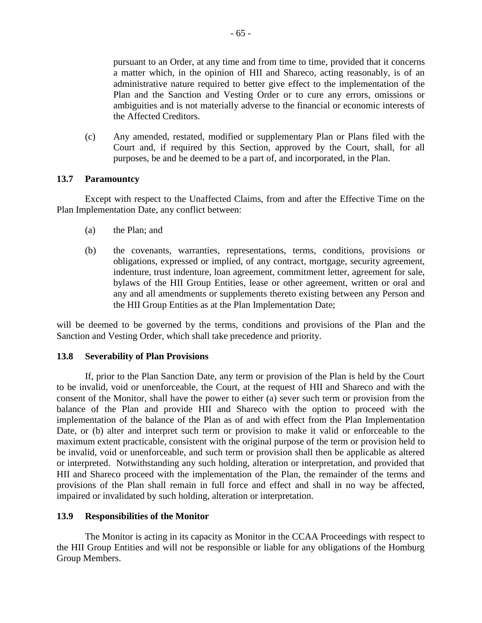pursuant to an Order, at any time and from time to time, provided that it concerns a matter which, in the opinion of HII and Shareco, acting reasonably, is of an administrative nature required to better give effect to the implementation of the Plan and the Sanction and Vesting Order or to cure any errors, omissions or ambiguities and is not materially adverse to the financial or economic interests of the Affected Creditors.

(c) Any amended, restated, modified or supplementary Plan or Plans filed with the Court and, if required by this Section, approved by the Court, shall, for all purposes, be and be deemed to be a part of, and incorporated, in the Plan.

### **13.7 Paramountcy**

Except with respect to the Unaffected Claims, from and after the Effective Time on the Plan Implementation Date, any conflict between:

- (a) the Plan; and
- (b) the covenants, warranties, representations, terms, conditions, provisions or obligations, expressed or implied, of any contract, mortgage, security agreement, indenture, trust indenture, loan agreement, commitment letter, agreement for sale, bylaws of the HII Group Entities, lease or other agreement, written or oral and any and all amendments or supplements thereto existing between any Person and the HII Group Entities as at the Plan Implementation Date;

will be deemed to be governed by the terms, conditions and provisions of the Plan and the Sanction and Vesting Order, which shall take precedence and priority.

#### **13.8 Severability of Plan Provisions**

If, prior to the Plan Sanction Date, any term or provision of the Plan is held by the Court to be invalid, void or unenforceable, the Court, at the request of HII and Shareco and with the consent of the Monitor, shall have the power to either (a) sever such term or provision from the balance of the Plan and provide HII and Shareco with the option to proceed with the implementation of the balance of the Plan as of and with effect from the Plan Implementation Date, or (b) alter and interpret such term or provision to make it valid or enforceable to the maximum extent practicable, consistent with the original purpose of the term or provision held to be invalid, void or unenforceable, and such term or provision shall then be applicable as altered or interpreted. Notwithstanding any such holding, alteration or interpretation, and provided that HII and Shareco proceed with the implementation of the Plan, the remainder of the terms and provisions of the Plan shall remain in full force and effect and shall in no way be affected, impaired or invalidated by such holding, alteration or interpretation.

#### **13.9 Responsibilities of the Monitor**

The Monitor is acting in its capacity as Monitor in the CCAA Proceedings with respect to the HII Group Entities and will not be responsible or liable for any obligations of the Homburg Group Members.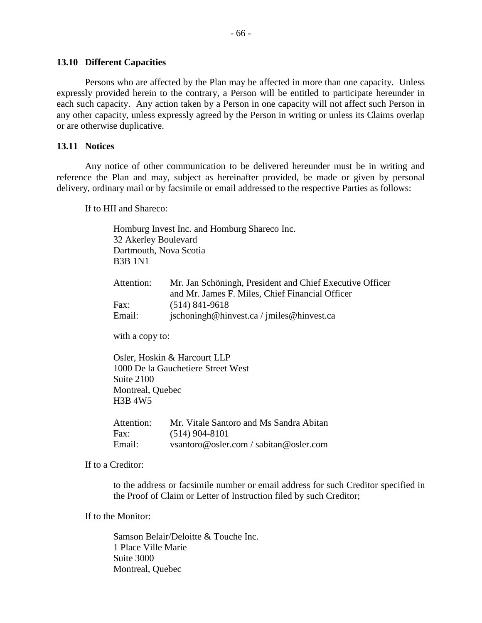#### **13.10 Different Capacities**

Persons who are affected by the Plan may be affected in more than one capacity. Unless expressly provided herein to the contrary, a Person will be entitled to participate hereunder in each such capacity. Any action taken by a Person in one capacity will not affect such Person in any other capacity, unless expressly agreed by the Person in writing or unless its Claims overlap or are otherwise duplicative.

#### **13.11 Notices**

Any notice of other communication to be delivered hereunder must be in writing and reference the Plan and may, subject as hereinafter provided, be made or given by personal delivery, ordinary mail or by facsimile or email addressed to the respective Parties as follows:

If to HII and Shareco:

| Homburg Invest Inc. and Homburg Shareco Inc.<br>32 Akerley Boulevard |                                                                                                             |  |
|----------------------------------------------------------------------|-------------------------------------------------------------------------------------------------------------|--|
| Dartmouth, Nova Scotia                                               |                                                                                                             |  |
| <b>B3B 1N1</b>                                                       |                                                                                                             |  |
| Attention:                                                           | Mr. Jan Schöningh, President and Chief Executive Officer<br>and Mr. James F. Miles, Chief Financial Officer |  |
| Fax:                                                                 | $(514)$ 841-9618                                                                                            |  |
| Email:                                                               | jschoningh@hinvest.ca / jmiles@hinvest.ca                                                                   |  |
| with a copy to:                                                      |                                                                                                             |  |
| Osler, Hoskin & Harcourt LLP                                         |                                                                                                             |  |
| 1000 De la Gauchetiere Street West                                   |                                                                                                             |  |
| Suite 2100                                                           |                                                                                                             |  |
| Montreal, Quebec                                                     |                                                                                                             |  |
| H3B 4W5                                                              |                                                                                                             |  |
| Attention:                                                           | Mr. Vitale Santoro and Ms Sandra Abitan                                                                     |  |
| Fax:                                                                 | $(514)$ 904-8101                                                                                            |  |

Email: vsantoro@osler.com / sabitan@osler.com

If to a Creditor:

to the address or facsimile number or email address for such Creditor specified in the Proof of Claim or Letter of Instruction filed by such Creditor;

If to the Monitor:

Samson Belair/Deloitte & Touche Inc. 1 Place Ville Marie Suite 3000 Montreal, Quebec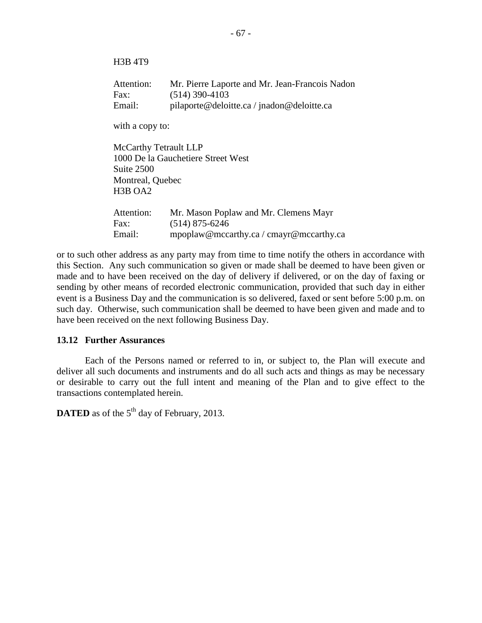H3B 4T9

| Attention:                                                         | Mr. Pierre Laporte and Mr. Jean-Francois Nadon |  |
|--------------------------------------------------------------------|------------------------------------------------|--|
| Fax:                                                               | $(514)$ 390-4103                               |  |
| Email:                                                             | pilaporte@deloitte.ca/jnadon@deloitte.ca       |  |
| with a copy to:                                                    |                                                |  |
| <b>McCarthy Tetrault LLP</b><br>1000 De la Gauchetiere Street West |                                                |  |
|                                                                    |                                                |  |
| Montreal, Quebec                                                   |                                                |  |
| H <sub>3</sub> B OA <sub>2</sub>                                   |                                                |  |
| Attention:                                                         | Mr. Mason Poplaw and Mr. Clemens Mayr          |  |
| Fax:                                                               | $(514)$ 875-6246                               |  |
| Email:                                                             | mpoplaw@mccarthy.ca / cmayr@mccarthy.ca        |  |

or to such other address as any party may from time to time notify the others in accordance with this Section. Any such communication so given or made shall be deemed to have been given or made and to have been received on the day of delivery if delivered, or on the day of faxing or sending by other means of recorded electronic communication, provided that such day in either event is a Business Day and the communication is so delivered, faxed or sent before 5:00 p.m. on such day. Otherwise, such communication shall be deemed to have been given and made and to have been received on the next following Business Day.

#### **13.12 Further Assurances**

Each of the Persons named or referred to in, or subject to, the Plan will execute and deliver all such documents and instruments and do all such acts and things as may be necessary or desirable to carry out the full intent and meaning of the Plan and to give effect to the transactions contemplated herein.

**DATED** as of the 5<sup>th</sup> day of February, 2013.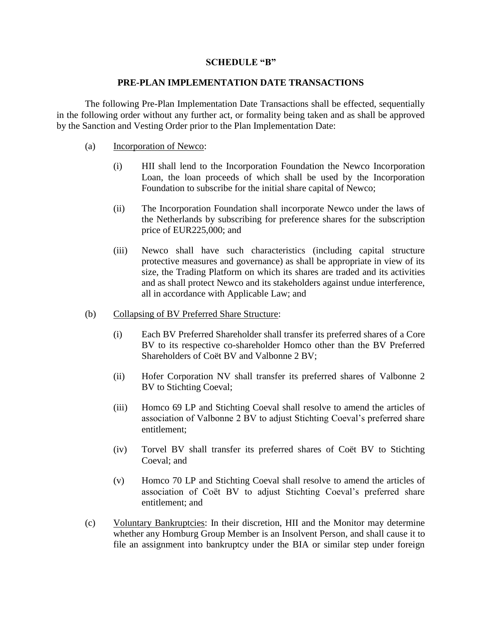### **SCHEDULE "B"**

## **PRE-PLAN IMPLEMENTATION DATE TRANSACTIONS**

The following Pre-Plan Implementation Date Transactions shall be effected, sequentially in the following order without any further act, or formality being taken and as shall be approved by the Sanction and Vesting Order prior to the Plan Implementation Date:

- (a) Incorporation of Newco:
	- (i) HII shall lend to the Incorporation Foundation the Newco Incorporation Loan, the loan proceeds of which shall be used by the Incorporation Foundation to subscribe for the initial share capital of Newco;
	- (ii) The Incorporation Foundation shall incorporate Newco under the laws of the Netherlands by subscribing for preference shares for the subscription price of EUR225,000; and
	- (iii) Newco shall have such characteristics (including capital structure protective measures and governance) as shall be appropriate in view of its size, the Trading Platform on which its shares are traded and its activities and as shall protect Newco and its stakeholders against undue interference, all in accordance with Applicable Law; and
- (b) Collapsing of BV Preferred Share Structure:
	- (i) Each BV Preferred Shareholder shall transfer its preferred shares of a Core BV to its respective co-shareholder Homco other than the BV Preferred Shareholders of Coët BV and Valbonne 2 BV;
	- (ii) Hofer Corporation NV shall transfer its preferred shares of Valbonne 2 BV to Stichting Coeval;
	- (iii) Homco 69 LP and Stichting Coeval shall resolve to amend the articles of association of Valbonne 2 BV to adjust Stichting Coeval's preferred share entitlement;
	- (iv) Torvel BV shall transfer its preferred shares of Coët BV to Stichting Coeval; and
	- (v) Homco 70 LP and Stichting Coeval shall resolve to amend the articles of association of Coët BV to adjust Stichting Coeval's preferred share entitlement; and
- (c) Voluntary Bankruptcies: In their discretion, HII and the Monitor may determine whether any Homburg Group Member is an Insolvent Person, and shall cause it to file an assignment into bankruptcy under the BIA or similar step under foreign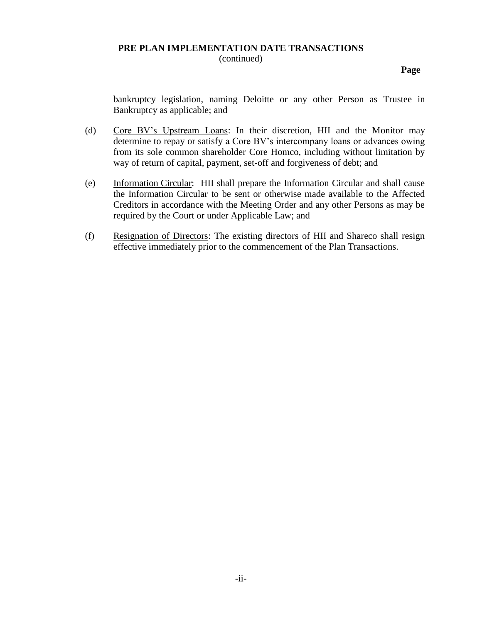### **PRE PLAN IMPLEMENTATION DATE TRANSACTIONS**

(continued)

**Page**

bankruptcy legislation, naming Deloitte or any other Person as Trustee in Bankruptcy as applicable; and

- (d) Core BV's Upstream Loans: In their discretion, HII and the Monitor may determine to repay or satisfy a Core BV's intercompany loans or advances owing from its sole common shareholder Core Homco, including without limitation by way of return of capital, payment, set-off and forgiveness of debt; and
- (e) Information Circular: HII shall prepare the Information Circular and shall cause the Information Circular to be sent or otherwise made available to the Affected Creditors in accordance with the Meeting Order and any other Persons as may be required by the Court or under Applicable Law; and
- (f) Resignation of Directors: The existing directors of HII and Shareco shall resign effective immediately prior to the commencement of the Plan Transactions.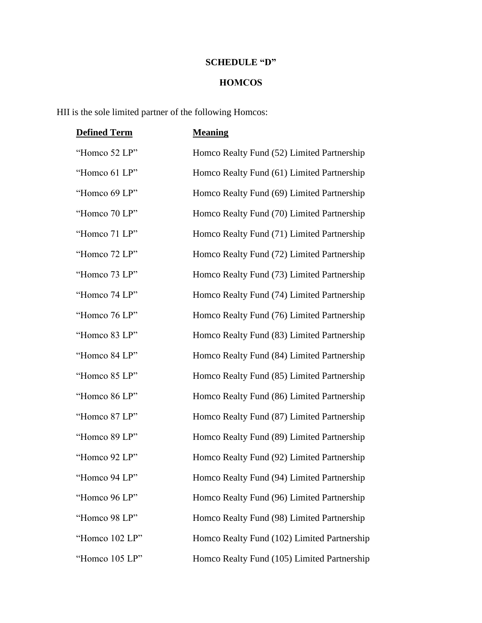# **SCHEDULE "D"**

# **HOMCOS**

HII is the sole limited partner of the following Homcos:

| <b>Defined Term</b> | <b>Meaning</b>                              |
|---------------------|---------------------------------------------|
| "Homco 52 LP"       | Homco Realty Fund (52) Limited Partnership  |
| "Homco 61 LP"       | Homco Realty Fund (61) Limited Partnership  |
| "Homco 69 LP"       | Homco Realty Fund (69) Limited Partnership  |
| "Homco 70 LP"       | Homco Realty Fund (70) Limited Partnership  |
| "Homco 71 LP"       | Homco Realty Fund (71) Limited Partnership  |
| "Homco 72 LP"       | Homco Realty Fund (72) Limited Partnership  |
| "Homco 73 LP"       | Homco Realty Fund (73) Limited Partnership  |
| "Homco 74 LP"       | Homco Realty Fund (74) Limited Partnership  |
| "Homco 76 LP"       | Homco Realty Fund (76) Limited Partnership  |
| "Homco 83 LP"       | Homco Realty Fund (83) Limited Partnership  |
| "Homco 84 LP"       | Homco Realty Fund (84) Limited Partnership  |
| "Homco 85 LP"       | Homco Realty Fund (85) Limited Partnership  |
| "Homco 86 LP"       | Homco Realty Fund (86) Limited Partnership  |
| "Homco 87 LP"       | Homco Realty Fund (87) Limited Partnership  |
| "Homco 89 LP"       | Homco Realty Fund (89) Limited Partnership  |
| "Homco 92 LP"       | Homco Realty Fund (92) Limited Partnership  |
| "Homco 94 LP"       | Homco Realty Fund (94) Limited Partnership  |
| "Homco 96 LP"       | Homco Realty Fund (96) Limited Partnership  |
| "Homco 98 LP"       | Homco Realty Fund (98) Limited Partnership  |
| "Homco 102 LP"      | Homco Realty Fund (102) Limited Partnership |
| "Homco 105 LP"      | Homco Realty Fund (105) Limited Partnership |